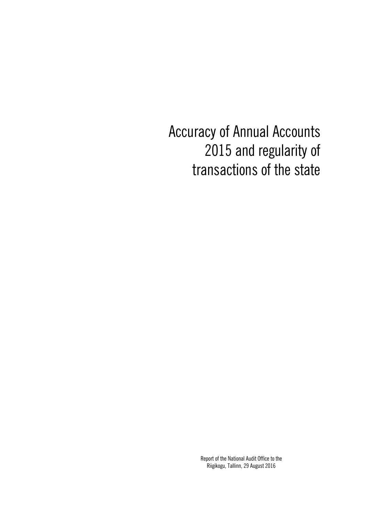Accuracy of Annual Accounts 2015 and regularity of transactions of the state

> Report of the National Audit Office to the Riigikogu, Tallinn, 29 August 2016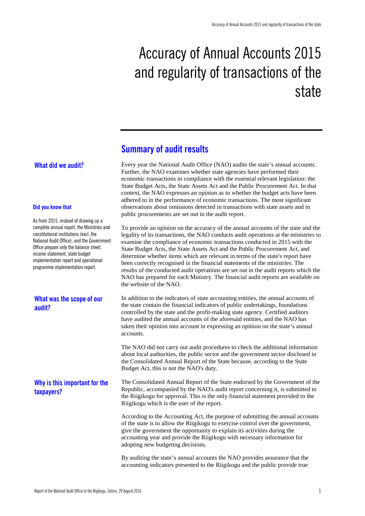# Accuracy of Annual Accounts 2015 and regularity of transactions of the state

## **Summary of audit results**

## **What did we audit?**

#### **Did you know that**

As from 2015, instead of drawing up a complete annual report, the Ministries and constitutional institutions (excl. the National Audit Office), and the Government Office prepare only the balance sheet, income statement, state budget implementation report and operational programme implementation report.

## **What was the scope of our audit?**

## **Why is this important for the taxpayers?**

Every year the National Audit Office (NAO) audits the state's annual accounts. Further, the NAO examines whether state agencies have performed their economic transactions in compliance with the essential relevant legislation: the State Budget Acts, the State Assets Act and the Public Procurement Act. In that context, the NAO expresses an opinion as to whether the budget acts have been adhered to in the performance of economic transactions. The most significant observations about omissions detected in transactions with state assets and in public procurements are set out in the audit report.

To provide an opinion on the accuracy of the annual accounts of the state and the legality of its transactions, the NAO conducts audit operations at the ministries to examine the compliance of economic transactions conducted in 2015 with the State Budget Acts, the State Assets Act and the Public Procurement Act, and determine whether items which are relevant in terms of the state's report have been correctly recognised in the financial statements of the ministries. The results of the conducted audit operations are set out in the audit reports which the NAO has prepared for each Ministry. The financial audit reports are available on the website of the NAO.

In addition to the indicators of state accounting entities, the annual accounts of the state contain the financial indicators of public undertakings, foundations controlled by the state and the profit-making state agency. Certified auditors have audited the annual accounts of the aforesaid entities, and the NAO has taken their opinion into account in expressing an opinion on the state's annual accounts.

The NAO did not carry out audit procedures to check the additional information about local authorities, the public sector and the government sector disclosed in the Consolidated Annual Report of the State because, according to the State Budget Act, this is not the NAO's duty.

The Consolidated Annual Report of the State endorsed by the Government of the Republic, accompanied by the NAO's audit report concerning it, is submitted to the Riigikogu for approval. This is the only financial statement provided to the Riigikogu which is the user of the report.

According to the Accounting Act, the purpose of submitting the annual accounts of the state is to allow the Riigikogu to exercise control over the government, give the government the opportunity to explain its activities during the accounting year and provide the Riigikogu with necessary information for adopting new budgeting decisions.

By auditing the state's annual accounts the NAO provides assurance that the accounting indicators presented to the Riigikogu and the public provide true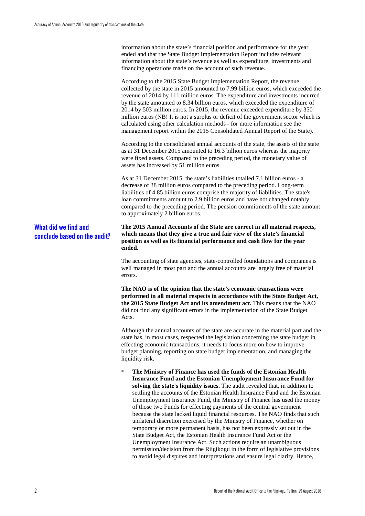information about the state's financial position and performance for the year ended and that the State Budget Implementation Report includes relevant information about the state's revenue as well as expenditure, investments and financing operations made on the account of such revenue.

According to the 2015 State Budget Implementation Report, the revenue collected by the state in 2015 amounted to 7.99 billion euros, which exceeded the revenue of 2014 by 111 million euros. The expenditure and investments incurred by the state amounted to 8.34 billion euros, which exceeded the expenditure of 2014 by 503 million euros. In 2015, the revenue exceeded expenditure by 350 million euros (NB! It is not a surplus or deficit of the government sector which is calculated using other calculation methods - for more information see the management report within the 2015 Consolidated Annual Report of the State).

According to the consolidated annual accounts of the state, the assets of the state as at 31 December 2015 amounted to 16.3 billion euros whereas the majority were fixed assets. Compared to the preceding period, the monetary value of assets has increased by 51 million euros.

As at 31 December 2015, the state's liabilities totalled 7.1 billion euros - a decrease of 38 million euros compared to the preceding period. Long-term liabilities of 4.85 billion euros comprise the majority of liabilities. The state's loan commitments amount to 2.9 billion euros and have not changed notably compared to the preceding period. The pension commitments of the state amount to approximately 2 billion euros.

## **What did we find and conclude based on the audit?**

**The 2015 Annual Accounts of the State are correct in all material respects, which means that they give a true and fair view of the state's financial position as well as its financial performance and cash flow for the year ended.**

The accounting of state agencies, state-controlled foundations and companies is well managed in most part and the annual accounts are largely free of material errors.

**The NAO is of the opinion that the state's economic transactions were performed in all material respects in accordance with the State Budget Act, the 2015 State Budget Act and its amendment act.** This means that the NAO did not find any significant errors in the implementation of the State Budget Acts.

Although the annual accounts of the state are accurate in the material part and the state has, in most cases, respected the legislation concerning the state budget in effecting economic transactions, it needs to focus more on how to improve budget planning, reporting on state budget implementation, and managing the liquidity risk.

**The Ministry of Finance has used the funds of the Estonian Health Insurance Fund and the Estonian Unemployment Insurance Fund for solving the state's liquidity issues.** The audit revealed that, in addition to settling the accounts of the Estonian Health Insurance Fund and the Estonian Unemployment Insurance Fund, the Ministry of Finance has used the money of those two Funds for effecting payments of the central government because the state lacked liquid financial resources. The NAO finds that such unilateral discretion exercised by the Ministry of Finance, whether on temporary or more permanent basis, has not been expressly set out in the State Budget Act, the Estonian Health Insurance Fund Act or the Unemployment Insurance Act. Such actions require an unambiguous permission/decision from the Riigikogu in the form of legislative provisions to avoid legal disputes and interpretations and ensure legal clarity. Hence,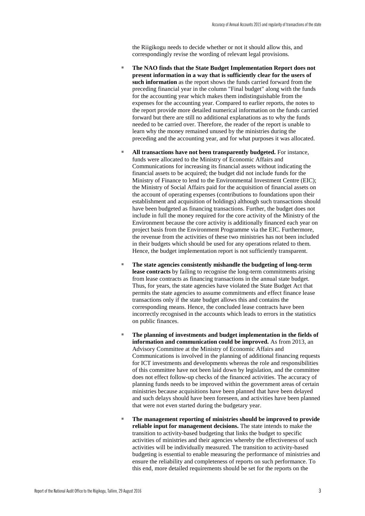the Riigikogu needs to decide whether or not it should allow this, and correspondingly revise the wording of relevant legal provisions.

- The NAO finds that the State Budget Implementation Report does not **present information in a way that is sufficiently clear for the users of such information** as the report shows the funds carried forward from the preceding financial year in the column "Final budget" along with the funds for the accounting year which makes them indistinguishable from the expenses for the accounting year. Compared to earlier reports, the notes to the report provide more detailed numerical information on the funds carried forward but there are still no additional explanations as to why the funds needed to be carried over. Therefore, the reader of the report is unable to learn why the money remained unused by the ministries during the preceding and the accounting year, and for what purposes it was allocated.
- All transactions have not been transparently budgeted. For instance, funds were allocated to the Ministry of Economic Affairs and Communications for increasing its financial assets without indicating the financial assets to be acquired; the budget did not include funds for the Ministry of Finance to lend to the Environmental Investment Centre (EIC); the Ministry of Social Affairs paid for the acquisition of financial assets on the account of operating expenses (contributions to foundations upon their establishment and acquisition of holdings) although such transactions should have been budgeted as financing transactions. Further, the budget does not include in full the money required for the core activity of the Ministry of the Environment because the core activity is additionally financed each year on project basis from the Environment Programme via the EIC. Furthermore, the revenue from the activities of these two ministries has not been included in their budgets which should be used for any operations related to them. Hence, the budget implementation report is not sufficiently transparent.
- The state agencies consistently mishandle the budgeting of long-term **lease contracts** by failing to recognise the long-term commitments arising from lease contracts as financing transactions in the annual state budget. Thus, for years, the state agencies have violated the State Budget Act that permits the state agencies to assume commitments and effect finance lease transactions only if the state budget allows this and contains the corresponding means. Hence, the concluded lease contracts have been incorrectly recognised in the accounts which leads to errors in the statistics on public finances.
- The planning of investments and budget implementation in the fields of **information and communication could be improved.** As from 2013, an Advisory Committee at the Ministry of Economic Affairs and Communications is involved in the planning of additional financing requests for ICT investments and developments whereas the role and responsibilities of this committee have not been laid down by legislation, and the committee does not effect follow-up checks of the financed activities. The accuracy of planning funds needs to be improved within the government areas of certain ministries because acquisitions have been planned that have been delayed and such delays should have been foreseen, and activities have been planned that were not even started during the budgetary year.
- The management reporting of ministries should be improved to provide **reliable input for management decisions.** The state intends to make the transition to activity-based budgeting that links the budget to specific activities of ministries and their agencies whereby the effectiveness of such activities will be individually measured. The transition to activity-based budgeting is essential to enable measuring the performance of ministries and ensure the reliability and completeness of reports on such performance. To this end, more detailed requirements should be set for the reports on the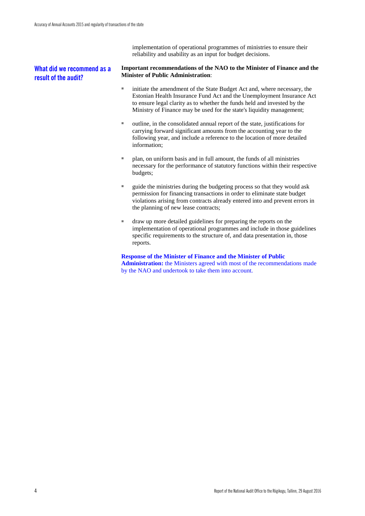implementation of operational programmes of ministries to ensure their reliability and usability as an input for budget decisions.

## **What did we recommend as a result of the audit?**

#### **Important recommendations of the NAO to the Minister of Finance and the Minister of Public Administration**:

- initiate the amendment of the State Budget Act and, where necessary, the Estonian Health Insurance Fund Act and the Unemployment Insurance Act to ensure legal clarity as to whether the funds held and invested by the Ministry of Finance may be used for the state's liquidity management;
- outline, in the consolidated annual report of the state, justifications for carrying forward significant amounts from the accounting year to the following year, and include a reference to the location of more detailed information;
- plan, on uniform basis and in full amount, the funds of all ministries necessary for the performance of statutory functions within their respective budgets;
- guide the ministries during the budgeting process so that they would ask permission for financing transactions in order to eliminate state budget violations arising from contracts already entered into and prevent errors in the planning of new lease contracts;
- draw up more detailed guidelines for preparing the reports on the implementation of operational programmes and include in those guidelines specific requirements to the structure of, and data presentation in, those reports.

#### **Response of the Minister of Finance and the Minister of Public**

**Administration:** the Ministers agreed with most of the recommendations made by the NAO and undertook to take them into account.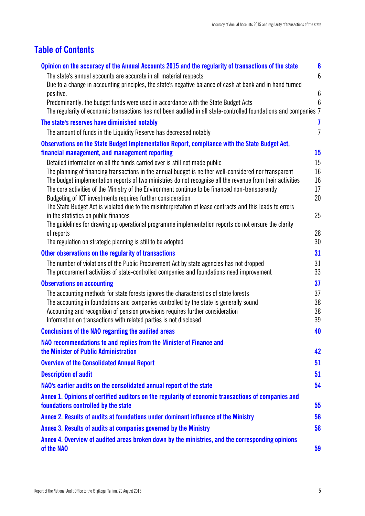## **Table of Contents**

| Opinion on the accuracy of the Annual Accounts 2015 and the regularity of transactions of the state                                                             | $6\phantom{a}$   |
|-----------------------------------------------------------------------------------------------------------------------------------------------------------------|------------------|
| The state's annual accounts are accurate in all material respects                                                                                               | $6\phantom{.}$   |
| Due to a change in accounting principles, the state's negative balance of cash at bank and in hand turned                                                       |                  |
| positive.                                                                                                                                                       | $6\,$            |
| Predominantly, the budget funds were used in accordance with the State Budget Acts                                                                              | 6                |
| The regularity of economic transactions has not been audited in all state-controlled foundations and companies 7                                                |                  |
| The state's reserves have diminished notably                                                                                                                    | 7                |
| The amount of funds in the Liquidity Reserve has decreased notably                                                                                              | $\overline{I}$   |
| Observations on the State Budget Implementation Report, compliance with the State Budget Act,                                                                   |                  |
| financial management, and management reporting                                                                                                                  | $15\phantom{.0}$ |
| Detailed information on all the funds carried over is still not made public                                                                                     | 15               |
| The planning of financing transactions in the annual budget is neither well-considered nor transparent                                                          | 16               |
| The budget implementation reports of two ministries do not recognise all the revenue from their activities                                                      | 16               |
| The core activities of the Ministry of the Environment continue to be financed non-transparently<br>Budgeting of ICT investments requires further consideration | 17<br>20         |
| The State Budget Act is violated due to the misinterpretation of lease contracts and this leads to errors                                                       |                  |
| in the statistics on public finances                                                                                                                            | 25               |
| The guidelines for drawing up operational programme implementation reports do not ensure the clarity                                                            |                  |
| of reports                                                                                                                                                      | 28               |
| The regulation on strategic planning is still to be adopted                                                                                                     | 30               |
| Other observations on the regularity of transactions                                                                                                            | 31               |
| The number of violations of the Public Procurement Act by state agencies has not dropped                                                                        | 31               |
| The procurement activities of state-controlled companies and foundations need improvement                                                                       | 33               |
| <b>Observations on accounting</b>                                                                                                                               | 37               |
| The accounting methods for state forests ignores the characteristics of state forests                                                                           | 37               |
| The accounting in foundations and companies controlled by the state is generally sound                                                                          | 38               |
| Accounting and recognition of pension provisions requires further consideration                                                                                 | 38               |
| Information on transactions with related parties is not disclosed                                                                                               | 39               |
| <b>Conclusions of the NAO regarding the audited areas</b>                                                                                                       | 40               |
| NAO recommendations to and replies from the Minister of Finance and                                                                                             |                  |
| the Minister of Public Administration                                                                                                                           | 42               |
| <b>Overview of the Consolidated Annual Report</b>                                                                                                               | 51               |
| <b>Description of audit</b>                                                                                                                                     | 51               |
| NAO's earlier audits on the consolidated annual report of the state                                                                                             | 54               |
| Annex 1. Opinions of certified auditors on the regularity of economic transactions of companies and                                                             |                  |
| foundations controlled by the state                                                                                                                             | 55               |
| Annex 2. Results of audits at foundations under dominant influence of the Ministry                                                                              | 56               |
| Annex 3. Results of audits at companies governed by the Ministry                                                                                                | 58               |
| Annex 4. Overview of audited areas broken down by the ministries, and the corresponding opinions                                                                |                  |
| of the NAO                                                                                                                                                      | 59               |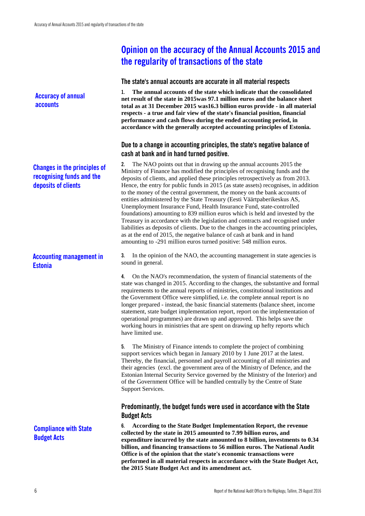**Accuracy of annual accounts**

## **Changes in the principles of recognising funds and the deposits of clients**

## **Accounting management in Estonia**

**Compliance with State Budget Acts**

## <span id="page-7-0"></span>**Opinion on the accuracy of the Annual Accounts 2015 and the regularity of transactions of the state**

## <span id="page-7-1"></span>**The state's annual accounts are accurate in all material respects**

**1. The annual accounts of the state which indicate that the consolidated net result of the state in 2015was 97.1 million euros and the balance sheet total as at 31 December 2015 was16.3 billion euros provide - in all material respects - a true and fair view of the state's financial position, financial performance and cash flows during the ended accounting period, in accordance with the generally accepted accounting principles of Estonia.**

## <span id="page-7-2"></span>**Due to a change in accounting principles, the state's negative balance of cash at bank and in hand turned positive.**

**2.** The NAO points out that in drawing up the annual accounts 2015 the Ministry of Finance has modified the principles of recognising funds and the deposits of clients, and applied these principles retrospectively as from 2013. Hence, the entry for public funds in 2015 (as state assets) recognises, in addition to the money of the central government, the money on the bank accounts of entities administered by the State Treasury (Eesti Väärtpaberikeskus AS, Unemployment Insurance Fund, Health Insurance Fund, state-controlled foundations) amounting to 839 million euros which is held and invested by the Treasury in accordance with the legislation and contracts and recognised under liabilities as deposits of clients. Due to the changes in the accounting principles, as at the end of 2015, the negative balance of cash at bank and in hand amounting to -291 million euros turned positive: 548 million euros.

**3.** In the opinion of the NAO, the accounting management in state agencies is sound in general.

**4.** On the NAO's recommendation, the system of financial statements of the state was changed in 2015. According to the changes, the substantive and formal requirements to the annual reports of ministries, constitutional institutions and the Government Office were simplified, i.e. the complete annual report is no longer prepared - instead, the basic financial statements (balance sheet, income statement, state budget implementation report, report on the implementation of operational programmes) are drawn up and approved. This helps save the working hours in ministries that are spent on drawing up hefty reports which have limited use.

**5.** The Ministry of Finance intends to complete the project of combining support services which began in January 2010 by 1 June 2017 at the latest. Thereby, the financial, personnel and payroll accounting of all ministries and their agencies (excl. the government area of the Ministry of Defence, and the Estonian Internal Security Service governed by the Ministry of the Interior) and of the Government Office will be handled centrally by the Centre of State Support Services.

## <span id="page-7-3"></span>**Predominantly, the budget funds were used in accordance with the State Budget Acts**

**6. According to the State Budget Implementation Report, the revenue collected by the state in 2015 amounted to 7.99 billion euros, and expenditure incurred by the state amounted to 8 billion, investments to 0.34 billion, and financing transactions to 56 million euros. The National Audit Office is of the opinion that the state's economic transactions were performed in all material respects in accordance with the State Budget Act, the 2015 State Budget Act and its amendment act.**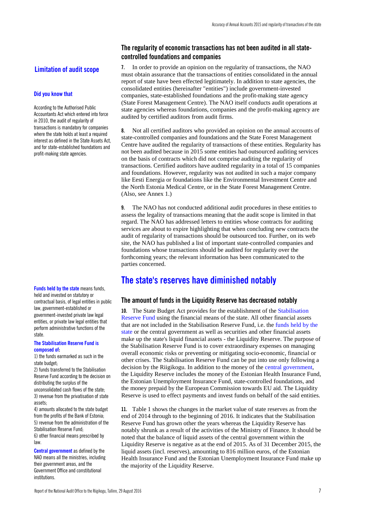## **Limitation of audit scope**

#### **Did you know that**

According to the Authorised Public Accountants Act which entered into force in 2010, the audit of regularity of transactions is mandatory for companies where the state holds at least a required interest as defined in the State Assets Act, and for state-established foundations and profit-making state agencies.

**Funds held by the state** means funds, held and invested on statutory or contractual basis, of legal entities in public law, government-established or government-invested private law legal entities, or private law legal entities that perform administrative functions of the state.

#### **The Stabilisation Reserve Fund is composed of:**

1) the funds earmarked as such in the state budget;

2) funds transferred to the Stabilisation Reserve Fund according to the decision on distributing the surplus of the unconsolidated cash flows of the state; 3) revenue from the privatisation of state assets;

4) amounts allocated to the state budget from the profits of the Bank of Estonia; 5) revenue from the administration of the Stabilisation Reserve Fund;

6) other financial means prescribed by law.

**Central government** as defined by the NAO means all the ministries, including their government areas, and the Government Office and constitutional institutions.

## <span id="page-8-0"></span>**The regularity of economic transactions has not been audited in all statecontrolled foundations and companies**

**7.** In order to provide an opinion on the regularity of transactions, the NAO must obtain assurance that the transactions of entities consolidated in the annual report of state have been effected legitimately. In addition to state agencies, the consolidated entities (hereinafter "entities") include government-invested companies, state-established foundations and the profit-making state agency (State Forest Management Centre). The NAO itself conducts audit operations at state agencies whereas foundations, companies and the profit-making agency are audited by certified auditors from audit firms.

**8.** Not all certified auditors who provided an opinion on the annual accounts of state-controlled companies and foundations and the State Forest Management Centre have audited the regularity of transactions of these entities. Regularity has not been audited because in 2015 some entities had outsourced auditing services on the basis of contracts which did not comprise auditing the regularity of transactions. Certified auditors have audited regularity in a total of 15 companies and foundations. However, regularity was not audited in such a major company like Eesti Energia or foundations like the Environmental Investment Centre and the North Estonia Medical Centre, or in the State Forest Management Centre. (Also, see Annex 1.)

**9.** The NAO has not conducted additional audit procedures in these entities to assess the legality of transactions meaning that the audit scope is limited in that regard. The NAO has addressed letters to entities whose contracts for auditing services are about to expire highlighting that when concluding new contracts the audit of regularity of transactions should be outsourced too. Further, on its web site, the NAO has published a list of important state-controlled companies and foundations whose transactions should be audited for regularity over the forthcoming years; the relevant information has been communicated to the parties concerned.

## <span id="page-8-1"></span>**The state's reserves have diminished notably**

### <span id="page-8-2"></span>**The amount of funds in the Liquidity Reserve has decreased notably**

**10.** The State Budget Act provides for the establishment of the Stabilisation Reserve Fund using the financial means of the state. All other financial assets that are not included in the Stabilisation Reserve Fund, i.e. the funds held by the state or the central government as well as securities and other financial assets make up the state's liquid financial assets - the Liquidity Reserve. The purpose of the Stabilisation Reserve Fund is to cover extraordinary expenses on managing overall economic risks or preventing or mitigating socio-economic, financial or other crises. The Stabilisation Reserve Fund can be put into use only following a decision by the Riigikogu. In addition to the money of the central government, the Liquidity Reserve includes the money of the Estonian Health Insurance Fund, the Estonian Unemployment Insurance Fund, state-controlled foundations, and the money prepaid by the European Commission towards EU aid. The Liquidity Reserve is used to effect payments and invest funds on behalf of the said entities.

**11.** Table 1 shows the changes in the market value of state reserves as from the end of 2014 through to the beginning of 2016. It indicates that the Stabilisation Reserve Fund has grown other the years whereas the Liquidity Reserve has notably shrunk as a result of the activities of the Ministry of Finance. It should be noted that the balance of liquid assets of the central government within the Liquidity Reserve is negative as at the end of 2015. As of 31 December 2015, the liquid assets (incl. reserves), amounting to 816 million euros, of the Estonian Health Insurance Fund and the Estonian Unemployment Insurance Fund make up the majority of the Liquidity Reserve.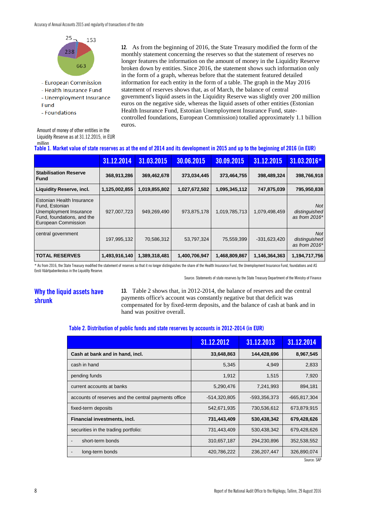

- European Commission
- Health Insurance Fund
- Unemployment Insurance Fund
- Foundations

**12.** As from the beginning of 2016, the State Treasury modified the form of the monthly statement concerning the reserves so that the statement of reserves no longer features the information on the amount of money in the Liquidity Reserve broken down by entities. Since 2016, the statement shows such information only in the form of a graph, whereas before that the statement featured detailed information for each entity in the form of a table. The graph in the May 2016 statement of reserves shows that, as of March, the balance of central government's liquid assets in the Liquidity Reserve was slightly over 200 million euros on the negative side, whereas the liquid assets of other entities (Estonian Health Insurance Fund, Estonian Unemployment Insurance Fund, statecontrolled foundations, European Commission) totalled approximately 1.1 billion euros.

| Amount of money of other entities in the   |
|--------------------------------------------|
| Liquidity Reserve as at 31.12.2015, in EUR |
| million                                    |

|  |  | Table 1. Market value of state reserves as at the end of 2014 and its development in 2015 and up to the beginning of 2016 (in EUR) |
|--|--|------------------------------------------------------------------------------------------------------------------------------------|

|                                                                                                                            | 31.12.2014    | 31.03.2015    | 30.06.2015    | 30.09.2015    | 31.12.2015     | 31.03.2016*                                  |
|----------------------------------------------------------------------------------------------------------------------------|---------------|---------------|---------------|---------------|----------------|----------------------------------------------|
| <b>Stabilisation Reserve</b><br><b>Fund</b>                                                                                | 368,913,286   | 369,462,678   | 373,034,445   | 373,464,755   | 398,489,324    | 398,766,918                                  |
| <b>Liquidity Reserve, incl.</b>                                                                                            | 1,125,002,855 | 1,019,855,802 | 1,027,672,502 | 1,095,345,112 | 747,875,039    | 795,950,838                                  |
| Estonian Health Insurance<br>Fund, Estonian<br>Unemployment Insurance<br>Fund, foundations, and the<br>European Commission | 927,007,723   | 949,269,490   | 973,875,178   | 1,019,785,713 | 1,079,498,459  | <b>Not</b><br>distinguished<br>as from 2016* |
| central government                                                                                                         | 197,995,132   | 70,586,312    | 53,797,324    | 75,559,399    | $-331,623,420$ | <b>Not</b><br>distinguished<br>as from 2016* |
| <b>TOTAL RESERVES</b>                                                                                                      | 1,493,916,140 | 1,389,318,481 | 1,400,706,947 | 1,468,809,867 | 1,146,364,363  | 1,194,717,756                                |

\* As from 2016, the State Treasury modified the statement of reserves so that it no longer distinguishes the share of the Health Insurance Fund, the Unemployment Insurance Fund, foundations and AS Eesti Väärtpaberikeskus in the Liquidity Reserve.

#### Source: Statements of state reserves by the State Treasury Department of the Ministry of Finance

## **Why the liquid assets have shrunk**

**13.** Table 2 shows that, in 2012-2014, the balance of reserves and the central payments office's account was constantly negative but that deficit was compensated for by fixed-term deposits, and the balance of cash at bank and in hand was positive overall.

#### **Table 2. Distribution of public funds and state reserves by accounts in 2012-2014 (in EUR)**

|                                                      | 31.12.2012     | 31.12.2013    | 31.12.2014     |
|------------------------------------------------------|----------------|---------------|----------------|
| Cash at bank and in hand, incl.                      | 33,648,863     | 144,428,696   | 8,967,545      |
| cash in hand                                         | 5,345          | 4,949         | 2,833          |
| pending funds                                        | 1,912          | 1,515         | 7,920          |
| current accounts at banks                            | 5,290,476      | 7,241,993     | 894,181        |
| accounts of reserves and the central payments office | $-514,320,805$ | -593,356,373  | $-665,817,304$ |
| fixed-term deposits                                  | 542,671,935    | 730,536,612   | 673,879,915    |
| Financial investments, incl.                         | 731,443,409    | 530,438,342   | 679,428,626    |
| securities in the trading portfolio:                 | 731,443,409    | 530,438,342   | 679,428,626    |
| short-term bonds                                     | 310,657,187    | 294,230,896   | 352,538,552    |
| long-term bonds                                      | 420,786,222    | 236, 207, 447 | 326,890,074    |

Source: SAP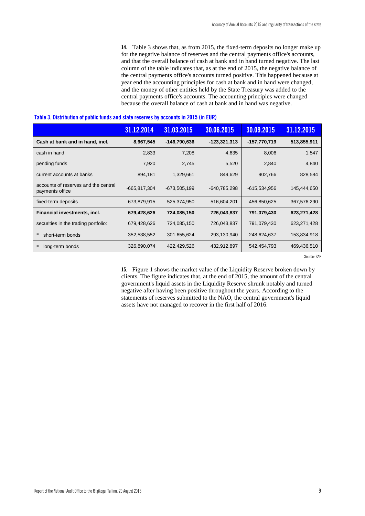**14.** Table 3 shows that, as from 2015, the fixed-term deposits no longer make up for the negative balance of reserves and the central payments office's accounts, and that the overall balance of cash at bank and in hand turned negative. The last column of the table indicates that, as at the end of 2015, the negative balance of the central payments office's accounts turned positive. This happened because at year end the accounting principles for cash at bank and in hand were changed, and the money of other entities held by the State Treasury was added to the central payments office's accounts. The accounting principles were changed because the overall balance of cash at bank and in hand was negative.

|                                                         | 31.12.2014       | 31.03.2015     | 30.06.2015     | 30.09.2015   | 31.12.2015  |
|---------------------------------------------------------|------------------|----------------|----------------|--------------|-------------|
| Cash at bank and in hand, incl.                         | 8,967,545        | -146,790,636   | $-123,321,313$ | -157,770,719 | 513,855,911 |
| cash in hand                                            | 2,833            | 7,208          | 4,635          | 8,006        | 1,547       |
| pending funds                                           | 7,920            | 2,745          | 5,520          | 2,840        | 4,840       |
| current accounts at banks                               | 894,181          | 1,329,661      | 849,629        | 902,766      | 828,584     |
| accounts of reserves and the central<br>payments office | $-665, 817, 304$ | $-673,505,199$ | $-640,785,298$ | -615,534,956 | 145,444,650 |
| fixed-term deposits                                     | 673,879,915      | 525,374,950    | 516,604,201    | 456,850,625  | 367,576,290 |
| Financial investments, incl.                            | 679,428,626      | 724,085,150    | 726,043,837    | 791,079,430  | 623,271,428 |
| securities in the trading portfolio:                    | 679,428,626      | 724,085,150    | 726,043,837    | 791,079,430  | 623,271,428 |
| short-term bonds                                        | 352,538,552      | 301,655,624    | 293,130,940    | 248,624,637  | 153,834,918 |
| long-term bonds                                         | 326,890,074      | 422,429,526    | 432,912,897    | 542,454,793  | 469,436,510 |

#### **Table 3. Distribution of public funds and state reserves by accounts in 2015 (in EUR)**

Source: SAP

**15.** Figure 1 shows the market value of the Liquidity Reserve broken down by clients. The figure indicates that, at the end of 2015, the amount of the central government's liquid assets in the Liquidity Reserve shrunk notably and turned negative after having been positive throughout the years. According to the statements of reserves submitted to the NAO, the central government's liquid assets have not managed to recover in the first half of 2016.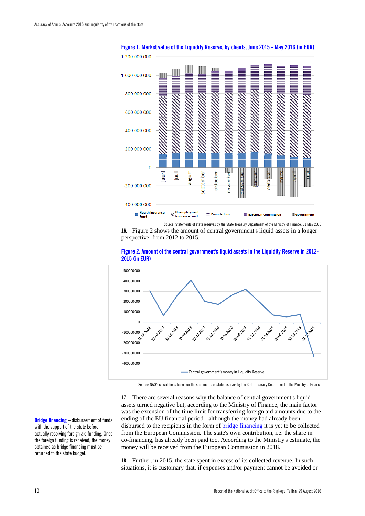

**Figure 1. Market value of the Liquidity Reserve, by clients, June 2015 - May 2016 (in EUR)**

Source: Statements of state reserves by the State Treasury Department of the Ministry of Finance, 31 May 2016 **16.** Figure 2 shows the amount of central government's liquid assets in a longer perspective: from 2012 to 2015.





Source: NAO's calculations based on the statements of state reserves by the State Treasury Department of the Ministry of Finance

**17.** There are several reasons why the balance of central government's liquid assets turned negative but, according to the Ministry of Finance, the main factor was the extension of the time limit for transferring foreign aid amounts due to the ending of the EU financial period - although the money had already been disbursed to the recipients in the form of bridge financing it is yet to be collected from the European Commission. The state's own contribution, i.e. the share in co-financing, has already been paid too. According to the Ministry's estimate, the money will be received from the European Commission in 2018.

**18.** Further, in 2015, the state spent in excess of its collected revenue. In such situations, it is customary that, if expenses and/or payment cannot be avoided or

**Bridge financing –** disbursement of funds with the support of the state before actually receiving foreign aid funding. Once the foreign funding is received, the money obtained as bridge financing must be returned to the state budget.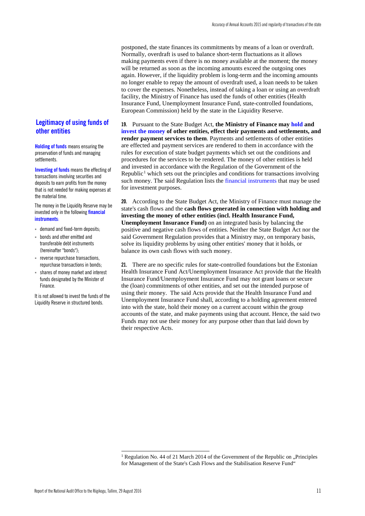postponed, the state finances its commitments by means of a loan or overdraft. Normally, overdraft is used to balance short-term fluctuations as it allows making payments even if there is no money available at the moment; the money will be returned as soon as the incoming amounts exceed the outgoing ones again. However, if the liquidity problem is long-term and the incoming amounts no longer enable to repay the amount of overdraft used, a loan needs to be taken to cover the expenses. Nonetheless, instead of taking a loan or using an overdraft facility, the Ministry of Finance has used the funds of other entities (Health Insurance Fund, Unemployment Insurance Fund, state-controlled foundations, European Commission) held by the state in the Liquidity Reserve.

**19.** Pursuant to the State Budget Act, **the Ministry of Finance may hold and invest the money of other entities, effect their payments and settlements, and render payment services to them**. Payments and settlements of other entities are effected and payment services are rendered to them in accordance with the rules for execution of state budget payments which set out the conditions and procedures for the services to be rendered. The money of other entities is held and invested in accordance with the Regulation of the Government of the Republic<sup>[1](#page-12-0)</sup> which sets out the principles and conditions for transactions involving such money. The said Regulation lists the financial instruments that may be used for investment purposes.

**20.** According to the State Budget Act, the Ministry of Finance must manage the state's cash flows and the **cash flows generated in connection with holding and investing the money of other entities (incl. Health Insurance Fund, Unemployment Insurance Fund)** on an integrated basis by balancing the positive and negative cash flows of entities. Neither the State Budget Act nor the said Government Regulation provides that a Ministry may, on temporary basis, solve its liquidity problems by using other entities' money that it holds, or balance its own cash flows with such money.

**21.** There are no specific rules for state-controlled foundations but the Estonian Health Insurance Fund Act/Unemployment Insurance Act provide that the Health Insurance Fund/Unemployment Insurance Fund may not grant loans or secure the (loan) commitments of other entities, and set out the intended purpose of using their money. The said Acts provide that the Health Insurance Fund and Unemployment Insurance Fund shall, according to a holding agreement entered into with the state, hold their money on a current account within the group accounts of the state, and make payments using that account. Hence, the said two Funds may not use their money for any purpose other than that laid down by their respective Acts.

### **Legitimacy of using funds of other entities**

**Holding of funds** means ensuring the preservation of funds and managing settlements.

**Investing of funds** means the effecting of transactions involving securities and deposits to earn profits from the money that is not needed for making expenses at the material time.

The money in the Liquidity Reserve may be invested only in the following **financial instruments**:

- demand and fixed-term deposits;
- bonds and other emitted and transferable debt instruments (hereinafter "bonds");
- reverse repurchase transactions, repurchase transactions in bonds;
- shares of money market and interest funds designated by the Minister of Finance.

It is not allowed to invest the funds of the Liquidity Reserve in structured bonds.

<span id="page-12-0"></span><sup>&</sup>lt;sup>1</sup> Regulation No. 44 of 21 March 2014 of the Government of the Republic on "Principles for Management of the State's Cash Flows and the Stabilisation Reserve Fund"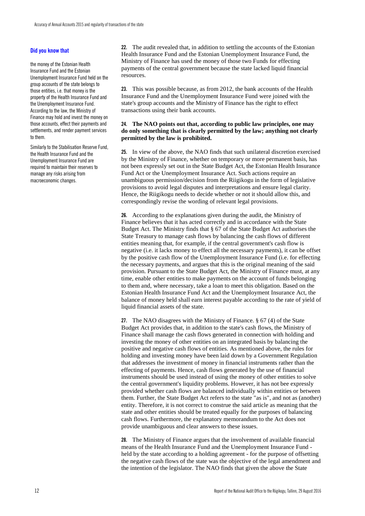#### **Did you know that**

the money of the Estonian Health Insurance Fund and the Estonian Unemployment Insurance Fund held on the group accounts of the state belongs to those entities, i.e. that money is the property of the Health Insurance Fund and the Unemployment Insurance Fund. According to the law, the Ministry of Finance may hold and invest the money on those accounts, effect their payments and settlements, and render payment services to them.

Similarly to the Stabilisation Reserve Fund, the Health Insurance Fund and the Unemployment Insurance Fund are required to maintain their reserves to manage any risks arising from macroeconomic changes.

**22.** The audit revealed that, in addition to settling the accounts of the Estonian Health Insurance Fund and the Estonian Unemployment Insurance Fund, the Ministry of Finance has used the money of those two Funds for effecting payments of the central government because the state lacked liquid financial resources.

**23.** This was possible because, as from 2012, the bank accounts of the Health Insurance Fund and the Unemployment Insurance Fund were joined with the state's group accounts and the Ministry of Finance has the right to effect transactions using their bank accounts.

#### **24. The NAO points out that, according to public law principles, one may do only something that is clearly permitted by the law; anything not clearly permitted by the law is prohibited.**

**25.** In view of the above, the NAO finds that such unilateral discretion exercised by the Ministry of Finance, whether on temporary or more permanent basis, has not been expressly set out in the State Budget Act, the Estonian Health Insurance Fund Act or the Unemployment Insurance Act. Such actions require an unambiguous permission/decision from the Riigikogu in the form of legislative provisions to avoid legal disputes and interpretations and ensure legal clarity. Hence, the Riigikogu needs to decide whether or not it should allow this, and correspondingly revise the wording of relevant legal provisions.

**26.** According to the explanations given during the audit, the Ministry of Finance believes that it has acted correctly and in accordance with the State Budget Act. The Ministry finds that § 67 of the State Budget Act authorises the State Treasury to manage cash flows by balancing the cash flows of different entities meaning that, for example, if the central government's cash flow is negative (i.e. it lacks money to effect all the necessary payments), it can be offset by the positive cash flow of the Unemployment Insurance Fund (i.e. for effecting the necessary payments, and argues that this is the original meaning of the said provision. Pursuant to the State Budget Act, the Ministry of Finance must, at any time, enable other entities to make payments on the account of funds belonging to them and, where necessary, take a loan to meet this obligation. Based on the Estonian Health Insurance Fund Act and the Unemployment Insurance Act, the balance of money held shall earn interest payable according to the rate of yield of liquid financial assets of the state.

**27.** The NAO disagrees with the Ministry of Finance. § 67 (4) of the State Budget Act provides that, in addition to the state's cash flows, the Ministry of Finance shall manage the cash flows generated in connection with holding and investing the money of other entities on an integrated basis by balancing the positive and negative cash flows of entities. As mentioned above, the rules for holding and investing money have been laid down by a Government Regulation that addresses the investment of money in financial instruments rather than the effecting of payments. Hence, cash flows generated by the use of financial instruments should be used instead of using the money of other entities to solve the central government's liquidity problems. However, it has not bee expressly provided whether cash flows are balanced individually within entities or between them. Further, the State Budget Act refers to the state "as is", and not as (another) entity. Therefore, it is not correct to construe the said article as meaning that the state and other entities should be treated equally for the purposes of balancing cash flows. Furthermore, the explanatory memorandum to the Act does not provide unambiguous and clear answers to these issues.

**28.** The Ministry of Finance argues that the involvement of available financial means of the Health Insurance Fund and the Unemployment Insurance Fund held by the state according to a holding agreement - for the purpose of offsetting the negative cash flows of the state was the objective of the legal amendment and the intention of the legislator. The NAO finds that given the above the State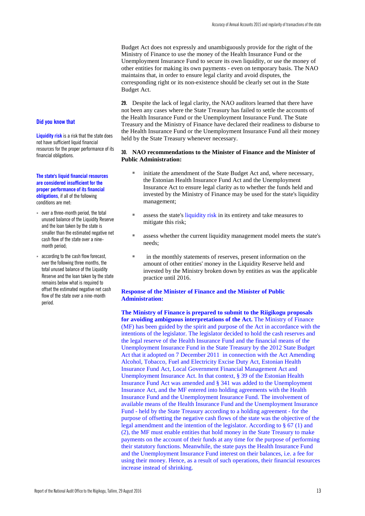Budget Act does not expressly and unambiguously provide for the right of the Ministry of Finance to use the money of the Health Insurance Fund or the Unemployment Insurance Fund to secure its own liquidity, or use the money of other entities for making its own payments - even on temporary basis. The NAO maintains that, in order to ensure legal clarity and avoid disputes, the corresponding right or its non-existence should be clearly set out in the State Budget Act.

**29.** Despite the lack of legal clarity, the NAO auditors learned that there have not been any cases where the State Treasury has failed to settle the accounts of the Health Insurance Fund or the Unemployment Insurance Fund. The State Treasury and the Ministry of Finance have declared their readiness to disburse to the Health Insurance Fund or the Unemployment Insurance Fund all their money held by the State Treasury whenever necessary.

#### **30. NAO recommendations to the Minister of Finance and the Minister of Public Administration:**

- initiate the amendment of the State Budget Act and, where necessary, the Estonian Health Insurance Fund Act and the Unemployment Insurance Act to ensure legal clarity as to whether the funds held and invested by the Ministry of Finance may be used for the state's liquidity management;
- assess the state's liquidity risk in its entirety and take measures to mitigate this risk;
- assess whether the current liquidity management model meets the state's needs;
- in the monthly statements of reserves, present information on the amount of other entities' money in the Liquidity Reserve held and invested by the Ministry broken down by entities as was the applicable practice until 2016.

#### **Response of the Minister of Finance and the Minister of Public Administration:**

**The Ministry of Finance is prepared to submit to the Riigikogu proposals for avoiding ambiguous interpretations of the Act.** The Ministry of Finance (MF) has been guided by the spirit and purpose of the Act in accordance with the intentions of the legislator. The legislator decided to hold the cash reserves and the legal reserve of the Health Insurance Fund and the financial means of the Unemployment Insurance Fund in the State Treasury by the 2012 State Budget Act that it adopted on 7 December 2011 in connection with the Act Amending Alcohol, Tobacco, Fuel and Electricity Excise Duty Act, Estonian Health Insurance Fund Act, Local Government Financial Management Act and Unemployment Insurance Act. In that context, § 39 of the Estonian Health Insurance Fund Act was amended and § 341 was added to the Unemployment Insurance Act, and the MF entered into holding agreements with the Health Insurance Fund and the Unemployment Insurance Fund. The involvement of available means of the Health Insurance Fund and the Unemployment Insurance Fund - held by the State Treasury according to a holding agreement - for the purpose of offsetting the negative cash flows of the state was the objective of the legal amendment and the intention of the legislator. According to § 67 (1) and (2), the MF must enable entities that hold money in the State Treasury to make payments on the account of their funds at any time for the purpose of performing their statutory functions. Meanwhile, the state pays the Health Insurance Fund and the Unemployment Insurance Fund interest on their balances, i.e. a fee for using their money. Hence, as a result of such operations, their financial resources increase instead of shrinking.

#### **Did you know that**

**Liquidity risk** is a risk that the state does not have sufficient liquid financial resources for the proper performance of its financial obligations.

#### **The state's liquid financial resources are considered insufficient for the proper performance of its financial obligations**, if all of the following conditions are met:

- over a three-month period, the total unused balance of the Liquidity Reserve and the loan taken by the state is smaller than the estimated negative net cash flow of the state over a ninemonth period;
- according to the cash flow forecast, over the following three months, the total unused balance of the Liquidity Reserve and the loan taken by the state remains below what is required to offset the estimated negative net cash flow of the state over a nine-month period.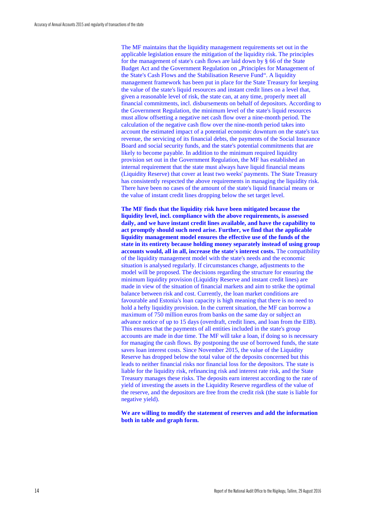The MF maintains that the liquidity management requirements set out in the applicable legislation ensure the mitigation of the liquidity risk. The principles for the management of state's cash flows are laid down by § 66 of the State Budget Act and the Government Regulation on "Principles for Management of the State's Cash Flows and the Stabilisation Reserve Fund". A liquidity management framework has been put in place for the State Treasury for keeping the value of the state's liquid resources and instant credit lines on a level that, given a reasonable level of risk, the state can, at any time, properly meet all financial commitments, incl. disbursements on behalf of depositors. According to the Government Regulation, the minimum level of the state's liquid resources must allow offsetting a negative net cash flow over a nine-month period. The calculation of the negative cash flow over the nine-month period takes into account the estimated impact of a potential economic downturn on the state's tax revenue, the servicing of its financial debts, the payments of the Social Insurance Board and social security funds, and the state's potential commitments that are likely to become payable. In addition to the minimum required liquidity provision set out in the Government Regulation, the MF has established an internal requirement that the state must always have liquid financial means (Liquidity Reserve) that cover at least two weeks' payments. The State Treasury has consistently respected the above requirements in managing the liquidity risk. There have been no cases of the amount of the state's liquid financial means or the value of instant credit lines dropping below the set target level.

**The MF finds that the liquidity risk have been mitigated because the liquidity level, incl. compliance with the above requirements, is assessed daily, and we have instant credit lines available, and have the capability to act promptly should such need arise. Further, we find that the applicable liquidity management model ensures the effective use of the funds of the state in its entirety because holding money separately instead of using group accounts would, all in all, increase the state's interest costs.** The compatibility of the liquidity management model with the state's needs and the economic situation is analysed regularly. If circumstances change, adjustments to the model will be proposed. The decisions regarding the structure for ensuring the minimum liquidity provision (Liquidity Reserve and instant credit lines) are made in view of the situation of financial markets and aim to strike the optimal balance between risk and cost. Currently, the loan market conditions are favourable and Estonia's loan capacity is high meaning that there is no need to hold a hefty liquidity provision. In the current situation, the MF can borrow a maximum of 750 million euros from banks on the same day or subject an advance notice of up to 15 days (overdraft, credit lines, and loan from the EIB). This ensures that the payments of all entities included in the state's group accounts are made in due time. The MF will take a loan, if doing so is necessary for managing the cash flows. By postponing the use of borrowed funds, the state saves loan interest costs. Since November 2015, the value of the Liquidity Reserve has dropped below the total value of the deposits concerned but this leads to neither financial risks nor financial loss for the depositors. The state is liable for the liquidity risk, refinancing risk and interest rate risk, and the State Treasury manages these risks. The deposits earn interest according to the rate of yield of investing the assets in the Liquidity Reserve regardless of the value of the reserve, and the depositors are free from the credit risk (the state is liable for negative yield).

**We are willing to modify the statement of reserves and add the information both in table and graph form.**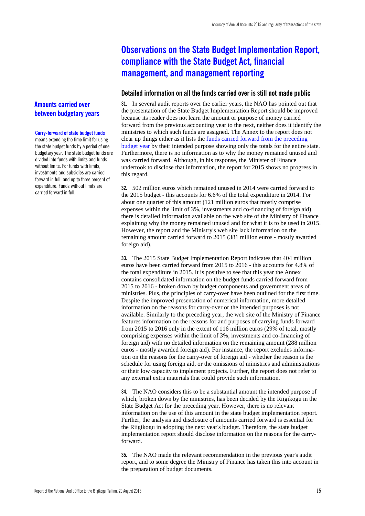## <span id="page-16-0"></span>**Observations on the State Budget Implementation Report, compliance with the State Budget Act, financial management, and management reporting**

#### <span id="page-16-1"></span>**Detailed information on all the funds carried over is still not made public**

**31.** In several audit reports over the earlier years, the NAO has pointed out that the presentation of the State Budget Implementation Report should be improved because its reader does not learn the amount or purpose of money carried forward from the previous accounting year to the next, neither does it identify the ministries to which such funds are assigned. The Annex to the report does not clear up things either as it lists the funds carried forward from the preceding budget year by their intended purpose showing only the totals for the entire state. Furthermore, there is no information as to why the money remained unused and was carried forward. Although, in his response, the Minister of Finance undertook to disclose that information, the report for 2015 shows no progress in this regard.

**32.** 502 million euros which remained unused in 2014 were carried forward to the 2015 budget - this accounts for 6.6% of the total expenditure in 2014. For about one quarter of this amount (121 million euros that mostly comprise expenses within the limit of 3%, investments and co-financing of foreign aid) there is detailed information available on the web site of the Ministry of Finance explaining why the money remained unused and for what it is to be used in 2015. However, the report and the Ministry's web site lack information on the remaining amount carried forward to 2015 (381 million euros - mostly awarded foreign aid).

**33.** The 2015 State Budget Implementation Report indicates that 404 million euros have been carried forward from 2015 to 2016 - this accounts for 4.8% of the total expenditure in 2015. It is positive to see that this year the Annex contains consolidated information on the budget funds carried forward from 2015 to 2016 - broken down by budget components and government areas of ministries. Plus, the principles of carry-over have been outlined for the first time. Despite the improved presentation of numerical information, more detailed information on the reasons for carry-over or the intended purposes is not available. Similarly to the preceding year, the web site of the Ministry of Finance features information on the reasons for and purposes of carrying funds forward from 2015 to 2016 only in the extent of 116 million euros (29% of total, mostly comprising expenses within the limit of 3%, investments and co-financing of foreign aid) with no detailed information on the remaining amount (288 million euros - mostly awarded foreign aid). For instance, the report excludes information on the reasons for the carry-over of foreign aid - whether the reason is the schedule for using foreign aid, or the omissions of ministries and administrations or their low capacity to implement projects. Further, the report does not refer to any external extra materials that could provide such information.

**34.** The NAO considers this to be a substantial amount the intended purpose of which, broken down by the ministries, has been decided by the Riigikogu in the State Budget Act for the preceding year. However, there is no relevant information on the use of this amount in the state budget implementation report. Further, the analysis and disclosure of amounts carried forward is essential for the Riigikogu in adopting the next year's budget. Therefore, the state budget implementation report should disclose information on the reasons for the carryforward.

**35.** The NAO made the relevant recommendation in the previous year's audit report, and to some degree the Ministry of Finance has taken this into account in the preparation of budget documents.

## **Amounts carried over between budgetary years**

#### **Carry-forward of state budget funds**

means extending the time limit for using the state budget funds by a period of one budgetary year. The state budget funds are divided into funds with limits and funds without limits. For funds with limits, investments and subsidies are carried forward in full, and up to three percent of expenditure. Funds without limits are carried forward in full.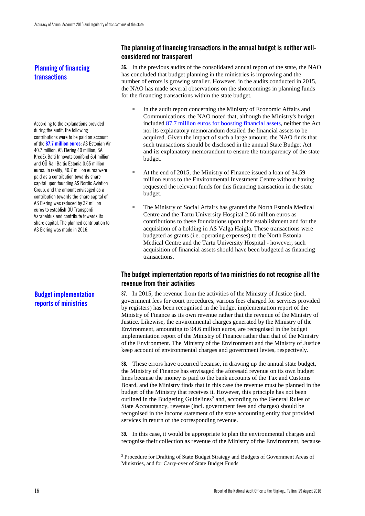**Planning of financing transactions**

According to the explanations provided during the audit, the following contributions were to be paid on account of the **87.7 million euros**: AS Estonian Air 40.7 million, AS Elering 40 million, SA KredEx Balti Innovatsioonifond 6.4 million and OÜ Rail Baltic Estonia 0.65 million euros. In reality, 40.7 million euros were paid as a contribution towards share capital upon founding AS Nordic Aviation Group, and the amount envisaged as a contribution towards the share capital of AS Elering was reduced by 32 million euros to establish OÜ Transpordi Varahaldus and contribute towards its share capital. The planned contribution to AS Elering was made in 2016.

## **Budget implementation reports of ministries**

## <span id="page-17-0"></span>**The planning of financing transactions in the annual budget is neither wellconsidered nor transparent**

**36.** In the previous audits of the consolidated annual report of the state, the NAO has concluded that budget planning in the ministries is improving and the number of errors is growing smaller. However, in the audits conducted in 2015, the NAO has made several observations on the shortcomings in planning funds for the financing transactions within the state budget.

- In the audit report concerning the Ministry of Economic Affairs and Communications, the NAO noted that, although the Ministry's budget included 87.7 million euros for boosting financial assets, neither the Act nor its explanatory memorandum detailed the financial assets to be acquired. Given the impact of such a large amount, the NAO finds that such transactions should be disclosed in the annual State Budget Act and its explanatory memorandum to ensure the transparency of the state budget.
- At the end of 2015, the Ministry of Finance issued a loan of 34.59 million euros to the Environmental Investment Centre without having requested the relevant funds for this financing transaction in the state budget.
- The Ministry of Social Affairs has granted the North Estonia Medical Centre and the Tartu University Hospital 2.66 million euros as contributions to these foundations upon their establishment and for the acquisition of a holding in AS Valga Haigla. These transactions were budgeted as grants (i.e. operating expenses) to the North Estonia Medical Centre and the Tartu University Hospital - however, such acquisition of financial assets should have been budgeted as financing transactions.

## <span id="page-17-1"></span>**The budget implementation reports of two ministries do not recognise all the revenue from their activities**

**37.** In 2015, the revenue from the activities of the Ministry of Justice (incl. government fees for court procedures, various fees charged for services provided by registers) has been recognised in the budget implementation report of the Ministry of Finance as its own revenue rather that the revenue of the Ministry of Justice. Likewise, the environmental charges generated by the Ministry of the Environment, amounting to 94.6 million euros, are recognised in the budget implementation report of the Ministry of Finance rather than that of the Ministry of the Environment. The Ministry of the Environment and the Ministry of Justice keep account of environmental charges and government levies, respectively.

**38.** These errors have occurred because, in drawing up the annual state budget, the Ministry of Finance has envisaged the aforesaid revenue on its own budget lines because the money is paid to the bank accounts of the Tax and Customs Board, and the Ministry finds that in this case the revenue must be planned in the budget of the Ministry that receives it. However, this principle has not been outlined in the Budgeting Guidelines<sup>[2](#page-17-2)</sup> and, according to the General Rules of State Accountancy, revenue (incl. government fees and charges) should be recognised in the income statement of the state accounting entity that provided services in return of the corresponding revenue.

**39.** In this case, it would be appropriate to plan the environmental charges and recognise their collection as revenue of the Ministry of the Environment, because

<span id="page-17-2"></span> <sup>2</sup> Procedure for Drafting of State Budget Strategy and Budgets of Government Areas of Ministries, and for Carry-over of State Budget Funds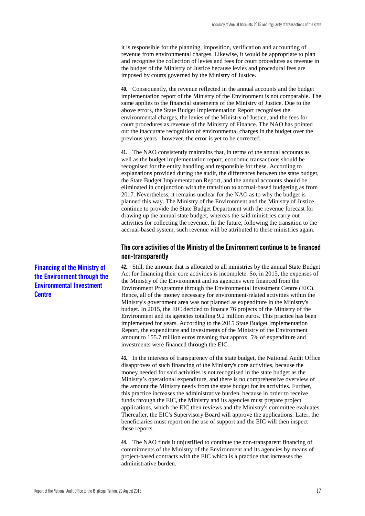it is responsible for the planning, imposition, verification and accounting of revenue from environmental charges. Likewise, it would be appropriate to plan and recognise the collection of levies and fees for court procedures as revenue in the budget of the Ministry of Justice because levies and procedural fees are imposed by courts governed by the Ministry of Justice.

**40.** Consequently, the revenue reflected in the annual accounts and the budget implementation report of the Ministry of the Environment is not comparable. The same applies to the financial statements of the Ministry of Justice. Due to the above errors, the State Budget Implementation Report recognises the environmental charges, the levies of the Ministry of Justice, and the fees for court procedures as revenue of the Ministry of Finance. The NAO has pointed out the inaccurate recognition of environmental charges in the budget over the previous years - however, the error is yet to be corrected.

**41.** The NAO consistently maintains that, in terms of the annual accounts as well as the budget implementation report, economic transactions should be recognised for the entity handling and responsible for these. According to explanations provided during the audit, the differences between the state budget, the State Budget Implementation Report, and the annual accounts should be eliminated in conjunction with the transition to accrual-based budgeting as from 2017. Nevertheless, it remains unclear for the NAO as to why the budget is planned this way. The Ministry of the Environment and the Ministry of Justice continue to provide the State Budget Department with the revenue forecast for drawing up the annual state budget, whereas the said ministries carry out activities for collecting the revenue. In the future, following the transition to the accrual-based system, such revenue will be attributed to these ministries again.

### <span id="page-18-0"></span>**The core activities of the Ministry of the Environment continue to be financed non-transparently**

**42.** Still, the amount that is allocated to all ministries by the annual State Budget Act for financing their core activities is incomplete. So, in 2015, the expenses of the Ministry of the Environment and its agencies were financed from the Environment Programme through the Environmental Investment Centre (EIC). Hence, all of the money necessary for environment-related activities within the Ministry's government area was not planned as expenditure in the Ministry's budget. In 2015, the EIC decided to finance 76 projects of the Ministry of the Environment and its agencies totalling 9.2 million euros. This practice has been implemented for years. According to the 2015 State Budget Implementation Report, the expenditure and investments of the Ministry of the Environment amount to 155.7 million euros meaning that approx. 5% of expenditure and investments were financed through the EIC.

**43.** In the interests of transparency of the state budget, the National Audit Office disapproves of such financing of the Ministry's core activities, because the money needed for said activities is not recognised in the state budget as the Ministry's operational expenditure, and there is no comprehensive overview of the amount the Ministry needs from the state budget for its activities. Further, this practice increases the administrative burden, because in order to receive funds through the EIC, the Ministry and its agencies must prepare project applications, which the EIC then reviews and the Ministry's committee evaluates. Thereafter, the EIC's Supervisory Board will approve the applications. Later, the beneficiaries must report on the use of support and the EIC will then inspect these reports.

**44.** The NAO finds it unjustified to continue the non-transparent financing of commitments of the Ministry of the Environment and its agencies by means of project-based contracts with the EIC which is a practice that increases the administrative burden.

**Financing of the Ministry of the Environment through the Environmental Investment Centre**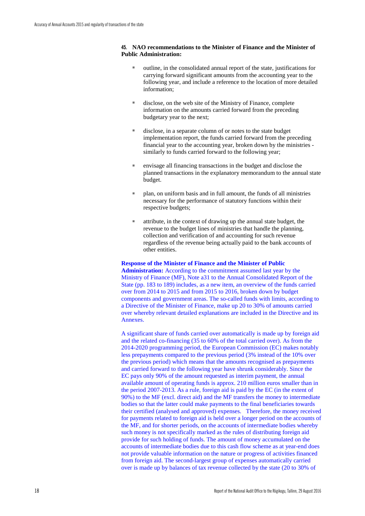#### **45. NAO recommendations to the Minister of Finance and the Minister of Public Administration:**

- outline, in the consolidated annual report of the state, justifications for carrying forward significant amounts from the accounting year to the following year, and include a reference to the location of more detailed information;
- disclose, on the web site of the Ministry of Finance, complete information on the amounts carried forward from the preceding budgetary year to the next;
- disclose, in a separate column of or notes to the state budget implementation report, the funds carried forward from the preceding financial year to the accounting year, broken down by the ministries similarly to funds carried forward to the following year;
- envisage all financing transactions in the budget and disclose the planned transactions in the explanatory memorandum to the annual state budget.
- plan, on uniform basis and in full amount, the funds of all ministries necessary for the performance of statutory functions within their respective budgets;
- attribute, in the context of drawing up the annual state budget, the revenue to the budget lines of ministries that handle the planning, collection and verification of and accounting for such revenue regardless of the revenue being actually paid to the bank accounts of other entities.

#### **Response of the Minister of Finance and the Minister of Public**

**Administration:** According to the commitment assumed last year by the Ministry of Finance (MF), Note a31 to the Annual Consolidated Report of the State (pp. 183 to 189) includes, as a new item, an overview of the funds carried over from 2014 to 2015 and from 2015 to 2016, broken down by budget components and government areas. The so-called funds with limits, according to a Directive of the Minister of Finance, make up 20 to 30% of amounts carried over whereby relevant detailed explanations are included in the Directive and its Annexes.

A significant share of funds carried over automatically is made up by foreign aid and the related co-financing (35 to 60% of the total carried over). As from the 2014-2020 programming period, the European Commission (EC) makes notably less prepayments compared to the previous period (3% instead of the 10% over the previous period) which means that the amounts recognised as prepayments and carried forward to the following year have shrunk considerably. Since the EC pays only 90% of the amount requested as interim payment, the annual available amount of operating funds is approx. 210 million euros smaller than in the period 2007-2013. As a rule, foreign aid is paid by the EC (in the extent of 90%) to the MF (excl. direct aid) and the MF transfers the money to intermediate bodies so that the latter could make payments to the final beneficiaries towards their certified (analysed and approved) expenses. Therefore, the money received for payments related to foreign aid is held over a longer period on the accounts of the MF, and for shorter periods, on the accounts of intermediate bodies whereby such money is not specifically marked as the rules of distributing foreign aid provide for such holding of funds. The amount of money accumulated on the accounts of intermediate bodies due to this cash flow scheme as at year-end does not provide valuable information on the nature or progress of activities financed from foreign aid. The second-largest group of expenses automatically carried over is made up by balances of tax revenue collected by the state (20 to 30% of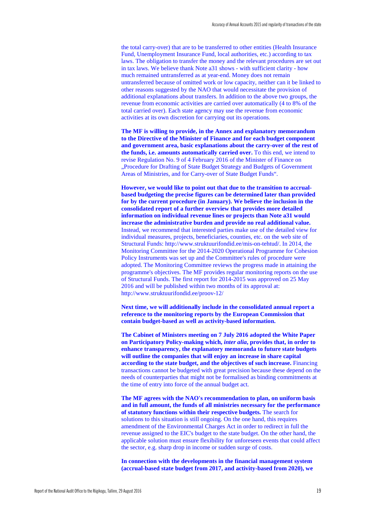the total carry-over) that are to be transferred to other entities (Health Insurance Fund, Unemployment Insurance Fund, local authorities, etc.) according to tax laws. The obligation to transfer the money and the relevant procedures are set out in tax laws. We believe thank Note a31 shows - with sufficient clarity - how much remained untransferred as at year-end. Money does not remain untransferred because of omitted work or low capacity, neither can it be linked to other reasons suggested by the NAO that would necessitate the provision of additional explanations about transfers. In addition to the above two groups, the revenue from economic activities are carried over automatically (4 to 8% of the total carried over). Each state agency may use the revenue from economic activities at its own discretion for carrying out its operations.

**The MF is willing to provide, in the Annex and explanatory memorandum to the Directive of the Minister of Finance and for each budget component and government area, basic explanations about the carry-over of the rest of the funds, i.e. amounts automatically carried over.** To this end, we intend to revise Regulation No. 9 of 4 February 2016 of the Minister of Finance on ..Procedure for Drafting of State Budget Strategy and Budgets of Government Areas of Ministries, and for Carry-over of State Budget Funds".

**However, we would like to point out that due to the transition to accrualbased budgeting the precise figures can be determined later than provided for by the current procedure (in January). We believe the inclusion in the consolidated report of a further overview that provides more detailed information on individual revenue lines or projects than Note a31 would increase the administrative burden and provide no real additional value.** Instead, we recommend that interested parties make use of the detailed view for individual measures, projects, beneficiaries, counties, etc. on the web site of Structural Funds: http://www.struktuurifondid.ee/mis-on-tehtud/. In 2014, the Monitoring Committee for the 2014-2020 Operational Programme for Cohesion Policy Instruments was set up and the Committee's rules of procedure were adopted. The Monitoring Committee reviews the progress made in attaining the programme's objectives. The MF provides regular monitoring reports on the use of Structural Funds. The first report for 2014-2015 was approved on 25 May 2016 and will be published within two months of its approval at: <http://www.struktuurifondid.ee/proov-12/>

**Next time, we will additionally include in the consolidated annual report a reference to the monitoring reports by the European Commission that contain budget-based as well as activity-based information.**

**The Cabinet of Ministers meeting on 7 July 2016 adopted the White Paper on Participatory Policy-making which,** *inter alia***, provides that, in order to enhance transparency, the explanatory memoranda to future state budgets will outline the companies that will enjoy an increase in share capital according to the state budget, and the objectives of such increase.** Financing transactions cannot be budgeted with great precision because these depend on the needs of counterparties that might not be formalised as binding commitments at the time of entry into force of the annual budget act.

**The MF agrees with the NAO's recommendation to plan, on uniform basis and in full amount, the funds of all ministries necessary for the performance of statutory functions within their respective budgets.** The search for solutions to this situation is still ongoing. On the one hand, this requires amendment of the Environmental Charges Act in order to redirect in full the revenue assigned to the EIC's budget to the state budget. On the other hand, the applicable solution must ensure flexibility for unforeseen events that could affect the sector, e.g. sharp drop in income or sudden surge of costs.

**In connection with the developments in the financial management system (accrual-based state budget from 2017, and activity-based from 2020), we**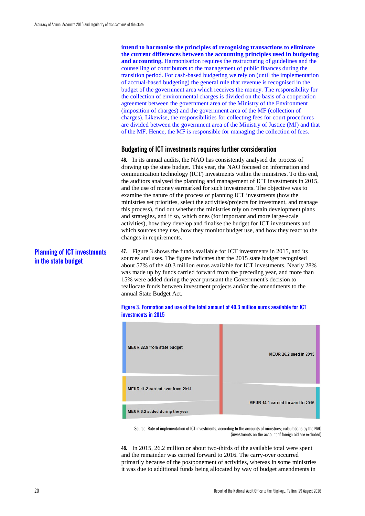**intend to harmonise the principles of recognising transactions to eliminate the current differences between the accounting principles used in budgeting and accounting.** Harmonisation requires the restructuring of guidelines and the counselling of contributors to the management of public finances during the transition period. For cash-based budgeting we rely on (until the implementation of accrual-based budgeting) the general rule that revenue is recognised in the budget of the government area which receives the money. The responsibility for the collection of environmental charges is divided on the basis of a cooperation agreement between the government area of the Ministry of the Environment (imposition of charges) and the government area of the MF (collection of charges). Likewise, the responsibilities for collecting fees for court procedures are divided between the government area of the Ministry of Justice (MJ) and that of the MF. Hence, the MF is responsible for managing the collection of fees.

### <span id="page-21-0"></span>**Budgeting of ICT investments requires further consideration**

**46.** In its annual audits, the NAO has consistently analysed the process of drawing up the state budget. This year, the NAO focused on information and communication technology (ICT) investments within the ministries. To this end, the auditors analysed the planning and management of ICT investments in 2015, and the use of money earmarked for such investments. The objective was to examine the nature of the process of planning ICT investments (how the ministries set priorities, select the activities/projects for investment, and manage this process), find out whether the ministries rely on certain development plans and strategies, and if so, which ones (for important and more large-scale activities), how they develop and finalise the budget for ICT investments and which sources they use, how they monitor budget use, and how they react to the changes in requirements.

## **Planning of ICT investments in the state budget**

**47.** Figure 3 shows the funds available for ICT investments in 2015, and its sources and uses. The figure indicates that the 2015 state budget recognised about 57% of the 40.3 million euros available for ICT investments. Nearly 28% was made up by funds carried forward from the preceding year, and more than 15% were added during the year pursuant the Government's decision to reallocate funds between investment projects and/or the amendments to the annual State Budget Act.





Source: Rate of implementation of ICT investments, according to the accounts of ministries; calculations by the NAO (investments on the account of foreign aid are excluded)

**48.** In 2015, 26.2 million or about two-thirds of the available total were spent and the remainder was carried forward to 2016. The carry-over occurred primarily because of the postponement of activities, whereas in some ministries it was due to additional funds being allocated by way of budget amendments in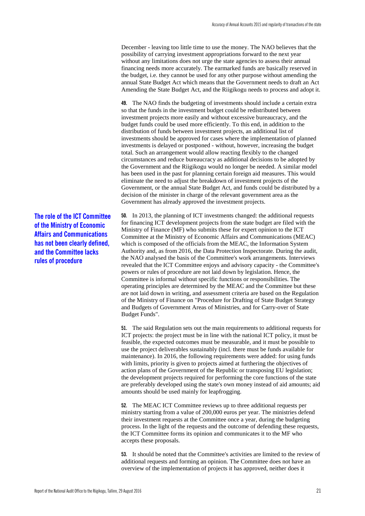December - leaving too little time to use the money. The NAO believes that the possibility of carrying investment appropriations forward to the next year without any limitations does not urge the state agencies to assess their annual financing needs more accurately. The earmarked funds are basically reserved in the budget, i.e. they cannot be used for any other purpose without amending the annual State Budget Act which means that the Government needs to draft an Act Amending the State Budget Act, and the Riigikogu needs to process and adopt it.

**49.** The NAO finds the budgeting of investments should include a certain extra so that the funds in the investment budget could be redistributed between investment projects more easily and without excessive bureaucracy, and the budget funds could be used more efficiently. To this end, in addition to the distribution of funds between investment projects, an additional list of investments should be approved for cases where the implementation of planned investments is delayed or postponed - without, however, increasing the budget total. Such an arrangement would allow reacting flexibly to the changed circumstances and reduce bureaucracy as additional decisions to be adopted by the Government and the Riigikogu would no longer be needed. A similar model has been used in the past for planning certain foreign aid measures. This would eliminate the need to adjust the breakdown of investment projects of the Government, or the annual State Budget Act, and funds could be distributed by a decision of the minister in charge of the relevant government area as the Government has already approved the investment projects.

**50.** In 2013, the planning of ICT investments changed: the additional requests for financing ICT development projects from the state budget are filed with the Ministry of Finance (MF) who submits these for expert opinion to the ICT Committee at the Ministry of Economic Affairs and Communications (MEAC) which is composed of the officials from the MEAC, the Information System Authority and, as from 2016, the Data Protection Inspectorate. During the audit, the NAO analysed the basis of the Committee's work arrangements. Interviews revealed that the ICT Committee enjoys and advisory capacity - the Committee's powers or rules of procedure are not laid down by legislation. Hence, the Committee is informal without specific functions or responsibilities. The operating principles are determined by the MEAC and the Committee but these are not laid down in writing, and assessment criteria are based on the Regulation of the Ministry of Finance on "Procedure for Drafting of State Budget Strategy and Budgets of Government Areas of Ministries, and for Carry-over of State Budget Funds".

**51.** The said Regulation sets out the main requirements to additional requests for ICT projects: the project must be in line with the national ICT policy, it must be feasible, the expected outcomes must be measurable, and it must be possible to use the project deliverables sustainably (incl. there must be funds available for maintenance). In 2016, the following requirements were added: for using funds with limits, priority is given to projects aimed at furthering the objectives of action plans of the Government of the Republic or transposing EU legislation; the development projects required for performing the core functions of the state are preferably developed using the state's own money instead of aid amounts; aid amounts should be used mainly for leapfrogging.

**52.** The MEAC ICT Committee reviews up to three additional requests per ministry starting from a value of 200,000 euros per year. The ministries defend their investment requests at the Committee once a year, during the budgeting process. In the light of the requests and the outcome of defending these requests, the ICT Committee forms its opinion and communicates it to the MF who accepts these proposals.

**53.** It should be noted that the Committee's activities are limited to the review of additional requests and forming an opinion. The Committee does not have an overview of the implementation of projects it has approved, neither does it

**The role of the ICT Committee of the Ministry of Economic Affairs and Communications has not been clearly defined, and the Committee lacks rules of procedure**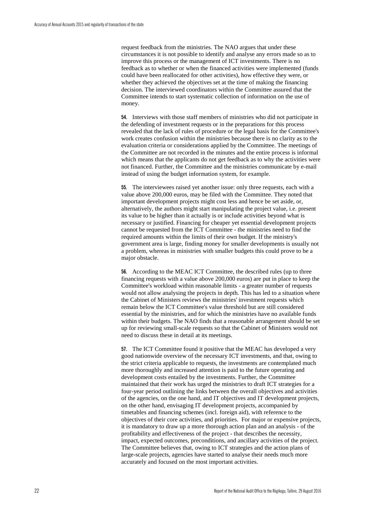request feedback from the ministries. The NAO argues that under these circumstances it is not possible to identify and analyse any errors made so as to improve this process or the management of ICT investments. There is no feedback as to whether or when the financed activities were implemented (funds could have been reallocated for other activities), how effective they were, or whether they achieved the objectives set at the time of making the financing decision. The interviewed coordinators within the Committee assured that the Committee intends to start systematic collection of information on the use of money.

**54.** Interviews with those staff members of ministries who did not participate in the defending of investment requests or in the preparations for this process revealed that the lack of rules of procedure or the legal basis for the Committee's work creates confusion within the ministries because there is no clarity as to the evaluation criteria or considerations applied by the Committee. The meetings of the Committee are not recorded in the minutes and the entire process is informal which means that the applicants do not get feedback as to why the activities were not financed. Further, the Committee and the ministries communicate by e-mail instead of using the budget information system, for example.

**55.** The interviewees raised yet another issue: only three requests, each with a value above 200,000 euros, may be filed with the Committee. They noted that important development projects might cost less and hence be set aside, or, alternatively, the authors might start manipulating the project value, i.e. present its value to be higher than it actually is or include activities beyond what is necessary or justified. Financing for cheaper yet essential development projects cannot be requested from the ICT Committee - the ministries need to find the required amounts within the limits of their own budget. If the ministry's government area is large, finding money for smaller developments is usually not a problem, whereas in ministries with smaller budgets this could prove to be a major obstacle.

**56.** According to the MEAC ICT Committee, the described rules (up to three financing requests with a value above 200,000 euros) are put in place to keep the Committee's workload within reasonable limits - a greater number of requests would not allow analysing the projects in depth. This has led to a situation where the Cabinet of Ministers reviews the ministries' investment requests which remain below the ICT Committee's value threshold but are still considered essential by the ministries, and for which the ministries have no available funds within their budgets. The NAO finds that a reasonable arrangement should be set up for reviewing small-scale requests so that the Cabinet of Ministers would not need to discuss these in detail at its meetings.

**57.** The ICT Committee found it positive that the MEAC has developed a very good nationwide overview of the necessary ICT investments, and that, owing to the strict criteria applicable to requests, the investments are contemplated much more thoroughly and increased attention is paid to the future operating and development costs entailed by the investments. Further, the Committee maintained that their work has urged the ministries to draft ICT strategies for a four-year period outlining the links between the overall objectives and activities of the agencies, on the one hand, and IT objectives and IT development projects, on the other hand, envisaging IT development projects, accompanied by timetables and financing schemes (incl. foreign aid), with reference to the objectives of their core activities, and priorities. For major or expensive projects, it is mandatory to draw up a more thorough action plan and an analysis - of the profitability and effectiveness of the project - that describes the necessity, impact, expected outcomes, preconditions, and ancillary activities of the project. The Committee believes that, owing to ICT strategies and the action plans of large-scale projects, agencies have started to analyse their needs much more accurately and focused on the most important activities.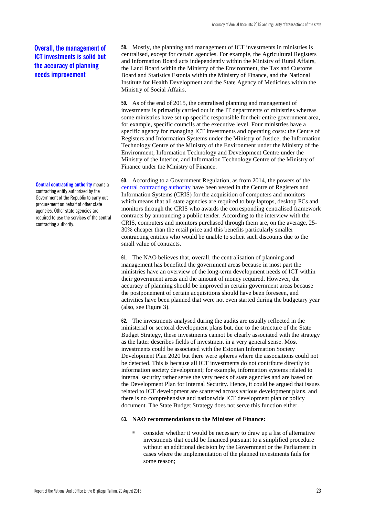**Central contracting authority** means a contracting entity authorised by the Government of the Republic to carry out procurement on behalf of other state agencies. Other state agencies are required to use the services of the central contracting authority.

**58.** Mostly, the planning and management of ICT investments in ministries is centralised, except for certain agencies. For example, the Agricultural Registers and Information Board acts independently within the Ministry of Rural Affairs, the Land Board within the Ministry of the Environment, the Tax and Customs Board and Statistics Estonia within the Ministry of Finance, and the National Institute for Health Development and the State Agency of Medicines within the Ministry of Social Affairs.

**59.** As of the end of 2015, the centralised planning and management of investments is primarily carried out in the IT departments of ministries whereas some ministries have set up specific responsible for their entire government area, for example, specific councils at the executive level. Four ministries have a specific agency for managing ICT investments and operating costs: the Centre of Registers and Information Systems under the Ministry of Justice, the Information Technology Centre of the Ministry of the Environment under the Ministry of the Environment, Information Technology and Development Centre under the Ministry of the Interior, and Information Technology Centre of the Ministry of Finance under the Ministry of Finance.

**60.** According to a Government Regulation, as from 2014, the powers of the central contracting authority have been vested in the Centre of Registers and Information Systems (CRIS) for the acquisition of computers and monitors which means that all state agencies are required to buy laptops, desktop PCs and monitors through the CRIS who awards the corresponding centralised framework contracts by announcing a public tender. According to the interview with the CRIS, computers and monitors purchased through them are, on the average, 25- 30% cheaper than the retail price and this benefits particularly smaller contracting entities who would be unable to solicit such discounts due to the small value of contracts.

**61.** The NAO believes that, overall, the centralisation of planning and management has benefited the government areas because in most part the ministries have an overview of the long-term development needs of ICT within their government areas and the amount of money required. However, the accuracy of planning should be improved in certain government areas because the postponement of certain acquisitions should have been foreseen, and activities have been planned that were not even started during the budgetary year (also, see Figure 3).

**62.** The investments analysed during the audits are usually reflected in the ministerial or sectoral development plans but, due to the structure of the State Budget Strategy, these investments cannot be clearly associated with the strategy as the latter describes fields of investment in a very general sense. Most investments could be associated with the Estonian Information Society Development Plan 2020 but there were spheres where the associations could not be detected. This is because all ICT investments do not contribute directly to information society development; for example, information systems related to internal security rather serve the very needs of state agencies and are based on the Development Plan for Internal Security. Hence, it could be argued that issues related to ICT development are scattered across various development plans, and there is no comprehensive and nationwide ICT development plan or policy document. The State Budget Strategy does not serve this function either.

#### **63. NAO recommendations to the Minister of Finance:**

consider whether it would be necessary to draw up a list of alternative investments that could be financed pursuant to a simplified procedure without an additional decision by the Government or the Parliament in cases where the implementation of the planned investments fails for some reason;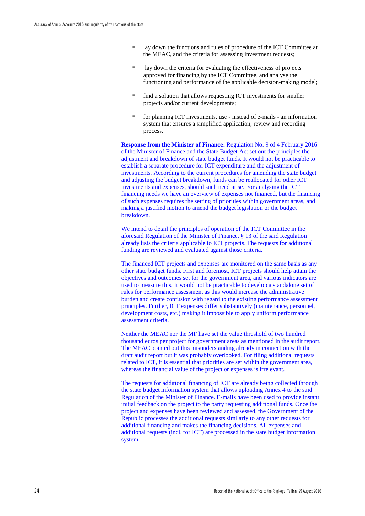- lay down the functions and rules of procedure of the ICT Committee at the MEAC, and the criteria for assessing investment requests;
- lay down the criteria for evaluating the effectiveness of projects approved for financing by the ICT Committee, and analyse the functioning and performance of the applicable decision-making model;
- find a solution that allows requesting ICT investments for smaller projects and/or current developments;
- for planning ICT investments, use instead of e-mails an information system that ensures a simplified application, review and recording process.

**Response from the Minister of Finance:** Regulation No. 9 of 4 February 2016 of the Minister of Finance and the State Budget Act set out the principles the adjustment and breakdown of state budget funds. It would not be practicable to establish a separate procedure for ICT expenditure and the adjustment of investments. According to the current procedures for amending the state budget and adjusting the budget breakdown, funds can be reallocated for other ICT investments and expenses, should such need arise. For analysing the ICT financing needs we have an overview of expenses not financed, but the financing of such expenses requires the setting of priorities within government areas, and making a justified motion to amend the budget legislation or the budget breakdown.

We intend to detail the principles of operation of the ICT Committee in the aforesaid Regulation of the Minister of Finance. § 13 of the said Regulation already lists the criteria applicable to ICT projects. The requests for additional funding are reviewed and evaluated against those criteria.

The financed ICT projects and expenses are monitored on the same basis as any other state budget funds. First and foremost, ICT projects should help attain the objectives and outcomes set for the government area, and various indicators are used to measure this. It would not be practicable to develop a standalone set of rules for performance assessment as this would increase the administrative burden and create confusion with regard to the existing performance assessment principles. Further, ICT expenses differ substantively (maintenance, personnel, development costs, etc.) making it impossible to apply uniform performance assessment criteria.

Neither the MEAC nor the MF have set the value threshold of two hundred thousand euros per project for government areas as mentioned in the audit report. The MEAC pointed out this misunderstanding already in connection with the draft audit report but it was probably overlooked. For filing additional requests related to ICT, it is essential that priorities are set within the government area, whereas the financial value of the project or expenses is irrelevant.

The requests for additional financing of ICT are already being collected through the state budget information system that allows uploading Annex 4 to the said Regulation of the Minister of Finance. E-mails have been used to provide instant initial feedback on the project to the party requesting additional funds. Once the project and expenses have been reviewed and assessed, the Government of the Republic processes the additional requests similarly to any other requests for additional financing and makes the financing decisions. All expenses and additional requests (incl. for ICT) are processed in the state budget information system.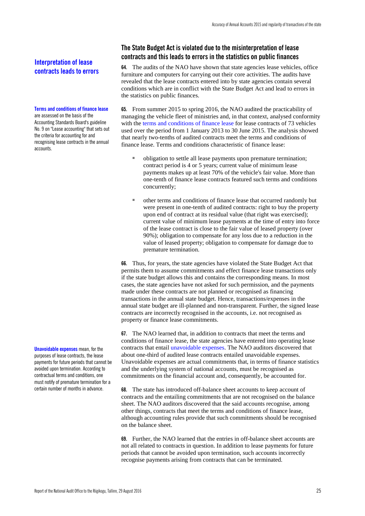## **Interpretation of lease contracts leads to errors**

#### **Terms and conditions of finance lease**

are assessed on the basis of the Accounting Standards Board's guideline No. 9 on "Lease accounting" that sets out the criteria for accounting for and recognising lease contracts in the annual accounts.

**Unavoidable expenses** mean, for the purposes of lease contracts, the lease payments for future periods that cannot be avoided upon termination. According to contractual terms and conditions, one must notify of premature termination for a certain number of months in advance.

## <span id="page-26-0"></span>**The State Budget Act is violated due to the misinterpretation of lease contracts and this leads to errors in the statistics on public finances**

**64.** The audits of the NAO have shown that state agencies lease vehicles, office furniture and computers for carrying out their core activities. The audits have revealed that the lease contracts entered into by state agencies contain several conditions which are in conflict with the State Budget Act and lead to errors in the statistics on public finances.

**65.** From summer 2015 to spring 2016, the NAO audited the practicability of managing the vehicle fleet of ministries and, in that context, analysed conformity with the terms and conditions of finance lease for lease contracts of 73 vehicles used over the period from 1 January 2013 to 30 June 2015. The analysis showed that nearly two-tenths of audited contracts meet the terms and conditions of finance lease. Terms and conditions characteristic of finance lease:

- obligation to settle all lease payments upon premature termination; contract period is 4 or 5 years; current value of minimum lease payments makes up at least 70% of the vehicle's fair value. More than one-tenth of finance lease contracts featured such terms and conditions concurrently;
- other terms and conditions of finance lease that occurred randomly but were present in one-tenth of audited contracts: right to buy the property upon end of contract at its residual value (that right was exercised); current value of minimum lease payments at the time of entry into force of the lease contract is close to the fair value of leased property (over 90%); obligation to compensate for any loss due to a reduction in the value of leased property; obligation to compensate for damage due to premature termination.

**66.** Thus, for years, the state agencies have violated the State Budget Act that permits them to assume commitments and effect finance lease transactions only if the state budget allows this and contains the corresponding means. In most cases, the state agencies have not asked for such permission, and the payments made under these contracts are not planned or recognised as financing transactions in the annual state budget. Hence, transactions/expenses in the annual state budget are ill-planned and non-transparent. Further, the signed lease contracts are incorrectly recognised in the accounts, i.e. not recognised as property or finance lease commitments.

**67.** The NAO learned that, in addition to contracts that meet the terms and conditions of finance lease, the state agencies have entered into operating lease contracts that entail unavoidable expenses. The NAO auditors discovered that about one-third of audited lease contracts entailed unavoidable expenses. Unavoidable expenses are actual commitments that, in terms of finance statistics and the underlying system of national accounts, must be recognised as commitments on the financial account and, consequently, be accounted for.

**68.** The state has introduced off-balance sheet accounts to keep account of contracts and the entailing commitments that are not recognised on the balance sheet. The NAO auditors discovered that the said accounts recognise, among other things, contracts that meet the terms and conditions of finance lease, although accounting rules provide that such commitments should be recognised on the balance sheet.

**69.** Further, the NAO learned that the entries in off-balance sheet accounts are not all related to contracts in question. In addition to lease payments for future periods that cannot be avoided upon termination, such accounts incorrectly recognise payments arising from contracts that can be terminated.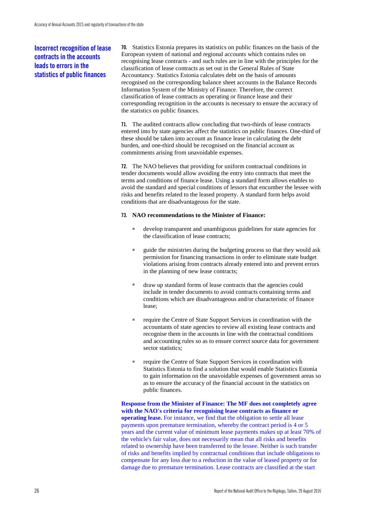## **Incorrect recognition of lease contracts in the accounts leads to errors in the statistics of public finances**

**70.** Statistics Estonia prepares its statistics on public finances on the basis of the European system of national and regional accounts which contains rules on recognising lease contracts - and such rules are in line with the principles for the classification of lease contracts as set out in the General Rules of State Accountancy. Statistics Estonia calculates debt on the basis of amounts recognised on the corresponding balance sheet accounts in the Balance Records Information System of the Ministry of Finance. Therefore, the correct classification of lease contracts as operating or finance lease and their corresponding recognition in the accounts is necessary to ensure the accuracy of the statistics on public finances.

**71.** The audited contracts allow concluding that two-thirds of lease contracts entered into by state agencies affect the statistics on public finances. One-third of these should be taken into account as finance lease in calculating the debt burden, and one-third should be recognised on the financial account as commitments arising from unavoidable expenses.

**72.** The NAO believes that providing for uniform contractual conditions in tender documents would allow avoiding the entry into contracts that meet the terms and conditions of finance lease. Using a standard form allows enables to avoid the standard and special conditions of lessors that encumber the lessee with risks and benefits related to the leased property. A standard form helps avoid conditions that are disadvantageous for the state.

#### **73. NAO recommendations to the Minister of Finance:**

- develop transparent and unambiguous guidelines for state agencies for the classification of lease contracts;
- guide the ministries during the budgeting process so that they would ask permission for financing transactions in order to eliminate state budget violations arising from contracts already entered into and prevent errors in the planning of new lease contracts;
- draw up standard forms of lease contracts that the agencies could include in tender documents to avoid contracts containing terms and conditions which are disadvantageous and/or characteristic of finance lease;
- require the Centre of State Support Services in coordination with the accountants of state agencies to review all existing lease contracts and recognise them in the accounts in line with the contractual conditions and accounting rules so as to ensure correct source data for government sector statistics:
- require the Centre of State Support Services in coordination with Statistics Estonia to find a solution that would enable Statistics Estonia to gain information on the unavoidable expenses of government areas so as to ensure the accuracy of the financial account in the statistics on public finances.

**Response from the Minister of Finance: The MF does not completely agree with the NAO's criteria for recognising lease contracts as finance or operating lease.** For instance, we find that the obligation to settle all lease payments upon premature termination, whereby the contract period is 4 or 5 years and the current value of minimum lease payments makes up at least 70% of the vehicle's fair value, does not necessarily mean that all risks and benefits related to ownership have been transferred to the lessee. Neither is such transfer of risks and benefits implied by contractual conditions that include obligations to compensate for any loss due to a reduction in the value of leased property or for damage due to premature termination. Lease contracts are classified at the start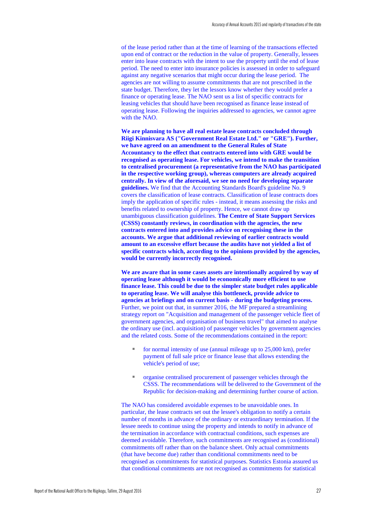of the lease period rather than at the time of learning of the transactions effected upon end of contract or the reduction in the value of property. Generally, lessees enter into lease contracts with the intent to use the property until the end of lease period. The need to enter into insurance policies is assessed in order to safeguard against any negative scenarios that might occur during the lease period. The agencies are not willing to assume commitments that are not prescribed in the state budget. Therefore, they let the lessors know whether they would prefer a finance or operating lease. The NAO sent us a list of specific contracts for leasing vehicles that should have been recognised as finance lease instead of operating lease. Following the inquiries addressed to agencies, we cannot agree with the NAO.

**We are planning to have all real estate lease contracts concluded through Riigi Kinnisvara AS ("Government Real Estate Ltd." or "GRE"). Further, we have agreed on an amendment to the General Rules of State Accountancy to the effect that contracts entered into with GRE would be recognised as operating lease. For vehicles, we intend to make the transition to centralised procurement (a representative from the NAO has participated in the respective working group), whereas computers are already acquired centrally. In view of the aforesaid, we see no need for developing separate guidelines.** We find that the Accounting Standards Board's guideline No. 9 covers the classification of lease contracts. Classification of lease contracts does imply the application of specific rules - instead, it means assessing the risks and benefits related to ownership of property. Hence, we cannot draw up unambiguous classification guidelines. **The Centre of State Support Services (CSSS) constantly reviews, in coordination with the agencies, the new contracts entered into and provides advice on recognising these in the accounts. We argue that additional reviewing of earlier contracts would amount to an excessive effort because the audits have not yielded a list of specific contracts which, according to the opinions provided by the agencies, would be currently incorrectly recognised.**

**We are aware that in some cases assets are intentionally acquired by way of operating lease although it would be economically more efficient to use finance lease. This could be due to the simpler state budget rules applicable to operating lease. We will analyse this bottleneck, provide advice to agencies at briefings and on current basis - during the budgeting process.** Further, we point out that, in summer 2016, the MF prepared a streamlining strategy report on "Acquisition and management of the passenger vehicle fleet of government agencies, and organisation of business travel" that aimed to analyse the ordinary use (incl. acquisition) of passenger vehicles by government agencies and the related costs. Some of the recommendations contained in the report:

- for normal intensity of use (annual mileage up to  $25,000$  km), prefer payment of full sale price or finance lease that allows extending the vehicle's period of use;
- organise centralised procurement of passenger vehicles through the CSSS. The recommendations will be delivered to the Government of the Republic for decision-making and determining further course of action.

The NAO has considered avoidable expenses to be unavoidable ones. In particular, the lease contracts set out the lessee's obligation to notify a certain number of months in advance of the ordinary or extraordinary termination. If the lessee needs to continue using the property and intends to notify in advance of the termination in accordance with contractual conditions, such expenses are deemed avoidable. Therefore, such commitments are recognised as (conditional) commitments off rather than on the balance sheet. Only actual commitments (that have become due) rather than conditional commitments need to be recognised as commitments for statistical purposes. Statistics Estonia assured us that conditional commitments are not recognised as commitments for statistical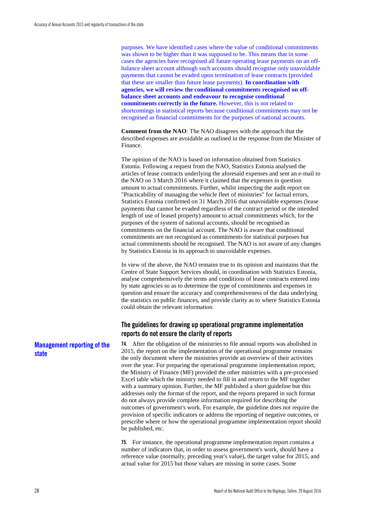purposes. We have identified cases where the value of conditional commitments was shown to be higher than it was supposed to be. This means that in some cases the agencies have recognised all future operating lease payments on an offbalance sheet account although such accounts should recognise only unavoidable payments that cannot be evaded upon termination of lease contracts (provided that these are smaller than future lease payments). **In coordination with agencies, we will review the conditional commitments recognised on offbalance sheet accounts and endeavour to recognise conditional commitments correctly in the future.** However, this is not related to shortcomings in statistical reports because conditional commitments may not be recognised as financial commitments for the purposes of national accounts.

**Comment from the NAO**: The NAO disagrees with the approach that the described expenses are avoidable as outlined in the response from the Minister of Finance.

The opinion of the NAO is based on information obtained from Statistics Estonia. Following a request from the NAO, Statistics Estonia analysed the articles of lease contracts underlying the aforesaid expenses and sent an e-mail to the NAO on 3 March 2016 where it claimed that the expenses in question amount to actual commitments. Further, whilst inspecting the audit report on "Practicability of managing the vehicle fleet of ministries" for factual errors, Statistics Estonia confirmed on 31 March 2016 that unavoidable expenses (lease payments that cannot be evaded regardless of the contract period or the intended length of use of leased property) amount to actual commitments which, for the purposes of the system of national accounts, should be recognised as commitments on the financial account. The NAO is aware that conditional commitments are not recognised as commitments for statistical purposes but actual commitments should be recognised. The NAO is not aware of any changes by Statistics Estonia in its approach to unavoidable expenses.

In view of the above, the NAO remains true to its opinion and maintains that the Centre of State Support Services should, in coordination with Statistics Estonia, analyse comprehensively the terms and conditions of lease contracts entered into by state agencies so as to determine the type of commitments and expenses in question and ensure the accuracy and comprehensiveness of the data underlying the statistics on public finances, and provide clarity as to where Statistics Estonia could obtain the relevant information.

## <span id="page-29-0"></span>**The guidelines for drawing up operational programme implementation reports do not ensure the clarity of reports**

**74.** After the obligation of the ministries to file annual reports was abolished in 2015, the report on the implementation of the operational programme remains the only document where the ministries provide an overview of their activities over the year. For preparing the operational programme implementation report, the Ministry of Finance (MF) provided the other ministries with a pre-processed Excel table which the ministry needed to fill in and return to the MF together with a summary opinion. Further, the MF published a short guideline but this addresses only the format of the report, and the reports prepared in such format do not always provide complete information required for describing the outcomes of government's work. For example, the guideline does not require the provision of specific indicators or address the reporting of negative outcomes, or prescribe where or how the operational programme implementation report should be published, etc.

**75.** For instance, the operational programme implementation report contains a number of indicators that, in order to assess government's work, should have a reference value (normally, preceding year's value), the target value for 2015, and actual value for 2015 but those values are missing in some cases. Some

## **Management reporting of the state**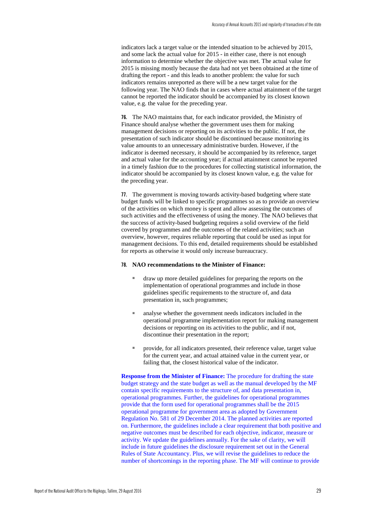indicators lack a target value or the intended situation to be achieved by 2015, and some lack the actual value for 2015 - in either case, there is not enough information to determine whether the objective was met. The actual value for 2015 is missing mostly because the data had not yet been obtained at the time of drafting the report - and this leads to another problem: the value for such indicators remains unreported as there will be a new target value for the following year. The NAO finds that in cases where actual attainment of the target cannot be reported the indicator should be accompanied by its closest known value, e.g. the value for the preceding year.

**76.** The NAO maintains that, for each indicator provided, the Ministry of Finance should analyse whether the government uses them for making management decisions or reporting on its activities to the public. If not, the presentation of such indicator should be discontinued because monitoring its value amounts to an unnecessary administrative burden. However, if the indicator is deemed necessary, it should be accompanied by its reference, target and actual value for the accounting year; if actual attainment cannot be reported in a timely fashion due to the procedures for collecting statistical information, the indicator should be accompanied by its closest known value, e.g. the value for the preceding year.

**77.** The government is moving towards activity-based budgeting where state budget funds will be linked to specific programmes so as to provide an overview of the activities on which money is spent and allow assessing the outcomes of such activities and the effectiveness of using the money. The NAO believes that the success of activity-based budgeting requires a solid overview of the field covered by programmes and the outcomes of the related activities; such an overview, however, requires reliable reporting that could be used as input for management decisions. To this end, detailed requirements should be established for reports as otherwise it would only increase bureaucracy.

#### **78. NAO recommendations to the Minister of Finance:**

- draw up more detailed guidelines for preparing the reports on the implementation of operational programmes and include in those guidelines specific requirements to the structure of, and data presentation in, such programmes;
- analyse whether the government needs indicators included in the operational programme implementation report for making management decisions or reporting on its activities to the public, and if not, discontinue their presentation in the report;
- provide, for all indicators presented, their reference value, target value for the current year, and actual attained value in the current year, or failing that, the closest historical value of the indicator.

**Response from the Minister of Finance:** The procedure for drafting the state budget strategy and the state budget as well as the manual developed by the MF contain specific requirements to the structure of, and data presentation in, operational programmes. Further, the guidelines for operational programmes provide that the form used for operational programmes shall be the 2015 operational programme for government area as adopted by Government Regulation No. 581 of 29 December 2014. The planned activities are reported on. Furthermore, the guidelines include a clear requirement that both positive and negative outcomes must be described for each objective, indicator, measure or activity. We update the guidelines annually. For the sake of clarity, we will include in future guidelines the disclosure requirement set out in the General Rules of State Accountancy. Plus, we will revise the guidelines to reduce the number of shortcomings in the reporting phase. The MF will continue to provide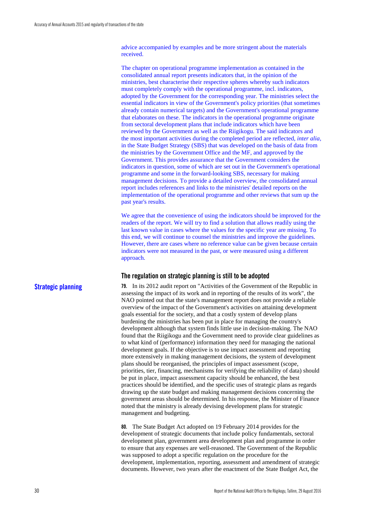advice accompanied by examples and be more stringent about the materials received.

The chapter on operational programme implementation as contained in the consolidated annual report presents indicators that, in the opinion of the ministries, best characterise their respective spheres whereby such indicators must completely comply with the operational programme, incl. indicators, adopted by the Government for the corresponding year. The ministries select the essential indicators in view of the Government's policy priorities (that sometimes already contain numerical targets) and the Government's operational programme that elaborates on these. The indicators in the operational programme originate from sectoral development plans that include indicators which have been reviewed by the Government as well as the Riigikogu. The said indicators and the most important activities during the completed period are reflected, *inter alia*, in the State Budget Strategy (SBS) that was developed on the basis of data from the ministries by the Government Office and the MF, and approved by the Government. This provides assurance that the Government considers the indicators in question, some of which are set out in the Government's operational programme and some in the forward-looking SBS, necessary for making management decisions. To provide a detailed overview, the consolidated annual report includes references and links to the ministries' detailed reports on the implementation of the operational programme and other reviews that sum up the past year's results.

We agree that the convenience of using the indicators should be improved for the readers of the report. We will try to find a solution that allows readily using the last known value in cases where the values for the specific year are missing. To this end, we will continue to counsel the ministries and improve the guidelines. However, there are cases where no reference value can be given because certain indicators were not measured in the past, or were measured using a different approach.

**79.** In its 2012 audit report on "Activities of the Government of the Republic in

#### <span id="page-31-0"></span>**The regulation on strategic planning is still to be adopted**

**Strategic planning**

assessing the impact of its work and in reporting of the results of its work", the NAO pointed out that the state's management report does not provide a reliable overview of the impact of the Government's activities on attaining development goals essential for the society, and that a costly system of develop plans burdening the ministries has been put in place for managing the country's development although that system finds little use in decision-making. The NAO found that the Riigikogu and the Government need to provide clear guidelines as to what kind of (performance) information they need for managing the national development goals. If the objective is to use impact assessment and reporting more extensively in making management decisions, the system of development plans should be reorganised, the principles of impact assessment (scope, priorities, tier, financing, mechanisms for verifying the reliability of data) should be put in place, impact assessment capacity should be enhanced, the best practices should be identified, and the specific uses of strategic plans as regards drawing up the state budget and making management decisions concerning the government areas should be determined. In his response, the Minister of Finance noted that the ministry is already devising development plans for strategic management and budgeting.

**80.** The State Budget Act adopted on 19 February 2014 provides for the development of strategic documents that include policy fundamentals, sectoral development plan, government area development plan and programme in order to ensure that any expenses are well-reasoned. The Government of the Republic was supposed to adopt a specific regulation on the procedure for the development, implementation, reporting, assessment and amendment of strategic documents. However, two years after the enactment of the State Budget Act, the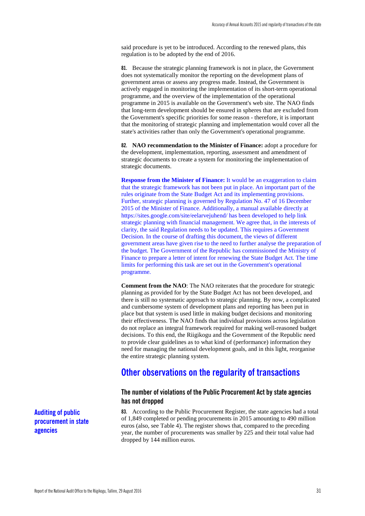said procedure is yet to be introduced. According to the renewed plans, this regulation is to be adopted by the end of 2016.

**81.** Because the strategic planning framework is not in place, the Government does not systematically monitor the reporting on the development plans of government areas or assess any progress made. Instead, the Government is actively engaged in monitoring the implementation of its short-term operational programme, and the overview of the implementation of the operational programme in 2015 is available on the Government's web site. The NAO finds that long-term development should be ensured in spheres that are excluded from the Government's specific priorities for some reason - therefore, it is important that the monitoring of strategic planning and implementation would cover all the state's activities rather than only the Government's operational programme.

**82. NAO recommendation to the Minister of Finance:** adopt a procedure for the development, implementation, reporting, assessment and amendment of strategic documents to create a system for monitoring the implementation of strategic documents.

**Response from the Minister of Finance:** It would be an exaggeration to claim that the strategic framework has not been put in place. An important part of the rules originate from the State Budget Act and its implementing provisions. Further, strategic planning is governed by Regulation No. 47 of 16 December 2015 of the Minister of Finance. Additionally, a manual available directly at https://sites.google.com/site/eelarvejuhend/ has been developed to help link strategic planning with financial management. We agree that, in the interests of clarity, the said Regulation needs to be updated. This requires a Government Decision. In the course of drafting this document, the views of different government areas have given rise to the need to further analyse the preparation of the budget. The Government of the Republic has commissioned the Ministry of Finance to prepare a letter of intent for renewing the State Budget Act. The time limits for performing this task are set out in the Government's operational programme.

**Comment from the NAO**: The NAO reiterates that the procedure for strategic planning as provided for by the State Budget Act has not been developed, and there is still no systematic approach to strategic planning. By now, a complicated and cumbersome system of development plans and reporting has been put in place but that system is used little in making budget decisions and monitoring their effectiveness. The NAO finds that individual provisions across legislation do not replace an integral framework required for making well-reasoned budget decisions. To this end, the Riigikogu and the Government of the Republic need to provide clear guidelines as to what kind of (performance) information they need for managing the national development goals, and in this light, reorganise the entire strategic planning system.

## <span id="page-32-0"></span>**Other observations on the regularity of transactions**

## <span id="page-32-1"></span>**The number of violations of the Public Procurement Act by state agencies has not dropped**

**83.** According to the Public Procurement Register, the state agencies had a total of 1,849 completed or pending procurements in 2015 amounting to 490 million euros (also, see Table 4). The register shows that, compared to the preceding year, the number of procurements was smaller by 225 and their total value had dropped by 144 million euros.

**Auditing of public procurement in state agencies**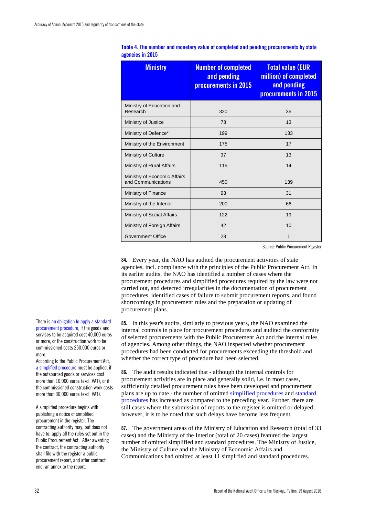| <b>Ministry</b>                                    | <b>Number of completed</b><br>and pending<br>procurements in 2015 | <b>Total value (EUR</b><br>million) of completed<br>and pending<br>procurements in 2015 |
|----------------------------------------------------|-------------------------------------------------------------------|-----------------------------------------------------------------------------------------|
| Ministry of Education and<br>Research              | 320                                                               | 35                                                                                      |
| Ministry of Justice                                | 73                                                                | 13                                                                                      |
| Ministry of Defence*                               | 199                                                               | 133                                                                                     |
| Ministry of the Environment                        | 175                                                               | 17                                                                                      |
| Ministry of Culture                                | 37                                                                | 13                                                                                      |
| Ministry of Rural Affairs                          | 115                                                               | 14                                                                                      |
| Ministry of Economic Affairs<br>and Communications | 450                                                               | 139                                                                                     |
| Ministry of Finance                                | 93                                                                | 31                                                                                      |
| Ministry of the Interior                           | 200                                                               | 66                                                                                      |
| Ministry of Social Affairs                         | 122                                                               | 19                                                                                      |
| Ministry of Foreign Affairs                        | 42                                                                | 10                                                                                      |
| <b>Government Office</b>                           | 23                                                                | 1                                                                                       |

| Table 4. The number and monetary value of completed and pending procurements by state |  |  |
|---------------------------------------------------------------------------------------|--|--|
| agencies in 2015                                                                      |  |  |

Source: Public Procurement Register

**84.** Every year, the NAO has audited the procurement activities of state agencies, incl. compliance with the principles of the Public Procurement Act. In its earlier audits, the NAO has identified a number of cases where the procurement procedures and simplified procedures required by the law were not carried out, and detected irregularities in the documentation of procurement procedures, identified cases of failure to submit procurement reports, and found shortcomings in procurement rules and the preparation or updating of procurement plans.

**85.** In this year's audits, similarly to previous years, the NAO examined the internal controls in place for procurement procedures and audited the conformity of selected procurements with the Public Procurement Act and the internal rules of agencies. Among other things, the NAO inspected whether procurement procedures had been conducted for procurements exceeding the threshold and whether the correct type of procedure had been selected.

**86.** The audit results indicated that - although the internal controls for procurement activities are in place and generally solid, i.e. in most cases, sufficiently detailed procurement rules have been developed and procurement plans are up to date - the number of omitted simplified procedures and standard procedures has increased as compared to the preceding year. Further, there are still cases where the submission of reports to the register is omitted or delayed; however, it is to be noted that such delays have become less frequent.

**87.** The government areas of the Ministry of Education and Research (total of 33 cases) and the Ministry of the Interior (total of 20 cases) featured the largest number of omitted simplified and standard procedures. The Ministry of Justice, the Ministry of Culture and the Ministry of Economic Affairs and Communications had omitted at least 11 simplified and standard procedures.

There is an obligation to apply a standard procurement procedure, if the goods and services to be acquired cost 40,000 euros or more, or the construction work to be commissioned costs 250,000 euros or more.

According to the Public Procurement Act, a simplified procedure must be applied, if the outsourced goods or services cost more than 10,000 euros (excl. VAT), or if the commissioned construction work costs more than 30,000 euros (excl. VAT).

A simplified procedure begins with publishing a notice of simplified procurement in the register. The contracting authority may, but does not have to, apply all the rules set out in the Public Procurement Act. After awarding the contract, the contracting authority shall file with the register a public procurement report, and after contract end, an annex to the report.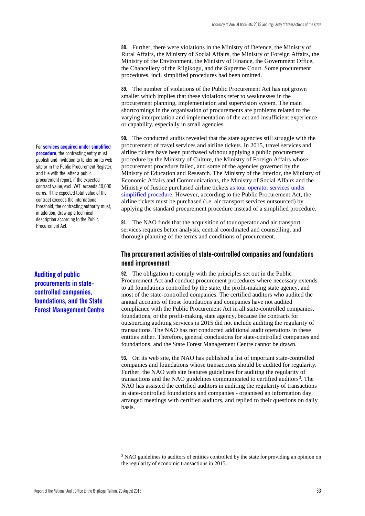**88.** Further, there were violations in the Ministry of Defence, the Ministry of Rural Affairs, the Ministry of Social Affairs, the Ministry of Foreign Affairs, the Ministry of the Environment, the Ministry of Finance, the Government Office, the Chancellery of the Riigikogu, and the Supreme Court. Some procurement procedures, incl. simplified procedures had been omitted.

**89.** The number of violations of the Public Procurement Act has not grown smaller which implies that these violations refer to weaknesses in the procurement planning, implementation and supervision system. The main shortcomings in the organisation of procurements are problems related to the varying interpretation and implementation of the act and insufficient experience or capability, especially in small agencies.

**90.** The conducted audits revealed that the state agencies still struggle with the procurement of travel services and airline tickets. In 2015, travel services and airline tickets have been purchased without applying a public procurement procedure by the Ministry of Culture, the Ministry of Foreign Affairs whose procurement procedure failed, and some of the agencies governed by the Ministry of Education and Research. The Ministry of the Interior, the Ministry of Economic Affairs and Communications, the Ministry of Social Affairs and the Ministry of Justice purchased airline tickets as tour operator services under simplified procedure. However, according to the Public Procurement Act, the airline tickets must be purchased (i.e. air transport services outsourced) by applying the standard procurement procedure instead of a simplified procedure.

**91.** The NAO finds that the acquisition of tour operator and air transport services requires better analysis, central coordinated and counselling, and thorough planning of the terms and conditions of procurement.

### <span id="page-34-0"></span>**The procurement activities of state-controlled companies and foundations need improvement**

**92.** The obligation to comply with the principles set out in the Public Procurement Act and conduct procurement procedures where necessary extends to all foundations controlled by the state, the profit-making state agency, and most of the state-controlled companies. The certified auditors who audited the annual accounts of those foundations and companies have not audited compliance with the Public Procurement Act in all state-controlled companies, foundations, or the profit-making state agency, because the contracts for outsourcing auditing services in 2015 did not include auditing the regularity of transactions. The NAO has not conducted additional audit operations in these entities either. Therefore, general conclusions for state-controlled companies and foundations, and the State Forest Management Centre cannot be drawn.

**93.** On its web site, the NAO has published a list of important state-controlled companies and foundations whose transactions should be audited for regularity. Further, the NAO web site features guidelines for auditing the regularity of transactions and the NAO guidelines communicated to certified auditors<sup>[3](#page-34-1)</sup>. The NAO has assisted the certified auditors in auditing the regularity of transactions in state-controlled foundations and companies - organised an information day, arranged meetings with certified auditors, and replied to their questions on daily basis.

For **services acquired under simplified procedure**, the contracting entity must publish and invitation to tender on its web site or in the Public Procurement Register, and file with the latter a public procurement report, if the expected contract value, excl. VAT, exceeds 40,000 euros. If the expected total value of the contract exceeds the international threshold, the contracting authority must, in addition, draw up a technical description according to the Public Procurement Act.

**Auditing of public procurements in statecontrolled companies, foundations, and the State Forest Management Centre**

<span id="page-34-1"></span><sup>&</sup>lt;sup>3</sup> NAO guidelines to auditors of entities controlled by the state for providing an opinion on the regularity of economic transactions in 2015.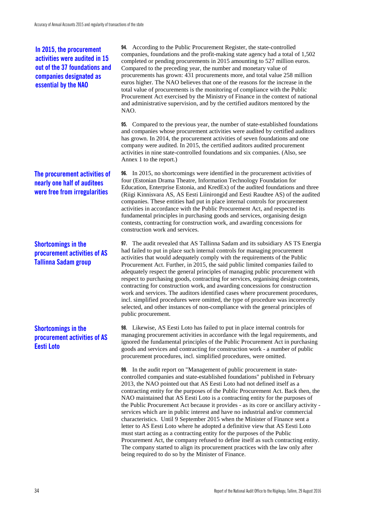## **In 2015, the procurement activities were audited in 15 out of the 37 foundations and companies designated as essential by the NAO**

## **The procurement activities of nearly one half of auditees were free from irregularities**

## **Shortcomings in the procurement activities of AS Tallinna Sadam group**

## **Shortcomings in the procurement activities of AS Eesti Loto**

**94.** According to the Public Procurement Register, the state-controlled companies, foundations and the profit-making state agency had a total of 1,502 completed or pending procurements in 2015 amounting to 527 million euros. Compared to the preceding year, the number and monetary value of procurements has grown: 431 procurements more, and total value 258 million euros higher. The NAO believes that one of the reasons for the increase in the total value of procurements is the monitoring of compliance with the Public Procurement Act exercised by the Ministry of Finance in the context of national and administrative supervision, and by the certified auditors mentored by the NAO.

**95.** Compared to the previous year, the number of state-established foundations and companies whose procurement activities were audited by certified auditors has grown. In 2014, the procurement activities of seven foundations and one company were audited. In 2015, the certified auditors audited procurement activities in nine state-controlled foundations and six companies. (Also, see Annex 1 to the report.)

**96.** In 2015, no shortcomings were identified in the procurement activities of four (Estonian Drama Theatre, Information Technology Foundation for Education, Enterprise Estonia, and KredEx) of the audited foundations and three (Riigi Kinnisvara AS, AS Eesti Liinirongid and Eesti Raudtee AS) of the audited companies. These entities had put in place internal controls for procurement activities in accordance with the Public Procurement Act, and respected its fundamental principles in purchasing goods and services, organising design contests, contracting for construction work, and awarding concessions for construction work and services.

**97.** The audit revealed that AS Tallinna Sadam and its subsidiary AS TS Energia had failed to put in place such internal controls for managing procurement activities that would adequately comply with the requirements of the Public Procurement Act. Further, in 2015, the said public limited companies failed to adequately respect the general principles of managing public procurement with respect to purchasing goods, contracting for services, organising design contests, contracting for construction work, and awarding concessions for construction work and services. The auditors identified cases where procurement procedures, incl. simplified procedures were omitted, the type of procedure was incorrectly selected, and other instances of non-compliance with the general principles of public procurement.

**98.** Likewise, AS Eesti Loto has failed to put in place internal controls for managing procurement activities in accordance with the legal requirements, and ignored the fundamental principles of the Public Procurement Act in purchasing goods and services and contracting for construction work - a number of public procurement procedures, incl. simplified procedures, were omitted.

**99.** In the audit report on "Management of public procurement in statecontrolled companies and state-established foundations" published in February 2013, the NAO pointed out that AS Eesti Loto had not defined itself as a contracting entity for the purposes of the Public Procurement Act. Back then, the NAO maintained that AS Eesti Loto is a contracting entity for the purposes of the Public Procurement Act because it provides - as its core or ancillary activity services which are in public interest and have no industrial and/or commercial characteristics. Until 9 September 2015 when the Minister of Finance sent a letter to AS Eesti Loto where he adopted a definitive view that AS Eesti Loto must start acting as a contracting entity for the purposes of the Public Procurement Act, the company refused to define itself as such contracting entity. The company started to align its procurement practices with the law only after being required to do so by the Minister of Finance.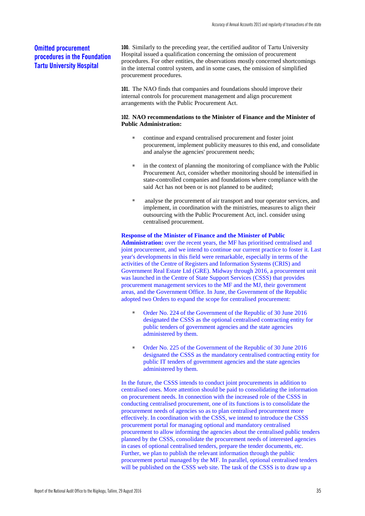## **Omitted procurement procedures in the Foundation Tartu University Hospital**

**100.** Similarly to the preceding year, the certified auditor of Tartu University Hospital issued a qualification concerning the omission of procurement procedures. For other entities, the observations mostly concerned shortcomings in the internal control system, and in some cases, the omission of simplified procurement procedures.

**101.** The NAO finds that companies and foundations should improve their internal controls for procurement management and align procurement arrangements with the Public Procurement Act.

#### **102. NAO recommendations to the Minister of Finance and the Minister of Public Administration:**

- continue and expand centralised procurement and foster joint procurement, implement publicity measures to this end, and consolidate and analyse the agencies' procurement needs;
- in the context of planning the monitoring of compliance with the Public Procurement Act, consider whether monitoring should be intensified in state-controlled companies and foundations where compliance with the said Act has not been or is not planned to be audited;
- analyse the procurement of air transport and tour operator services, and implement, in coordination with the ministries, measures to align their outsourcing with the Public Procurement Act, incl. consider using centralised procurement.

#### **Response of the Minister of Finance and the Minister of Public**

**Administration:** over the recent years, the MF has prioritised centralised and joint procurement, and we intend to continue our current practice to foster it. Last year's developments in this field were remarkable, especially in terms of the activities of the Centre of Registers and Information Systems (CRIS) and Government Real Estate Ltd (GRE). Midway through 2016, a procurement unit was launched in the Centre of State Support Services (CSSS) that provides procurement management services to the MF and the MJ, their government areas, and the Government Office. In June, the Government of the Republic adopted two Orders to expand the scope for centralised procurement:

- Order No. 224 of the Government of the Republic of 30 June 2016 designated the CSSS as the optional centralised contracting entity for public tenders of government agencies and the state agencies administered by them.
- Order No. 225 of the Government of the Republic of 30 June 2016 designated the CSSS as the mandatory centralised contracting entity for public IT tenders of government agencies and the state agencies administered by them.

In the future, the CSSS intends to conduct joint procurements in addition to centralised ones. More attention should be paid to consolidating the information on procurement needs. In connection with the increased role of the CSSS in conducting centralised procurement, one of its functions is to consolidate the procurement needs of agencies so as to plan centralised procurement more effectively. In coordination with the CSSS, we intend to introduce the CSSS procurement portal for managing optional and mandatory centralised procurement to allow informing the agencies about the centralised public tenders planned by the CSSS, consolidate the procurement needs of interested agencies in cases of optional centralised tenders, prepare the tender documents, etc. Further, we plan to publish the relevant information through the public procurement portal managed by the MF. In parallel, optional centralised tenders will be published on the CSSS web site. The task of the CSSS is to draw up a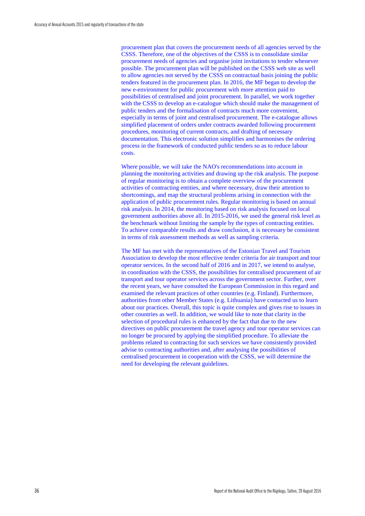procurement plan that covers the procurement needs of all agencies served by the CSSS. Therefore, one of the objectives of the CSSS is to consolidate similar procurement needs of agencies and organise joint invitations to tender whenever possible. The procurement plan will be published on the CSSS web site as well to allow agencies not served by the CSSS on contractual basis joining the public tenders featured in the procurement plan. In 2016, the MF began to develop the new e-environment for public procurement with more attention paid to possibilities of centralised and joint procurement. In parallel, we work together with the CSSS to develop an e-catalogue which should make the management of public tenders and the formalisation of contracts much more convenient, especially in terms of joint and centralised procurement. The e-catalogue allows simplified placement of orders under contracts awarded following procurement procedures, monitoring of current contracts, and drafting of necessary documentation. This electronic solution simplifies and harmonises the ordering process in the framework of conducted public tenders so as to reduce labour costs.

Where possible, we will take the NAO's recommendations into account in planning the monitoring activities and drawing up the risk analysis. The purpose of regular monitoring is to obtain a complete overview of the procurement activities of contracting entities, and where necessary, draw their attention to shortcomings, and map the structural problems arising in connection with the application of public procurement rules. Regular monitoring is based on annual risk analysis. In 2014, the monitoring based on risk analysis focused on local government authorities above all. In 2015-2016, we used the general risk level as the benchmark without limiting the sample by the types of contracting entities. To achieve comparable results and draw conclusion, it is necessary be consistent in terms of risk assessment methods as well as sampling criteria.

The MF has met with the representatives of the Estonian Travel and Tourism Association to develop the most effective tender criteria for air transport and tour operator services. In the second half of 2016 and in 2017, we intend to analyse, in coordination with the CSSS, the possibilities for centralised procurement of air transport and tour operator services across the government sector. Further, over the recent years, we have consulted the European Commission in this regard and examined the relevant practices of other countries (e.g. Finland). Furthermore, authorities from other Member States (e.g. Lithuania) have contacted us to learn about our practices. Overall, this topic is quite complex and gives rise to issues in other countries as well. In addition, we would like to note that clarity in the selection of procedural rules is enhanced by the fact that due to the new directives on public procurement the travel agency and tour operator services can no longer be procured by applying the simplified procedure. To alleviate the problems related to contracting for such services we have consistently provided advise to contracting authorities and, after analysing the possibilities of centralised procurement in cooperation with the CSSS, we will determine the need for developing the relevant guidelines.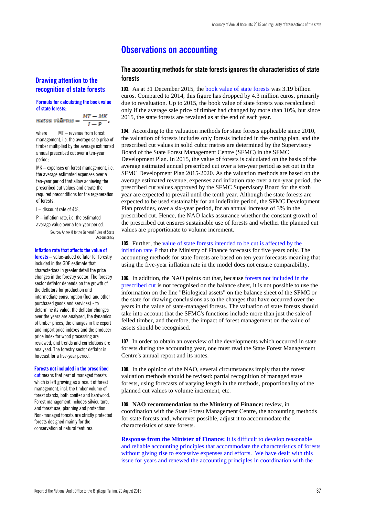## <span id="page-38-0"></span>**Observations on accounting**

## **Drawing attention to the recognition of state forests**

#### **Formula for calculating the book value of state forests**:

 $\frac{MT-MK}{I-P}.$ metsa väärtus =

where MT – revenue from forest management, i.e. the average sale price of timber multiplied by the average estimated annual prescribed cut over a ten-year period;

MK – expenses on forest management, i.e. the average estimated expenses over a ten-year period that allow achieving the prescribed cut values and create the required preconditions for the regeneration of forests;

I – discount rate of 4%,

P – inflation rate, i.e. the estimated average value over a ten-year period.

> Source: Annex 8 to the General Rules of State **Accountancy**

#### **Inflation rate that affects the value of**

**forests** – value-added deflator for forestry included in the GDP estimate that characterises in greater detail the price changes in the forestry sector. The forestry sector deflator depends on the growth of the deflators for production and intermediate consumption (fuel and other purchased goods and services) - to determine its value, the deflator changes over the years are analysed, the dynamics of timber prices, the changes in the export and import price indexes and the producer price index for wood processing are reviewed, and trends and correlations are analysed. The forestry sector deflator is forecast for a five-year period.

#### **Forests not included in the prescribed**

**cut** means that part of managed forests which is left growing as a result of forest management, incl. the timber volume of forest stands, both conifer and hardwood. Forest management includes silviculture, and forest use, planning and protection. Non-managed forests are strictly protected forests designed mainly for the conservation of natural features.

### <span id="page-38-1"></span>**The accounting methods for state forests ignores the characteristics of state forests**

**103.** As at 31 December 2015, the book value of state forests was 3.19 billion euros. Compared to 2014, this figure has dropped by 4.3 million euros, primarily due to revaluation. Up to 2015, the book value of state forests was recalculated only if the average sale price of timber had changed by more than 10%, but since 2015, the state forests are revalued as at the end of each year.

**104.** According to the valuation methods for state forests applicable since 2010, the valuation of forests includes only forests included in the cutting plan, and the prescribed cut values in solid cubic metres are determined by the Supervisory Board of the State Forest Management Centre (SFMC) in the SFMC Development Plan. In 2015, the value of forests is calculated on the basis of the average estimated annual prescribed cut over a ten-year period as set out in the SFMC Development Plan 2015-2020. As the valuation methods are based on the average estimated revenue, expenses and inflation rate over a ten-year period, the prescribed cut values approved by the SFMC Supervisory Board for the sixth year are expected to prevail until the tenth year. Although the state forests are expected to be used sustainably for an indefinite period, the SFMC Development Plan provides, over a six-year period, for an annual increase of 3% in the prescribed cut. Hence, the NAO lacks assurance whether the constant growth of the prescribed cut ensures sustainable use of forests and whether the planned cut values are proportionate to volume increment.

#### **105.** Further, the value of state forests intended to be cut is affected by the inflation rate P that the Ministry of Finance forecasts for five years only. The accounting methods for state forests are based on ten-year forecasts meaning that using the five-year inflation rate in the model does not ensure comparability.

**106.** In addition, the NAO points out that, because forests not included in the prescribed cut is not recognised on the balance sheet, it is not possible to use the information on the line "Biological assets" on the balance sheet of the SFMC or the state for drawing conclusions as to the changes that have occurred over the years in the value of state-managed forests. The valuation of state forests should take into account that the SFMC's functions include more than just the sale of felled timber, and therefore, the impact of forest management on the value of assets should be recognised.

**107.** In order to obtain an overview of the developments which occurred in state forests during the accounting year, one must read the State Forest Management Centre's annual report and its notes.

**108.** In the opinion of the NAO, several circumstances imply that the forest valuation methods should be revised: partial recognition of managed state forests, using forecasts of varying length in the methods, proportionality of the planned cut values to volume increment, etc.

**109. NAO recommendation to the Ministry of Finance:** review, in coordination with the State Forest Management Centre, the accounting methods for state forests and, wherever possible, adjust it to accommodate the characteristics of state forests.

**Response from the Minister of Finance:** It is difficult to develop reasonable and reliable accounting principles that accommodate the characteristics of forests without giving rise to excessive expenses and efforts. We have dealt with this issue for years and renewed the accounting principles in coordination with the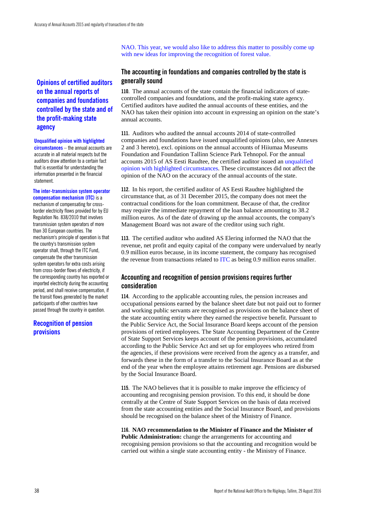NAO. This year, we would also like to address this matter to possibly come up with new ideas for improving the recognition of forest value.

## **Opinions of certified auditors on the annual reports of companies and foundations controlled by the state and of the profit-making state agency**

#### **Unqualified opinion with highlighted**

**circumstances** – the annual accounts are accurate in all material respects but the auditors draw attention to a certain fact that is essential for understanding the information presented in the financial statement.

#### **The inter-transmission system operator compensation mechanism (ITC)** is a

mechanism of compensating for crossborder electricity flows provided for by EU Regulation No. 838/2010 that involves transmission system operators of more than 30 European countries. The mechanism's principle of operation is that the country's transmission system operator shall, through the ITC Fund, compensate the other transmission system operators for extra costs arising from cross-border flows of electricity, if the corresponding country has exported or imported electricity during the accounting period, and shall receive compensation, if the transit flows generated by the market participants of other countries have passed through the country in question.

## **Recognition of pension provisions**

### <span id="page-39-0"></span>**The accounting in foundations and companies controlled by the state is generally sound**

**110.** The annual accounts of the state contain the financial indicators of statecontrolled companies and foundations, and the profit-making state agency. Certified auditors have audited the annual accounts of these entities, and the NAO has taken their opinion into account in expressing an opinion on the state's annual accounts.

**111.** Auditors who audited the annual accounts 2014 of state-controlled companies and foundations have issued unqualified opinions (also, see Annexes 2 and 3 hereto), excl. opinions on the annual accounts of Hiiumaa Museums Foundation and Foundation Tallinn Science Park Tehnopol. For the annual accounts 2015 of AS Eesti Raudtee, the certified auditor issued an unqualified opinion with highlighted circumstances. These circumstances did not affect the opinion of the NAO on the accuracy of the annual accounts of the state.

**112.** In his report, the certified auditor of AS Eesti Raudtee highlighted the circumstance that, as of 31 December 2015, the company does not meet the contractual conditions for the loan commitment. Because of that, the creditor may require the immediate repayment of the loan balance amounting to 38.2 million euros. As of the date of drawing up the annual accounts, the company's Management Board was not aware of the creditor using such right.

**113.** The certified auditor who audited AS Elering informed the NAO that the revenue, net profit and equity capital of the company were undervalued by nearly 0.9 million euros because, in its income statement, the company has recognised the revenue from transactions related to ITC as being 0.9 million euros smaller.

## <span id="page-39-1"></span>**Accounting and recognition of pension provisions requires further consideration**

**114.** According to the applicable accounting rules, the pension increases and occupational pensions earned by the balance sheet date but not paid out to former and working public servants are recognised as provisions on the balance sheet of the state accounting entity where they earned the respective benefit. Pursuant to the Public Service Act, the Social Insurance Board keeps account of the pension provisions of retired employees. The State Accounting Department of the Centre of State Support Services keeps account of the pension provisions, accumulated according to the Public Service Act and set up for employees who retired from the agencies, if these provisions were received from the agency as a transfer, and forwards these in the form of a transfer to the Social Insurance Board as at the end of the year when the employee attains retirement age. Pensions are disbursed by the Social Insurance Board.

**115.** The NAO believes that it is possible to make improve the efficiency of accounting and recognising pension provision. To this end, it should be done centrally at the Centre of State Support Services on the basis of data received from the state accounting entities and the Social Insurance Board, and provisions should be recognised on the balance sheet of the Ministry of Finance.

#### **116. NAO recommendation to the Minister of Finance and the Minister of Public Administration:** change the arrangements for accounting and recognising pension provisions so that the accounting and recognition would be carried out within a single state accounting entity - the Ministry of Finance.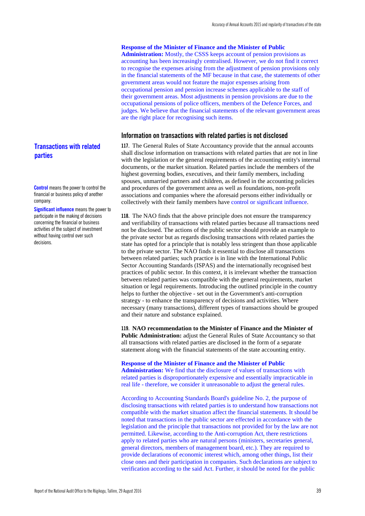#### **Response of the Minister of Finance and the Minister of Public**

**Administration:** Mostly, the CSSS keeps account of pension provisions as accounting has been increasingly centralised. However, we do not find it correct to recognise the expenses arising from the adjustment of pension provisions only in the financial statements of the MF because in that case, the statements of other government areas would not feature the major expenses arising from occupational pension and pension increase schemes applicable to the staff of their government areas. Most adjustments in pension provisions are due to the occupational pensions of police officers, members of the Defence Forces, and judges. We believe that the financial statements of the relevant government areas are the right place for recognising such items.

#### <span id="page-40-0"></span>**Information on transactions with related parties is not disclosed**

**117.** The General Rules of State Accountancy provide that the annual accounts shall disclose information on transactions with related parties that are not in line with the legislation or the general requirements of the accounting entity's internal documents, or the market situation. Related parties include the members of the highest governing bodies, executives, and their family members, including spouses, unmarried partners and children, as defined in the accounting policies and procedures of the government area as well as foundations, non-profit associations and companies where the aforesaid persons either individually or collectively with their family members have control or significant influence.

**118.** The NAO finds that the above principle does not ensure the transparency and verifiability of transactions with related parties because all transactions need not be disclosed. The actions of the public sector should provide an example to the private sector but as regards disclosing transactions with related parties the state has opted for a principle that is notably less stringent than those applicable to the private sector. The NAO finds it essential to disclose all transactions between related parties; such practice is in line with the International Public Sector Accounting Standards (ISPAS) and the internationally recognised best practices of public sector. In this context, it is irrelevant whether the transaction between related parties was compatible with the general requirements, market situation or legal requirements. Introducing the outlined principle in the country helps to further the objective - set out in the Government's anti-corruption strategy - to enhance the transparency of decisions and activities. Where necessary (many transactions), different types of transactions should be grouped and their nature and substance explained.

**119. NAO recommendation to the Minister of Finance and the Minister of Public Administration:** adjust the General Rules of State Accountancy so that all transactions with related parties are disclosed in the form of a separate statement along with the financial statements of the state accounting entity.

#### **Response of the Minister of Finance and the Minister of Public**

**Administration:** We find that the disclosure of values of transactions with related parties is disproportionately expensive and essentially impracticable in real life - therefore, we consider it unreasonable to adjust the general rules.

According to Accounting Standards Board's guideline No. 2, the purpose of disclosing transactions with related parties is to understand how transactions not compatible with the market situation affect the financial statements. It should be noted that transactions in the public sector are effected in accordance with the legislation and the principle that transactions not provided for by the law are not permitted. Likewise, according to the Anti-corruption Act, there restrictions apply to related parties who are natural persons (ministers, secretaries general, general directors, members of management board, etc.). They are required to provide declarations of economic interest which, among other things, list their close ones and their participation in companies. Such declarations are subject to verification according to the said Act. Further, it should be noted for the public

## **Transactions with related parties**

**Control** means the power to control the financial or business policy of another company.

**Significant influence** means the power to participate in the making of decisions concerning the financial or business activities of the subject of investment without having control over such decisions.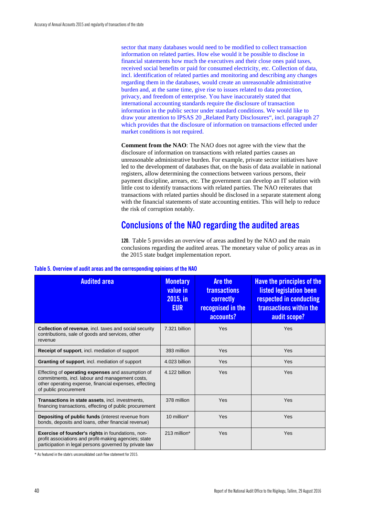sector that many databases would need to be modified to collect transaction information on related parties. How else would it be possible to disclose in financial statements how much the executives and their close ones paid taxes, received social benefits or paid for consumed electricity, etc. Collection of data, incl. identification of related parties and monitoring and describing any changes regarding them in the databases, would create an unreasonable administrative burden and, at the same time, give rise to issues related to data protection, privacy, and freedom of enterprise. You have inaccurately stated that international accounting standards require the disclosure of transaction information in the public sector under standard conditions. We would like to draw your attention to IPSAS 20 "Related Party Disclosures", incl. paragraph 27 which provides that the disclosure of information on transactions effected under market conditions is not required.

**Comment from the NAO**: The NAO does not agree with the view that the disclosure of information on transactions with related parties causes an unreasonable administrative burden. For example, private sector initiatives have led to the development of databases that, on the basis of data available in national registers, allow determining the connections between various persons, their payment discipline, arrears, etc. The government can develop an IT solution with little cost to identify transactions with related parties. The NAO reiterates that transactions with related parties should be disclosed in a separate statement along with the financial statements of state accounting entities. This will help to reduce the risk of corruption notably.

## <span id="page-41-0"></span>**Conclusions of the NAO regarding the audited areas**

**120.** Table 5 provides an overview of areas audited by the NAO and the main conclusions regarding the audited areas. The monetary value of policy areas as in the 2015 state budget implementation report.

| <b>Audited area</b>                                                                                                                                                                            | <b>Monetary</b><br>value in<br>2015, in<br><b>EUR</b> | <b>Are the</b><br><b>transactions</b><br>correctly<br>recognised in the<br>accounts? | Have the principles of the<br>listed legislation been<br>respected in conducting<br>transactions within the<br>audit scope? |
|------------------------------------------------------------------------------------------------------------------------------------------------------------------------------------------------|-------------------------------------------------------|--------------------------------------------------------------------------------------|-----------------------------------------------------------------------------------------------------------------------------|
| <b>Collection of revenue, incl. taxes and social security</b><br>contributions, sale of goods and services, other<br>revenue                                                                   | 7.321 billion                                         | Yes                                                                                  | Yes                                                                                                                         |
| Receipt of support, incl. mediation of support                                                                                                                                                 | 393 million                                           | Yes                                                                                  | Yes                                                                                                                         |
| Granting of support, incl. mediation of support                                                                                                                                                | 4.023 billion                                         | Yes                                                                                  | Yes                                                                                                                         |
| Effecting of <b>operating expenses</b> and assumption of<br>commitments, incl. labour and management costs,<br>other operating expense, financial expenses, effecting<br>of public procurement | 4.122 billion                                         | Yes                                                                                  | Yes                                                                                                                         |
| Transactions in state assets, incl. investments,<br>financing transactions, effecting of public procurement                                                                                    | 378 million                                           | Yes                                                                                  | Yes                                                                                                                         |
| Depositing of public funds (interest revenue from<br>bonds, deposits and loans, other financial revenue)                                                                                       | 10 million*                                           | Yes                                                                                  | Yes                                                                                                                         |
| Exercise of founder's rights in foundations, non-<br>profit associations and profit-making agencies; state<br>participation in legal persons governed by private law                           | 213 million*                                          | Yes                                                                                  | Yes                                                                                                                         |

#### **Table 5. Overview of audit areas and the corresponding opinions of the NAO**

\* As featured in the state's unconsolidated cash flow statement for 2015.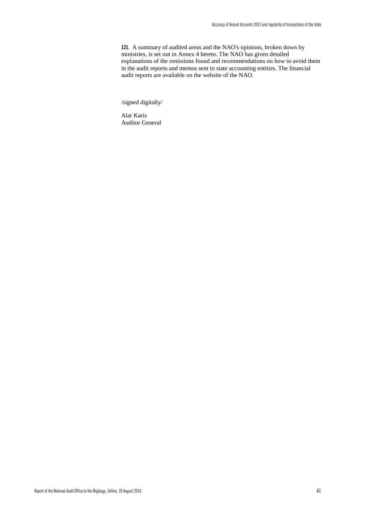**121.** A summary of audited areas and the NAO's opinions, broken down by ministries, is set out in Annex 4 hereto. The NAO has given detailed explanations of the omissions found and recommendations on how to avoid them in the audit reports and memos sent to state accounting entities. The financial audit reports are available on the website of the NAO.

/signed digitally/

Alar Karis Auditor General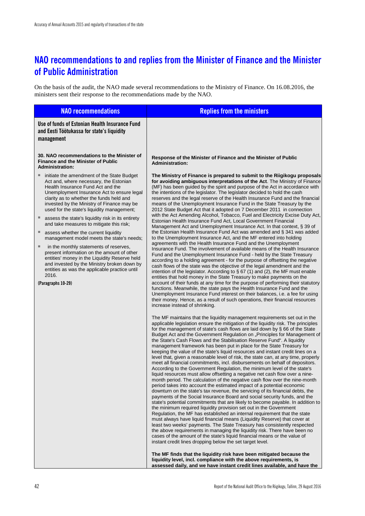## <span id="page-43-0"></span>**NAO recommendations to and replies from the Minister of Finance and the Minister of Public Administration**

On the basis of the audit, the NAO made several recommendations to the Ministry of Finance. On 16.08.2016, the ministers sent their response to the recommendations made by the NAO.

| <b>NAO recommendations</b>                                                                                                                                                                                                                                                                                                                                                                                                                                                                                                                                                                                                                                                                                                                                                              | <b>Replies from the ministers</b>                                                                                                                                                                                                                                                                                                                                                                                                                                                                                                                                                                                                                                                                                                                                                                                                                                                                                                                                                                                                                                                                                                                                                                                                                                                                                                                                                                                                                                                                                                                                                                                                                                                                                                                                                                                                                                                                                                                                                                                                                                                                                                                                                                                                                                                                                                                                                                                                                                                                                                                                                                                                                                                                                                                                                                                                                                                                                                                                                                                                                                                                                                                                                                                                                                                                                                                                                                                                                                                                                                                                                                                                                                                                                                                                                                                                                               |
|-----------------------------------------------------------------------------------------------------------------------------------------------------------------------------------------------------------------------------------------------------------------------------------------------------------------------------------------------------------------------------------------------------------------------------------------------------------------------------------------------------------------------------------------------------------------------------------------------------------------------------------------------------------------------------------------------------------------------------------------------------------------------------------------|-----------------------------------------------------------------------------------------------------------------------------------------------------------------------------------------------------------------------------------------------------------------------------------------------------------------------------------------------------------------------------------------------------------------------------------------------------------------------------------------------------------------------------------------------------------------------------------------------------------------------------------------------------------------------------------------------------------------------------------------------------------------------------------------------------------------------------------------------------------------------------------------------------------------------------------------------------------------------------------------------------------------------------------------------------------------------------------------------------------------------------------------------------------------------------------------------------------------------------------------------------------------------------------------------------------------------------------------------------------------------------------------------------------------------------------------------------------------------------------------------------------------------------------------------------------------------------------------------------------------------------------------------------------------------------------------------------------------------------------------------------------------------------------------------------------------------------------------------------------------------------------------------------------------------------------------------------------------------------------------------------------------------------------------------------------------------------------------------------------------------------------------------------------------------------------------------------------------------------------------------------------------------------------------------------------------------------------------------------------------------------------------------------------------------------------------------------------------------------------------------------------------------------------------------------------------------------------------------------------------------------------------------------------------------------------------------------------------------------------------------------------------------------------------------------------------------------------------------------------------------------------------------------------------------------------------------------------------------------------------------------------------------------------------------------------------------------------------------------------------------------------------------------------------------------------------------------------------------------------------------------------------------------------------------------------------------------------------------------------------------------------------------------------------------------------------------------------------------------------------------------------------------------------------------------------------------------------------------------------------------------------------------------------------------------------------------------------------------------------------------------------------------------------------------------------------------------------------------------------------|
| Use of funds of Estonian Health Insurance Fund<br>and Eesti Töötukassa for state's liquidity<br>management                                                                                                                                                                                                                                                                                                                                                                                                                                                                                                                                                                                                                                                                              |                                                                                                                                                                                                                                                                                                                                                                                                                                                                                                                                                                                                                                                                                                                                                                                                                                                                                                                                                                                                                                                                                                                                                                                                                                                                                                                                                                                                                                                                                                                                                                                                                                                                                                                                                                                                                                                                                                                                                                                                                                                                                                                                                                                                                                                                                                                                                                                                                                                                                                                                                                                                                                                                                                                                                                                                                                                                                                                                                                                                                                                                                                                                                                                                                                                                                                                                                                                                                                                                                                                                                                                                                                                                                                                                                                                                                                                                 |
| 30. NAO recommendations to the Minister of<br><b>Finance and the Minister of Public</b><br><b>Administration:</b>                                                                                                                                                                                                                                                                                                                                                                                                                                                                                                                                                                                                                                                                       | Response of the Minister of Finance and the Minister of Public<br><b>Administration:</b>                                                                                                                                                                                                                                                                                                                                                                                                                                                                                                                                                                                                                                                                                                                                                                                                                                                                                                                                                                                                                                                                                                                                                                                                                                                                                                                                                                                                                                                                                                                                                                                                                                                                                                                                                                                                                                                                                                                                                                                                                                                                                                                                                                                                                                                                                                                                                                                                                                                                                                                                                                                                                                                                                                                                                                                                                                                                                                                                                                                                                                                                                                                                                                                                                                                                                                                                                                                                                                                                                                                                                                                                                                                                                                                                                                        |
| initiate the amendment of the State Budget<br>Act and, where necessary, the Estonian<br>Health Insurance Fund Act and the<br>Unemployment Insurance Act to ensure legal<br>clarity as to whether the funds held and<br>invested by the Ministry of Finance may be<br>used for the state's liquidity management;<br>assess the state's liquidity risk in its entirety<br>and take measures to mitigate this risk;<br>assess whether the current liquidity<br>ш<br>management model meets the state's needs;<br>ш<br>in the monthly statements of reserves,<br>present information on the amount of other<br>entities' money in the Liquidity Reserve held<br>and invested by the Ministry broken down by<br>entities as was the applicable practice until<br>2016.<br>(Paragraphs 10-29) | The Ministry of Finance is prepared to submit to the Riigikogu proposals<br>for avoiding ambiguous interpretations of the Act. The Ministry of Finance<br>(MF) has been guided by the spirit and purpose of the Act in accordance with<br>the intentions of the legislator. The legislator decided to hold the cash<br>reserves and the legal reserve of the Health Insurance Fund and the financial<br>means of the Unemployment Insurance Fund in the State Treasury by the<br>2012 State Budget Act that it adopted on 7 December 2011 in connection<br>with the Act Amending Alcohol, Tobacco, Fuel and Electricity Excise Duty Act,<br>Estonian Health Insurance Fund Act, Local Government Financial<br>Management Act and Unemployment Insurance Act. In that context, § 39 of<br>the Estonian Health Insurance Fund Act was amended and § 341 was added<br>to the Unemployment Insurance Act, and the MF entered into holding<br>agreements with the Health Insurance Fund and the Unemployment<br>Insurance Fund. The involvement of available means of the Health Insurance<br>Fund and the Unemployment Insurance Fund - held by the State Treasury<br>according to a holding agreement - for the purpose of offsetting the negative<br>cash flows of the state was the objective of the legal amendment and the<br>intention of the legislator. According to $\S 67$ (1) and (2), the MF must enable<br>entities that hold money in the State Treasury to make payments on the<br>account of their funds at any time for the purpose of performing their statutory<br>functions. Meanwhile, the state pays the Health Insurance Fund and the<br>Unemployment Insurance Fund interest on their balances, i.e. a fee for using<br>their money. Hence, as a result of such operations, their financial resources<br>increase instead of shrinking.<br>The MF maintains that the liquidity management requirements set out in the<br>applicable legislation ensure the mitigation of the liquidity risk. The principles<br>for the management of state's cash flows are laid down by § 66 of the State<br>Budget Act and the Government Regulation on "Principles for Management of<br>the State's Cash Flows and the Stabilisation Reserve Fund". A liquidity<br>management framework has been put in place for the State Treasury for<br>keeping the value of the state's liquid resources and instant credit lines on a<br>level that, given a reasonable level of risk, the state can, at any time, properly<br>meet all financial commitments, incl. disbursements on behalf of depositors.<br>According to the Government Regulation, the minimum level of the state's<br>liquid resources must allow offsetting a negative net cash flow over a nine-<br>month period. The calculation of the negative cash flow over the nine-month<br>period takes into account the estimated impact of a potential economic<br>downturn on the state's tax revenue, the servicing of its financial debts, the<br>payments of the Social Insurance Board and social security funds, and the<br>state's potential commitments that are likely to become payable. In addition to<br>the minimum required liquidity provision set out in the Government<br>Regulation, the MF has established an internal requirement that the state<br>must always have liquid financial means (Liquidity Reserve) that cover at<br>least two weeks' payments. The State Treasury has consistently respected<br>the above requirements in managing the liquidity risk. There have been no<br>cases of the amount of the state's liquid financial means or the value of<br>instant credit lines dropping below the set target level.<br>The MF finds that the liquidity risk have been mitigated because the<br>liquidity level, incl. compliance with the above requirements, is |

**assessed daily, and we have instant credit lines available, and have the**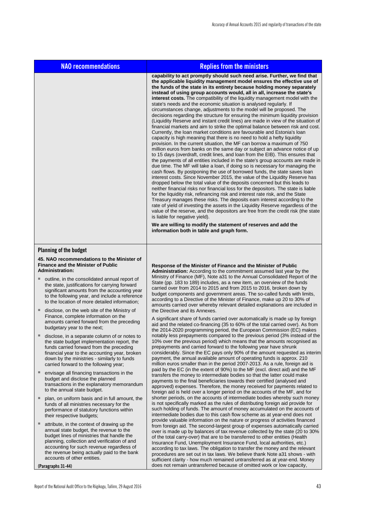| <b>NAO recommendations</b>                                                                                                                                                                                                                                                         | <b>Replies from the ministers</b>                                                                                                                                                                                                                                                                                                                                                                                                                                                                                                                                                                                                                                                                                                                                                                                                                                                                                                                                                                                                                                                                                                                                                                                                                                                                                                                                                                                                                                                                                                                                                                                                                                                                                                                                                                                                                                                                                                                                                                                                                                                                                                                                                             |
|------------------------------------------------------------------------------------------------------------------------------------------------------------------------------------------------------------------------------------------------------------------------------------|-----------------------------------------------------------------------------------------------------------------------------------------------------------------------------------------------------------------------------------------------------------------------------------------------------------------------------------------------------------------------------------------------------------------------------------------------------------------------------------------------------------------------------------------------------------------------------------------------------------------------------------------------------------------------------------------------------------------------------------------------------------------------------------------------------------------------------------------------------------------------------------------------------------------------------------------------------------------------------------------------------------------------------------------------------------------------------------------------------------------------------------------------------------------------------------------------------------------------------------------------------------------------------------------------------------------------------------------------------------------------------------------------------------------------------------------------------------------------------------------------------------------------------------------------------------------------------------------------------------------------------------------------------------------------------------------------------------------------------------------------------------------------------------------------------------------------------------------------------------------------------------------------------------------------------------------------------------------------------------------------------------------------------------------------------------------------------------------------------------------------------------------------------------------------------------------------|
|                                                                                                                                                                                                                                                                                    | capability to act promptly should such need arise. Further, we find that<br>the applicable liquidity management model ensures the effective use of<br>the funds of the state in its entirety because holding money separately<br>instead of using group accounts would, all in all, increase the state's<br>interest costs. The compatibility of the liquidity management model with the<br>state's needs and the economic situation is analysed regularly. If<br>circumstances change, adjustments to the model will be proposed. The<br>decisions regarding the structure for ensuring the minimum liquidity provision<br>(Liquidity Reserve and instant credit lines) are made in view of the situation of<br>financial markets and aim to strike the optimal balance between risk and cost.<br>Currently, the loan market conditions are favourable and Estonia's loan<br>capacity is high meaning that there is no need to hold a hefty liquidity<br>provision. In the current situation, the MF can borrow a maximum of 750<br>million euros from banks on the same day or subject an advance notice of up<br>to 15 days (overdraft, credit lines, and loan from the EIB). This ensures that<br>the payments of all entities included in the state's group accounts are made in<br>due time. The MF will take a loan, if doing so is necessary for managing the<br>cash flows. By postponing the use of borrowed funds, the state saves loan<br>interest costs. Since November 2015, the value of the Liquidity Reserve has<br>dropped below the total value of the deposits concerned but this leads to<br>neither financial risks nor financial loss for the depositors. The state is liable<br>for the liquidity risk, refinancing risk and interest rate risk, and the State<br>Treasury manages these risks. The deposits earn interest according to the<br>rate of yield of investing the assets in the Liquidity Reserve regardless of the<br>value of the reserve, and the depositors are free from the credit risk (the state<br>is liable for negative yield).<br>We are willing to modify the statement of reserves and add the<br>information both in table and graph form. |
| <b>Planning of the budget</b>                                                                                                                                                                                                                                                      |                                                                                                                                                                                                                                                                                                                                                                                                                                                                                                                                                                                                                                                                                                                                                                                                                                                                                                                                                                                                                                                                                                                                                                                                                                                                                                                                                                                                                                                                                                                                                                                                                                                                                                                                                                                                                                                                                                                                                                                                                                                                                                                                                                                               |
| 45. NAO recommendations to the Minister of<br><b>Finance and the Minister of Public</b>                                                                                                                                                                                            | Response of the Minister of Finance and the Minister of Public                                                                                                                                                                                                                                                                                                                                                                                                                                                                                                                                                                                                                                                                                                                                                                                                                                                                                                                                                                                                                                                                                                                                                                                                                                                                                                                                                                                                                                                                                                                                                                                                                                                                                                                                                                                                                                                                                                                                                                                                                                                                                                                                |
| <b>Administration:</b><br>outline, in the consolidated annual report of<br>the state, justifications for carrying forward<br>significant amounts from the accounting year<br>to the following year, and include a reference<br>to the location of more detailed information;       | <b>Administration:</b> According to the commitment assumed last year by the<br>Ministry of Finance (MF), Note a31 to the Annual Consolidated Report of the<br>State (pp. 183 to 189) includes, as a new item, an overview of the funds<br>carried over from 2014 to 2015 and from 2015 to 2016, broken down by<br>budget components and government areas. The so-called funds with limits,<br>according to a Directive of the Minister of Finance, make up 20 to 30% of<br>amounts carried over whereby relevant detailed explanations are included in                                                                                                                                                                                                                                                                                                                                                                                                                                                                                                                                                                                                                                                                                                                                                                                                                                                                                                                                                                                                                                                                                                                                                                                                                                                                                                                                                                                                                                                                                                                                                                                                                                        |
| disclose, on the web site of the Ministry of<br>Finance, complete information on the<br>amounts carried forward from the preceding<br>budgetary year to the next;                                                                                                                  | the Directive and its Annexes.<br>A significant share of funds carried over automatically is made up by foreign<br>aid and the related co-financing (35 to 60% of the total carried over). As from                                                                                                                                                                                                                                                                                                                                                                                                                                                                                                                                                                                                                                                                                                                                                                                                                                                                                                                                                                                                                                                                                                                                                                                                                                                                                                                                                                                                                                                                                                                                                                                                                                                                                                                                                                                                                                                                                                                                                                                            |
| disclose, in a separate column of or notes to<br>the state budget implementation report, the<br>funds carried forward from the preceding<br>financial year to the accounting year, broken<br>down by the ministries - similarly to funds<br>carried forward to the following year; | the 2014-2020 programming period, the European Commission (EC) makes<br>notably less prepayments compared to the previous period (3% instead of the<br>10% over the previous period) which means that the amounts recognised as<br>prepayments and carried forward to the following year have shrunk<br>considerably. Since the EC pays only 90% of the amount requested as interim<br>payment, the annual available amount of operating funds is approx. 210<br>million euros smaller than in the period 2007-2013. As a rule, foreign aid is                                                                                                                                                                                                                                                                                                                                                                                                                                                                                                                                                                                                                                                                                                                                                                                                                                                                                                                                                                                                                                                                                                                                                                                                                                                                                                                                                                                                                                                                                                                                                                                                                                                |
| envisage all financing transactions in the<br>budget and disclose the planned<br>transactions in the explanatory memorandum<br>to the annual state budget.                                                                                                                         | paid by the EC (in the extent of 90%) to the MF (excl. direct aid) and the MF<br>transfers the money to intermediate bodies so that the latter could make<br>payments to the final beneficiaries towards their certified (analysed and<br>approved) expenses. Therefore, the money received for payments related to<br>foreign aid is held over a longer period on the accounts of the MF, and for                                                                                                                                                                                                                                                                                                                                                                                                                                                                                                                                                                                                                                                                                                                                                                                                                                                                                                                                                                                                                                                                                                                                                                                                                                                                                                                                                                                                                                                                                                                                                                                                                                                                                                                                                                                            |
| plan, on uniform basis and in full amount, the<br>funds of all ministries necessary for the<br>performance of statutory functions within<br>their respective budgets;                                                                                                              | shorter periods, on the accounts of intermediate bodies whereby such money<br>is not specifically marked as the rules of distributing foreign aid provide for<br>such holding of funds. The amount of money accumulated on the accounts of<br>intermediate bodies due to this cash flow scheme as at year-end does not                                                                                                                                                                                                                                                                                                                                                                                                                                                                                                                                                                                                                                                                                                                                                                                                                                                                                                                                                                                                                                                                                                                                                                                                                                                                                                                                                                                                                                                                                                                                                                                                                                                                                                                                                                                                                                                                        |
| attribute, in the context of drawing up the<br>annual state budget, the revenue to the<br>budget lines of ministries that handle the<br>planning, collection and verification of and<br>accounting for such revenue regardless of<br>the revenue being actually paid to the bank   | provide valuable information on the nature or progress of activities financed<br>from foreign aid. The second-largest group of expenses automatically carried<br>over is made up by balances of tax revenue collected by the state (20 to 30%)<br>of the total carry-over) that are to be transferred to other entities (Health<br>Insurance Fund, Unemployment Insurance Fund, local authorities, etc.)<br>according to tax laws. The obligation to transfer the money and the relevant<br>procedures are set out in tax laws. We believe thank Note a31 shows - with                                                                                                                                                                                                                                                                                                                                                                                                                                                                                                                                                                                                                                                                                                                                                                                                                                                                                                                                                                                                                                                                                                                                                                                                                                                                                                                                                                                                                                                                                                                                                                                                                        |
| accounts of other entities.<br>(Paragraphs 31-44)                                                                                                                                                                                                                                  | sufficient clarity - how much remained untransferred as at year-end. Money<br>does not remain untransferred because of omitted work or low capacity,                                                                                                                                                                                                                                                                                                                                                                                                                                                                                                                                                                                                                                                                                                                                                                                                                                                                                                                                                                                                                                                                                                                                                                                                                                                                                                                                                                                                                                                                                                                                                                                                                                                                                                                                                                                                                                                                                                                                                                                                                                          |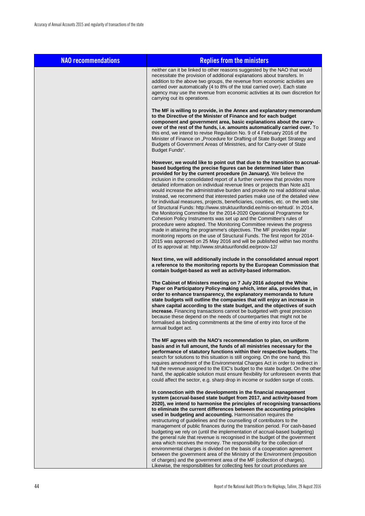| <b>NAO recommendations</b> | <b>Replies from the ministers</b>                                                                                                                                                                                                                                                                                                                                                                                                                                                                                                                                                                                                                                                                                                                                                                                                                                                                                                                                                                                                                                                                                                                                                                                                                      |
|----------------------------|--------------------------------------------------------------------------------------------------------------------------------------------------------------------------------------------------------------------------------------------------------------------------------------------------------------------------------------------------------------------------------------------------------------------------------------------------------------------------------------------------------------------------------------------------------------------------------------------------------------------------------------------------------------------------------------------------------------------------------------------------------------------------------------------------------------------------------------------------------------------------------------------------------------------------------------------------------------------------------------------------------------------------------------------------------------------------------------------------------------------------------------------------------------------------------------------------------------------------------------------------------|
|                            | neither can it be linked to other reasons suggested by the NAO that would<br>necessitate the provision of additional explanations about transfers. In<br>addition to the above two groups, the revenue from economic activities are<br>carried over automatically (4 to 8% of the total carried over). Each state<br>agency may use the revenue from economic activities at its own discretion for<br>carrying out its operations.                                                                                                                                                                                                                                                                                                                                                                                                                                                                                                                                                                                                                                                                                                                                                                                                                     |
|                            | The MF is willing to provide, in the Annex and explanatory memorandum<br>to the Directive of the Minister of Finance and for each budget<br>component and government area, basic explanations about the carry-<br>over of the rest of the funds, i.e. amounts automatically carried over. To<br>this end, we intend to revise Regulation No. 9 of 4 February 2016 of the<br>Minister of Finance on "Procedure for Drafting of State Budget Strategy and<br>Budgets of Government Areas of Ministries, and for Carry-over of State<br>Budget Funds".                                                                                                                                                                                                                                                                                                                                                                                                                                                                                                                                                                                                                                                                                                    |
|                            | However, we would like to point out that due to the transition to accrual-<br>based budgeting the precise figures can be determined later than<br>provided for by the current procedure (in January). We believe the<br>inclusion in the consolidated report of a further overview that provides more<br>detailed information on individual revenue lines or projects than Note a31<br>would increase the administrative burden and provide no real additional value.<br>Instead, we recommend that interested parties make use of the detailed view<br>for individual measures, projects, beneficiaries, counties, etc. on the web site<br>of Structural Funds: http://www.struktuurifondid.ee/mis-on-tehtud/. In 2014,<br>the Monitoring Committee for the 2014-2020 Operational Programme for<br>Cohesion Policy Instruments was set up and the Committee's rules of<br>procedure were adopted. The Monitoring Committee reviews the progress<br>made in attaining the programme's objectives. The MF provides regular<br>monitoring reports on the use of Structural Funds. The first report for 2014-<br>2015 was approved on 25 May 2016 and will be published within two months<br>of its approval at: http://www.struktuurifondid.ee/proov-12/ |
|                            | Next time, we will additionally include in the consolidated annual report<br>a reference to the monitoring reports by the European Commission that<br>contain budget-based as well as activity-based information.                                                                                                                                                                                                                                                                                                                                                                                                                                                                                                                                                                                                                                                                                                                                                                                                                                                                                                                                                                                                                                      |
|                            | The Cabinet of Ministers meeting on 7 July 2016 adopted the White<br>Paper on Participatory Policy-making which, inter alia, provides that, in<br>order to enhance transparency, the explanatory memoranda to future<br>state budgets will outline the companies that will enjoy an increase in<br>share capital according to the state budget, and the objectives of such<br><b>increase.</b> Financing transactions cannot be budgeted with great precision<br>because these depend on the needs of counterparties that might not be<br>formalised as binding commitments at the time of entry into force of the<br>annual budget act.                                                                                                                                                                                                                                                                                                                                                                                                                                                                                                                                                                                                               |
|                            | The MF agrees with the NAO's recommendation to plan, on uniform<br>basis and in full amount, the funds of all ministries necessary for the<br>performance of statutory functions within their respective budgets. The<br>search for solutions to this situation is still ongoing. On the one hand, this<br>requires amendment of the Environmental Charges Act in order to redirect in<br>full the revenue assigned to the EIC's budget to the state budget. On the other<br>hand, the applicable solution must ensure flexibility for unforeseen events that<br>could affect the sector, e.g. sharp drop in income or sudden surge of costs.                                                                                                                                                                                                                                                                                                                                                                                                                                                                                                                                                                                                          |
|                            | In connection with the developments in the financial management<br>system (accrual-based state budget from 2017, and activity-based from<br>2020), we intend to harmonise the principles of recognising transactions<br>to eliminate the current differences between the accounting principles<br>used in budgeting and accounting. Harmonisation requires the<br>restructuring of guidelines and the counselling of contributors to the<br>management of public finances during the transition period. For cash-based<br>budgeting we rely on (until the implementation of accrual-based budgeting)<br>the general rule that revenue is recognised in the budget of the government<br>area which receives the money. The responsibility for the collection of<br>environmental charges is divided on the basis of a cooperation agreement<br>between the government area of the Ministry of the Environment (imposition<br>of charges) and the government area of the MF (collection of charges).                                                                                                                                                                                                                                                     |

Likewise, the responsibilities for collecting fees for court procedures are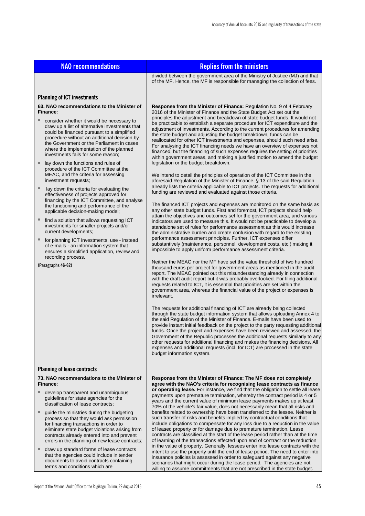| <b>NAO recommendations</b>                                                                                                                                                                                                                                                                                                                                                                                                                                                                                                                                                                                                                                                                                                                                                                                                                                                                                                                                                                                                                                                                              | <b>Replies from the ministers</b>                                                                                                                                                                                                                                                                                                                                                                                                                                                                                                                                                                                                                                                                                                                                                                                                                                                                                                                                                                                                                                                                                                                                                                                                                                                                                                                                                                                                                                                                                                                                                                                                                                                                                                                                                                                                                                                                                                                                                                                                                                                                                                                                                                                                                                                                                                                                                                                                                                                                                                                                                                                                                                                                                                                                                                                                                                                                                                                                                                                                                               |  |  |  |
|---------------------------------------------------------------------------------------------------------------------------------------------------------------------------------------------------------------------------------------------------------------------------------------------------------------------------------------------------------------------------------------------------------------------------------------------------------------------------------------------------------------------------------------------------------------------------------------------------------------------------------------------------------------------------------------------------------------------------------------------------------------------------------------------------------------------------------------------------------------------------------------------------------------------------------------------------------------------------------------------------------------------------------------------------------------------------------------------------------|-----------------------------------------------------------------------------------------------------------------------------------------------------------------------------------------------------------------------------------------------------------------------------------------------------------------------------------------------------------------------------------------------------------------------------------------------------------------------------------------------------------------------------------------------------------------------------------------------------------------------------------------------------------------------------------------------------------------------------------------------------------------------------------------------------------------------------------------------------------------------------------------------------------------------------------------------------------------------------------------------------------------------------------------------------------------------------------------------------------------------------------------------------------------------------------------------------------------------------------------------------------------------------------------------------------------------------------------------------------------------------------------------------------------------------------------------------------------------------------------------------------------------------------------------------------------------------------------------------------------------------------------------------------------------------------------------------------------------------------------------------------------------------------------------------------------------------------------------------------------------------------------------------------------------------------------------------------------------------------------------------------------------------------------------------------------------------------------------------------------------------------------------------------------------------------------------------------------------------------------------------------------------------------------------------------------------------------------------------------------------------------------------------------------------------------------------------------------------------------------------------------------------------------------------------------------------------------------------------------------------------------------------------------------------------------------------------------------------------------------------------------------------------------------------------------------------------------------------------------------------------------------------------------------------------------------------------------------------------------------------------------------------------------------------------------------|--|--|--|
|                                                                                                                                                                                                                                                                                                                                                                                                                                                                                                                                                                                                                                                                                                                                                                                                                                                                                                                                                                                                                                                                                                         | divided between the government area of the Ministry of Justice (MJ) and that<br>of the MF. Hence, the MF is responsible for managing the collection of fees.                                                                                                                                                                                                                                                                                                                                                                                                                                                                                                                                                                                                                                                                                                                                                                                                                                                                                                                                                                                                                                                                                                                                                                                                                                                                                                                                                                                                                                                                                                                                                                                                                                                                                                                                                                                                                                                                                                                                                                                                                                                                                                                                                                                                                                                                                                                                                                                                                                                                                                                                                                                                                                                                                                                                                                                                                                                                                                    |  |  |  |
| <b>Planning of ICT investments</b><br>63. NAO recommendations to the Minister of<br>Finance:<br>consider whether it would be necessary to<br>draw up a list of alternative investments that<br>could be financed pursuant to a simplified<br>procedure without an additional decision by<br>the Government or the Parliament in cases<br>where the implementation of the planned<br>investments fails for some reason;<br>lay down the functions and rules of<br>procedure of the ICT Committee at the<br>MEAC, and the criteria for assessing<br>investment requests;<br>lay down the criteria for evaluating the<br>effectiveness of projects approved for<br>financing by the ICT Committee, and analyse<br>the functioning and performance of the<br>applicable decision-making model;<br>find a solution that allows requesting ICT<br>ш<br>investments for smaller projects and/or<br>current developments;<br>for planning ICT investments, use - instead<br>of e-mails - an information system that<br>ensures a simplified application, review and<br>recording process.<br>(Paragraphs 46-62) | Response from the Minister of Finance: Regulation No. 9 of 4 February<br>2016 of the Minister of Finance and the State Budget Act set out the<br>principles the adjustment and breakdown of state budget funds. It would not<br>be practicable to establish a separate procedure for ICT expenditure and the<br>adjustment of investments. According to the current procedures for amending<br>the state budget and adjusting the budget breakdown, funds can be<br>reallocated for other ICT investments and expenses, should such need arise.<br>For analysing the ICT financing needs we have an overview of expenses not<br>financed, but the financing of such expenses requires the setting of priorities<br>within government areas, and making a justified motion to amend the budget<br>legislation or the budget breakdown.<br>We intend to detail the principles of operation of the ICT Committee in the<br>aforesaid Regulation of the Minister of Finance. § 13 of the said Regulation<br>already lists the criteria applicable to ICT projects. The requests for additional<br>funding are reviewed and evaluated against those criteria.<br>The financed ICT projects and expenses are monitored on the same basis as<br>any other state budget funds. First and foremost, ICT projects should help<br>attain the objectives and outcomes set for the government area, and various<br>indicators are used to measure this. It would not be practicable to develop a<br>standalone set of rules for performance assessment as this would increase<br>the administrative burden and create confusion with regard to the existing<br>performance assessment principles. Further, ICT expenses differ<br>substantively (maintenance, personnel, development costs, etc.) making it<br>impossible to apply uniform performance assessment criteria.<br>Neither the MEAC nor the MF have set the value threshold of two hundred<br>thousand euros per project for government areas as mentioned in the audit<br>report. The MEAC pointed out this misunderstanding already in connection<br>with the draft audit report but it was probably overlooked. For filing additional<br>requests related to ICT, it is essential that priorities are set within the<br>government area, whereas the financial value of the project or expenses is<br>irrelevant.<br>The requests for additional financing of ICT are already being collected<br>through the state budget information system that allows uploading Annex 4 to<br>the said Regulation of the Minister of Finance. E-mails have been used to<br>provide instant initial feedback on the project to the party requesting additional<br>funds. Once the project and expenses have been reviewed and assessed, the<br>Government of the Republic processes the additional requests similarly to any<br>other requests for additional financing and makes the financing decisions. All<br>expenses and additional requests (incl. for ICT) are processed in the state<br>budget information system. |  |  |  |
| <b>Planning of lease contracts</b>                                                                                                                                                                                                                                                                                                                                                                                                                                                                                                                                                                                                                                                                                                                                                                                                                                                                                                                                                                                                                                                                      |                                                                                                                                                                                                                                                                                                                                                                                                                                                                                                                                                                                                                                                                                                                                                                                                                                                                                                                                                                                                                                                                                                                                                                                                                                                                                                                                                                                                                                                                                                                                                                                                                                                                                                                                                                                                                                                                                                                                                                                                                                                                                                                                                                                                                                                                                                                                                                                                                                                                                                                                                                                                                                                                                                                                                                                                                                                                                                                                                                                                                                                                 |  |  |  |
| 73. NAO recommendations to the Minister of<br>Finance:<br>ш<br>develop transparent and unambiquous<br>guidelines for state agencies for the<br>classification of lease contracts;<br>guide the ministries during the budgeting<br>process so that they would ask permission<br>for financing transactions in order to<br>eliminate state budget violations arising from<br>contracts already entered into and prevent<br>errors in the planning of new lease contracts;                                                                                                                                                                                                                                                                                                                                                                                                                                                                                                                                                                                                                                 | Response from the Minister of Finance: The MF does not completely<br>agree with the NAO's criteria for recognising lease contracts as finance<br>or operating lease. For instance, we find that the obligation to settle all lease<br>payments upon premature termination, whereby the contract period is 4 or 5<br>years and the current value of minimum lease payments makes up at least<br>70% of the vehicle's fair value, does not necessarily mean that all risks and<br>benefits related to ownership have been transferred to the lessee. Neither is<br>such transfer of risks and benefits implied by contractual conditions that<br>include obligations to compensate for any loss due to a reduction in the value<br>of leased property or for damage due to premature termination. Lease<br>contracts are classified at the start of the lease period rather than at the time<br>of learning of the transactions effected upon end of contract or the reduction<br>in the value of property. Generally, lessees enter into lease contracts with the                                                                                                                                                                                                                                                                                                                                                                                                                                                                                                                                                                                                                                                                                                                                                                                                                                                                                                                                                                                                                                                                                                                                                                                                                                                                                                                                                                                                                                                                                                                                                                                                                                                                                                                                                                                                                                                                                                                                                                                                |  |  |  |
| draw up standard forms of lease contracts<br>that the agencies could include in tender<br>documents to avoid contracts containing<br>terms and conditions which are                                                                                                                                                                                                                                                                                                                                                                                                                                                                                                                                                                                                                                                                                                                                                                                                                                                                                                                                     | intent to use the property until the end of lease period. The need to enter into<br>insurance policies is assessed in order to safeguard against any negative<br>scenarios that might occur during the lease period. The agencies are not<br>willing to assume commitments that are not prescribed in the state budget.                                                                                                                                                                                                                                                                                                                                                                                                                                                                                                                                                                                                                                                                                                                                                                                                                                                                                                                                                                                                                                                                                                                                                                                                                                                                                                                                                                                                                                                                                                                                                                                                                                                                                                                                                                                                                                                                                                                                                                                                                                                                                                                                                                                                                                                                                                                                                                                                                                                                                                                                                                                                                                                                                                                                         |  |  |  |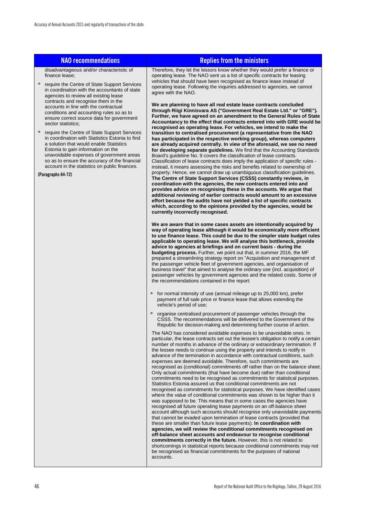| <b>NAO recommendations</b>                                                                                                                                                                                                                                                                                                                                                                      | <b>Replies from the ministers</b>                                                                                                                                                                                                                                                                                                                                                                                                                                                                                                                                                                                                                                                                                                                                                                                                                                                                                                                                                                                                                                                                                                                                                                                                                                                                                                                                                                                                                                                                                                                                                                                                                                                                                          |
|-------------------------------------------------------------------------------------------------------------------------------------------------------------------------------------------------------------------------------------------------------------------------------------------------------------------------------------------------------------------------------------------------|----------------------------------------------------------------------------------------------------------------------------------------------------------------------------------------------------------------------------------------------------------------------------------------------------------------------------------------------------------------------------------------------------------------------------------------------------------------------------------------------------------------------------------------------------------------------------------------------------------------------------------------------------------------------------------------------------------------------------------------------------------------------------------------------------------------------------------------------------------------------------------------------------------------------------------------------------------------------------------------------------------------------------------------------------------------------------------------------------------------------------------------------------------------------------------------------------------------------------------------------------------------------------------------------------------------------------------------------------------------------------------------------------------------------------------------------------------------------------------------------------------------------------------------------------------------------------------------------------------------------------------------------------------------------------------------------------------------------------|
| disadvantageous and/or characteristic of<br>finance lease;<br>$\blacksquare$<br>require the Centre of State Support Services<br>in coordination with the accountants of state<br>agencies to review all existing lease<br>contracts and recognise them in the<br>accounts in line with the contractual<br>conditions and accounting rules so as to<br>ensure correct source data for government | Therefore, they let the lessors know whether they would prefer a finance or<br>operating lease. The NAO sent us a list of specific contracts for leasing<br>vehicles that should have been recognised as finance lease instead of<br>operating lease. Following the inquiries addressed to agencies, we cannot<br>agree with the NAO.<br>We are planning to have all real estate lease contracts concluded<br>through Riigi Kinnisvara AS ("Government Real Estate Ltd." or "GRE").<br>Further, we have agreed on an amendment to the General Rules of State                                                                                                                                                                                                                                                                                                                                                                                                                                                                                                                                                                                                                                                                                                                                                                                                                                                                                                                                                                                                                                                                                                                                                               |
| sector statistics;<br>require the Centre of State Support Services<br>in coordination with Statistics Estonia to find<br>a solution that would enable Statistics<br>Estonia to gain information on the<br>unavoidable expenses of government areas<br>so as to ensure the accuracy of the financial<br>account in the statistics on public finances.<br>(Paragraphs 64-72)                      | Accountancy to the effect that contracts entered into with GRE would be<br>recognised as operating lease. For vehicles, we intend to make the<br>transition to centralised procurement (a representative from the NAO<br>has participated in the respective working group), whereas computers<br>are already acquired centrally. In view of the aforesaid, we see no need<br>for developing separate guidelines. We find that the Accounting Standards<br>Board's guideline No. 9 covers the classification of lease contracts.<br>Classification of lease contracts does imply the application of specific rules -<br>instead, it means assessing the risks and benefits related to ownership of<br>property. Hence, we cannot draw up unambiguous classification guidelines.<br>The Centre of State Support Services (CSSS) constantly reviews, in<br>coordination with the agencies, the new contracts entered into and<br>provides advice on recognising these in the accounts. We argue that<br>additional reviewing of earlier contracts would amount to an excessive<br>effort because the audits have not yielded a list of specific contracts<br>which, according to the opinions provided by the agencies, would be<br>currently incorrectly recognised.                                                                                                                                                                                                                                                                                                                                                                                                                                                         |
|                                                                                                                                                                                                                                                                                                                                                                                                 | We are aware that in some cases assets are intentionally acquired by<br>way of operating lease although it would be economically more efficient<br>to use finance lease. This could be due to the simpler state budget rules<br>applicable to operating lease. We will analyse this bottleneck, provide<br>advice to agencies at briefings and on current basis - during the<br>budgeting process. Further, we point out that, in summer 2016, the MF<br>prepared a streamlining strategy report on "Acquisition and management of<br>the passenger vehicle fleet of government agencies, and organisation of<br>business travel" that aimed to analyse the ordinary use (incl. acquisition) of<br>passenger vehicles by government agencies and the related costs. Some of<br>the recommendations contained in the report:                                                                                                                                                                                                                                                                                                                                                                                                                                                                                                                                                                                                                                                                                                                                                                                                                                                                                                |
|                                                                                                                                                                                                                                                                                                                                                                                                 | for normal intensity of use (annual mileage up to 25,000 km), prefer<br>payment of full sale price or finance lease that allows extending the<br>vehicle's period of use;                                                                                                                                                                                                                                                                                                                                                                                                                                                                                                                                                                                                                                                                                                                                                                                                                                                                                                                                                                                                                                                                                                                                                                                                                                                                                                                                                                                                                                                                                                                                                  |
|                                                                                                                                                                                                                                                                                                                                                                                                 | organise centralised procurement of passenger vehicles through the<br>CSSS. The recommendations will be delivered to the Government of the<br>Republic for decision-making and determining further course of action.                                                                                                                                                                                                                                                                                                                                                                                                                                                                                                                                                                                                                                                                                                                                                                                                                                                                                                                                                                                                                                                                                                                                                                                                                                                                                                                                                                                                                                                                                                       |
|                                                                                                                                                                                                                                                                                                                                                                                                 | The NAO has considered avoidable expenses to be unavoidable ones. In<br>particular, the lease contracts set out the lessee's obligation to notify a certain<br>number of months in advance of the ordinary or extraordinary termination. If<br>the lessee needs to continue using the property and intends to notify in<br>advance of the termination in accordance with contractual conditions, such<br>expenses are deemed avoidable. Therefore, such commitments are<br>recognised as (conditional) commitments off rather than on the balance sheet.<br>Only actual commitments (that have become due) rather than conditional<br>commitments need to be recognised as commitments for statistical purposes.<br>Statistics Estonia assured us that conditional commitments are not<br>recognised as commitments for statistical purposes. We have identified cases<br>where the value of conditional commitments was shown to be higher than it<br>was supposed to be. This means that in some cases the agencies have<br>recognised all future operating lease payments on an off-balance sheet<br>account although such accounts should recognise only unavoidable payments<br>that cannot be evaded upon termination of lease contracts (provided that<br>these are smaller than future lease payments). In coordination with<br>agencies, we will review the conditional commitments recognised on<br>off-balance sheet accounts and endeavour to recognise conditional<br>commitments correctly in the future. However, this is not related to<br>shortcomings in statistical reports because conditional commitments may not<br>be recognised as financial commitments for the purposes of national<br>accounts. |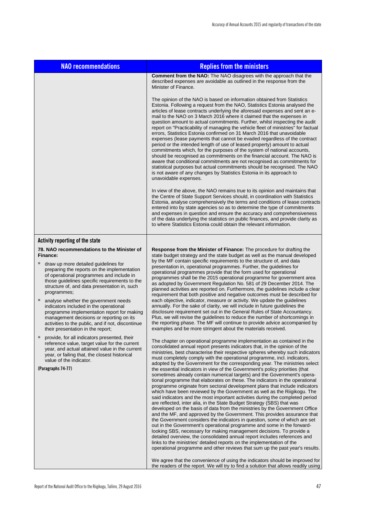| <b>NAO recommendations</b>                                                                                                                                                                                                                                                                                                                                                                                                                                                                                                                                                                | <b>Replies from the ministers</b>                                                                                                                                                                                                                                                                                                                                                                                                                                                                                                                                                                                                                                                                                                                                                                                                                                                                                                                                                                                                                                                                                                                                                                                                                                                                                                                                                                                                                                                                                                                                                                                                                                                                                                                                             |  |  |  |
|-------------------------------------------------------------------------------------------------------------------------------------------------------------------------------------------------------------------------------------------------------------------------------------------------------------------------------------------------------------------------------------------------------------------------------------------------------------------------------------------------------------------------------------------------------------------------------------------|-------------------------------------------------------------------------------------------------------------------------------------------------------------------------------------------------------------------------------------------------------------------------------------------------------------------------------------------------------------------------------------------------------------------------------------------------------------------------------------------------------------------------------------------------------------------------------------------------------------------------------------------------------------------------------------------------------------------------------------------------------------------------------------------------------------------------------------------------------------------------------------------------------------------------------------------------------------------------------------------------------------------------------------------------------------------------------------------------------------------------------------------------------------------------------------------------------------------------------------------------------------------------------------------------------------------------------------------------------------------------------------------------------------------------------------------------------------------------------------------------------------------------------------------------------------------------------------------------------------------------------------------------------------------------------------------------------------------------------------------------------------------------------|--|--|--|
|                                                                                                                                                                                                                                                                                                                                                                                                                                                                                                                                                                                           | <b>Comment from the NAO:</b> The NAO disagrees with the approach that the<br>described expenses are avoidable as outlined in the response from the<br>Minister of Finance.                                                                                                                                                                                                                                                                                                                                                                                                                                                                                                                                                                                                                                                                                                                                                                                                                                                                                                                                                                                                                                                                                                                                                                                                                                                                                                                                                                                                                                                                                                                                                                                                    |  |  |  |
|                                                                                                                                                                                                                                                                                                                                                                                                                                                                                                                                                                                           | The opinion of the NAO is based on information obtained from Statistics<br>Estonia. Following a request from the NAO, Statistics Estonia analysed the<br>articles of lease contracts underlying the aforesaid expenses and sent an e-<br>mail to the NAO on 3 March 2016 where it claimed that the expenses in<br>question amount to actual commitments. Further, whilst inspecting the audit<br>report on "Practicability of managing the vehicle fleet of ministries" for factual<br>errors, Statistics Estonia confirmed on 31 March 2016 that unavoidable<br>expenses (lease payments that cannot be evaded regardless of the contract<br>period or the intended length of use of leased property) amount to actual<br>commitments which, for the purposes of the system of national accounts,<br>should be recognised as commitments on the financial account. The NAO is<br>aware that conditional commitments are not recognised as commitments for<br>statistical purposes but actual commitments should be recognised. The NAO<br>is not aware of any changes by Statistics Estonia in its approach to<br>unavoidable expenses.                                                                                                                                                                                                                                                                                                                                                                                                                                                                                                                                                                                                                                      |  |  |  |
|                                                                                                                                                                                                                                                                                                                                                                                                                                                                                                                                                                                           | In view of the above, the NAO remains true to its opinion and maintains that<br>the Centre of State Support Services should, in coordination with Statistics<br>Estonia, analyse comprehensively the terms and conditions of lease contracts<br>entered into by state agencies so as to determine the type of commitments<br>and expenses in question and ensure the accuracy and comprehensiveness<br>of the data underlying the statistics on public finances, and provide clarity as<br>to where Statistics Estonia could obtain the relevant information.                                                                                                                                                                                                                                                                                                                                                                                                                                                                                                                                                                                                                                                                                                                                                                                                                                                                                                                                                                                                                                                                                                                                                                                                                 |  |  |  |
| Activity reporting of the state                                                                                                                                                                                                                                                                                                                                                                                                                                                                                                                                                           |                                                                                                                                                                                                                                                                                                                                                                                                                                                                                                                                                                                                                                                                                                                                                                                                                                                                                                                                                                                                                                                                                                                                                                                                                                                                                                                                                                                                                                                                                                                                                                                                                                                                                                                                                                               |  |  |  |
| 78. NAO recommendations to the Minister of<br>Finance:<br>ш<br>draw up more detailed guidelines for<br>preparing the reports on the implementation<br>of operational programmes and include in<br>those guidelines specific requirements to the<br>structure of, and data presentation in, such<br>programmes;<br>ш<br>analyse whether the government needs<br>indicators included in the operational<br>programme implementation report for making<br>management decisions or reporting on its<br>activities to the public, and if not, discontinue<br>their presentation in the report; | <b>Response from the Minister of Finance:</b> The procedure for drafting the<br>state budget strategy and the state budget as well as the manual developed<br>by the MF contain specific requirements to the structure of, and data<br>presentation in, operational programmes. Further, the guidelines for<br>operational programmes provide that the form used for operational<br>programmes shall be the 2015 operational programme for government area<br>as adopted by Government Regulation No. 581 of 29 December 2014. The<br>planned activities are reported on. Furthermore, the guidelines include a clear<br>requirement that both positive and negative outcomes must be described for<br>each objective, indicator, measure or activity. We update the guidelines<br>annually. For the sake of clarity, we will include in future guidelines the<br>disclosure requirement set out in the General Rules of State Accountancy.<br>Plus, we will revise the quidelines to reduce the number of shortcomings in<br>the reporting phase. The MF will continue to provide advice accompanied by<br>examples and be more stringent about the materials received.                                                                                                                                                                                                                                                                                                                                                                                                                                                                                                                                                                                                      |  |  |  |
| provide, for all indicators presented, their<br>reference value, target value for the current<br>year, and actual attained value in the current<br>year, or failing that, the closest historical<br>value of the indicator.<br>(Paragraphs 74-77)                                                                                                                                                                                                                                                                                                                                         | The chapter on operational programme implementation as contained in the<br>consolidated annual report presents indicators that, in the opinion of the<br>ministries, best characterise their respective spheres whereby such indicators<br>must completely comply with the operational programme, incl. indicators,<br>adopted by the Government for the corresponding year. The ministries select<br>the essential indicators in view of the Government's policy priorities (that<br>sometimes already contain numerical targets) and the Government's opera-<br>tional programme that elaborates on these. The indicators in the operational<br>programme originate from sectoral development plans that include indicators<br>which have been reviewed by the Government as well as the Riigikogu. The<br>said indicators and the most important activities during the completed period<br>are reflected, inter alia, in the State Budget Strategy (SBS) that was<br>developed on the basis of data from the ministries by the Government Office<br>and the MF, and approved by the Government. This provides assurance that<br>the Government considers the indicators in question, some of which are set<br>out in the Government's operational programme and some in the forward-<br>looking SBS, necessary for making management decisions. To provide a<br>detailed overview, the consolidated annual report includes references and<br>links to the ministries' detailed reports on the implementation of the<br>operational programme and other reviews that sum up the past year's results.<br>We agree that the convenience of using the indicators should be improved for<br>the readers of the report. We will try to find a solution that allows readily using |  |  |  |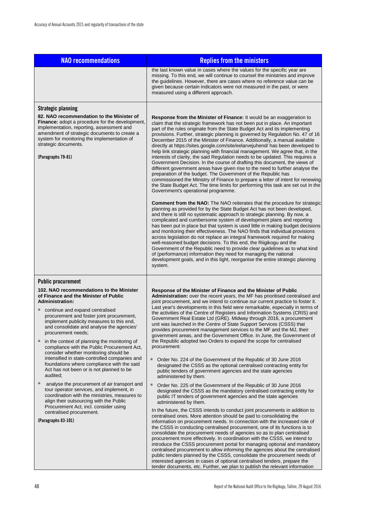| <b>NAO recommendations</b>                                                                                                                                                                                                                                                                                                                                                                                                                                                                                                                                                                                                                                                                                                                                                                                                                                                                                                             | <b>Replies from the ministers</b>                                                                                                                                                                                                                                                                                                                                                                                                                                                                                                                                                                                                                                                                                                                                                                                                                                                                                                                                                                                                                                                                                                                                                                                                                                                                                                                                                                                                                                                                                                                                                                                                                                                                                                                                                                                                                                                                                                                                                                                                                                                                                                                                                        |
|----------------------------------------------------------------------------------------------------------------------------------------------------------------------------------------------------------------------------------------------------------------------------------------------------------------------------------------------------------------------------------------------------------------------------------------------------------------------------------------------------------------------------------------------------------------------------------------------------------------------------------------------------------------------------------------------------------------------------------------------------------------------------------------------------------------------------------------------------------------------------------------------------------------------------------------|------------------------------------------------------------------------------------------------------------------------------------------------------------------------------------------------------------------------------------------------------------------------------------------------------------------------------------------------------------------------------------------------------------------------------------------------------------------------------------------------------------------------------------------------------------------------------------------------------------------------------------------------------------------------------------------------------------------------------------------------------------------------------------------------------------------------------------------------------------------------------------------------------------------------------------------------------------------------------------------------------------------------------------------------------------------------------------------------------------------------------------------------------------------------------------------------------------------------------------------------------------------------------------------------------------------------------------------------------------------------------------------------------------------------------------------------------------------------------------------------------------------------------------------------------------------------------------------------------------------------------------------------------------------------------------------------------------------------------------------------------------------------------------------------------------------------------------------------------------------------------------------------------------------------------------------------------------------------------------------------------------------------------------------------------------------------------------------------------------------------------------------------------------------------------------------|
|                                                                                                                                                                                                                                                                                                                                                                                                                                                                                                                                                                                                                                                                                                                                                                                                                                                                                                                                        | the last known value in cases where the values for the specific year are<br>missing. To this end, we will continue to counsel the ministries and improve<br>the guidelines. However, there are cases where no reference value can be<br>given because certain indicators were not measured in the past, or were<br>measured using a different approach.                                                                                                                                                                                                                                                                                                                                                                                                                                                                                                                                                                                                                                                                                                                                                                                                                                                                                                                                                                                                                                                                                                                                                                                                                                                                                                                                                                                                                                                                                                                                                                                                                                                                                                                                                                                                                                  |
| <b>Strategic planning</b><br>82. NAO recommendation to the Minister of<br><b>Finance:</b> adopt a procedure for the development,<br>implementation, reporting, assessment and<br>amendment of strategic documents to create a<br>system for monitoring the implementation of<br>strategic documents.<br>(Paragraphs 79-81)                                                                                                                                                                                                                                                                                                                                                                                                                                                                                                                                                                                                             | <b>Response from the Minister of Finance:</b> It would be an exaggeration to<br>claim that the strategic framework has not been put in place. An important<br>part of the rules originate from the State Budget Act and its implementing<br>provisions. Further, strategic planning is governed by Regulation No. 47 of 16<br>December 2015 of the Minister of Finance. Additionally, a manual available<br>directly at https://sites.google.com/site/eelarvejuhend/ has been developed to<br>help link strategic planning with financial management. We agree that, in the<br>interests of clarity, the said Regulation needs to be updated. This requires a<br>Government Decision. In the course of drafting this document, the views of<br>different government areas have given rise to the need to further analyse the<br>preparation of the budget. The Government of the Republic has<br>commissioned the Ministry of Finance to prepare a letter of intent for renewing<br>the State Budget Act. The time limits for performing this task are set out in the<br>Government's operational programme.<br><b>Comment from the NAO:</b> The NAO reiterates that the procedure for strategic<br>planning as provided for by the State Budget Act has not been developed,<br>and there is still no systematic approach to strategic planning. By now, a<br>complicated and cumbersome system of development plans and reporting<br>has been put in place but that system is used little in making budget decisions<br>and monitoring their effectiveness. The NAO finds that individual provisions<br>across legislation do not replace an integral framework required for making<br>well-reasoned budget decisions. To this end, the Riigikogu and the<br>Government of the Republic need to provide clear guidelines as to what kind<br>of (performance) information they need for managing the national<br>development goals, and in this light, reorganise the entire strategic planning<br>system.                                                                                                                                                                               |
| <b>Public procurement</b><br>102. NAO recommendations to the Minister<br>of Finance and the Minister of Public<br><b>Administration:</b><br>continue and expand centralised<br>procurement and foster joint procurement,<br>implement publicity measures to this end,<br>and consolidate and analyse the agencies'<br>procurement needs:<br>in the context of planning the monitoring of<br>ш<br>compliance with the Public Procurement Act,<br>consider whether monitoring should be<br>intensified in state-controlled companies and<br>foundations where compliance with the said<br>Act has not been or is not planned to be<br>audited;<br>analyse the procurement of air transport and<br>ш<br>tour operator services, and implement, in<br>coordination with the ministries, measures to<br>align their outsourcing with the Public<br>Procurement Act, incl. consider using<br>centralised procurement.<br>(Paragraphs 83-101) | Response of the Minister of Finance and the Minister of Public<br>Administration: over the recent years, the MF has prioritised centralised and<br>joint procurement, and we intend to continue our current practice to foster it.<br>Last year's developments in this field were remarkable, especially in terms of<br>the activities of the Centre of Registers and Information Systems (CRIS) and<br>Government Real Estate Ltd (GRE). Midway through 2016, a procurement<br>unit was launched in the Centre of State Support Services (CSSS) that<br>provides procurement management services to the MF and the MJ, their<br>government areas, and the Government Office. In June, the Government of<br>the Republic adopted two Orders to expand the scope for centralised<br>procurement:<br>٠<br>Order No. 224 of the Government of the Republic of 30 June 2016<br>designated the CSSS as the optional centralised contracting entity for<br>public tenders of government agencies and the state agencies<br>administered by them.<br>$\blacksquare$<br>Order No. 225 of the Government of the Republic of 30 June 2016<br>designated the CSSS as the mandatory centralised contracting entity for<br>public IT tenders of government agencies and the state agencies<br>administered by them.<br>In the future, the CSSS intends to conduct joint procurements in addition to<br>centralised ones. More attention should be paid to consolidating the<br>information on procurement needs. In connection with the increased role of<br>the CSSS in conducting centralised procurement, one of its functions is to<br>consolidate the procurement needs of agencies so as to plan centralised<br>procurement more effectively. In coordination with the CSSS, we intend to<br>introduce the CSSS procurement portal for managing optional and mandatory<br>centralised procurement to allow informing the agencies about the centralised<br>public tenders planned by the CSSS, consolidate the procurement needs of<br>interested agencies in cases of optional centralised tenders, prepare the<br>tender documents, etc. Further, we plan to publish the relevant information |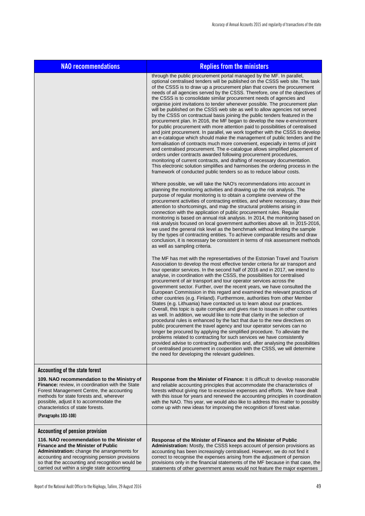| <b>NAO recommendations</b>                                                                                                                                                                                                                                                                  | <b>Replies from the ministers</b>                                                                                                                                                                                                                                                                                                                                                                                                                                                                                                                                                                                                                                                                                                                                                                                                                                                                                                                                                                                                                                                                                                                                                                                                                                                                                                                                                                                                                |
|---------------------------------------------------------------------------------------------------------------------------------------------------------------------------------------------------------------------------------------------------------------------------------------------|--------------------------------------------------------------------------------------------------------------------------------------------------------------------------------------------------------------------------------------------------------------------------------------------------------------------------------------------------------------------------------------------------------------------------------------------------------------------------------------------------------------------------------------------------------------------------------------------------------------------------------------------------------------------------------------------------------------------------------------------------------------------------------------------------------------------------------------------------------------------------------------------------------------------------------------------------------------------------------------------------------------------------------------------------------------------------------------------------------------------------------------------------------------------------------------------------------------------------------------------------------------------------------------------------------------------------------------------------------------------------------------------------------------------------------------------------|
|                                                                                                                                                                                                                                                                                             | through the public procurement portal managed by the MF. In parallel,<br>optional centralised tenders will be published on the CSSS web site. The task<br>of the CSSS is to draw up a procurement plan that covers the procurement<br>needs of all agencies served by the CSSS. Therefore, one of the objectives of<br>the CSSS is to consolidate similar procurement needs of agencies and<br>organise joint invitations to tender whenever possible. The procurement plan<br>will be published on the CSSS web site as well to allow agencies not served<br>by the CSSS on contractual basis joining the public tenders featured in the<br>procurement plan. In 2016, the MF began to develop the new e-environment<br>for public procurement with more attention paid to possibilities of centralised<br>and joint procurement. In parallel, we work together with the CSSS to develop<br>an e-catalogue which should make the management of public tenders and the<br>formalisation of contracts much more convenient, especially in terms of joint<br>and centralised procurement. The e-catalogue allows simplified placement of<br>orders under contracts awarded following procurement procedures,<br>monitoring of current contracts, and drafting of necessary documentation.<br>This electronic solution simplifies and harmonises the ordering process in the<br>framework of conducted public tenders so as to reduce labour costs. |
|                                                                                                                                                                                                                                                                                             | Where possible, we will take the NAO's recommendations into account in<br>planning the monitoring activities and drawing up the risk analysis. The<br>purpose of regular monitoring is to obtain a complete overview of the<br>procurement activities of contracting entities, and where necessary, draw their<br>attention to shortcomings, and map the structural problems arising in<br>connection with the application of public procurement rules. Regular<br>monitoring is based on annual risk analysis. In 2014, the monitoring based on<br>risk analysis focused on local government authorities above all. In 2015-2016,<br>we used the general risk level as the benchmark without limiting the sample<br>by the types of contracting entities. To achieve comparable results and draw<br>conclusion, it is necessary be consistent in terms of risk assessment methods<br>as well as sampling criteria.                                                                                                                                                                                                                                                                                                                                                                                                                                                                                                                              |
|                                                                                                                                                                                                                                                                                             | The MF has met with the representatives of the Estonian Travel and Tourism<br>Association to develop the most effective tender criteria for air transport and<br>tour operator services. In the second half of 2016 and in 2017, we intend to<br>analyse, in coordination with the CSSS, the possibilities for centralised<br>procurement of air transport and tour operator services across the<br>government sector. Further, over the recent years, we have consulted the<br>European Commission in this regard and examined the relevant practices of<br>other countries (e.g. Finland). Furthermore, authorities from other Member<br>States (e.g. Lithuania) have contacted us to learn about our practices.<br>Overall, this topic is quite complex and gives rise to issues in other countries<br>as well. In addition, we would like to note that clarity in the selection of<br>procedural rules is enhanced by the fact that due to the new directives on<br>public procurement the travel agency and tour operator services can no<br>longer be procured by applying the simplified procedure. To alleviate the<br>problems related to contracting for such services we have consistently<br>provided advise to contracting authorities and, after analysing the possibilities<br>of centralised procurement in cooperation with the CSSS, we will determine<br>the need for developing the relevant guidelines.                     |
| Accounting of the state forest                                                                                                                                                                                                                                                              |                                                                                                                                                                                                                                                                                                                                                                                                                                                                                                                                                                                                                                                                                                                                                                                                                                                                                                                                                                                                                                                                                                                                                                                                                                                                                                                                                                                                                                                  |
| 109. NAO recommendation to the Ministry of<br>Finance: review, in coordination with the State<br>Forest Management Centre, the accounting<br>methods for state forests and, wherever<br>possible, adjust it to accommodate the<br>characteristics of state forests.<br>(Paragraphs 103-108) | Response from the Minister of Finance: It is difficult to develop reasonable<br>and reliable accounting principles that accommodate the characteristics of<br>forests without giving rise to excessive expenses and efforts. We have dealt<br>with this issue for years and renewed the accounting principles in coordination<br>with the NAO. This year, we would also like to address this matter to possibly<br>come up with new ideas for improving the recognition of forest value.                                                                                                                                                                                                                                                                                                                                                                                                                                                                                                                                                                                                                                                                                                                                                                                                                                                                                                                                                         |
| <b>Accounting of pension provision</b>                                                                                                                                                                                                                                                      |                                                                                                                                                                                                                                                                                                                                                                                                                                                                                                                                                                                                                                                                                                                                                                                                                                                                                                                                                                                                                                                                                                                                                                                                                                                                                                                                                                                                                                                  |
| 116. NAO recommendation to the Minister of<br><b>Finance and the Minister of Public</b><br>Administration: change the arrangements for<br>accounting and recognising pension provisions<br>so that the accounting and recognition would be<br>carried out within a single state accounting  | Response of the Minister of Finance and the Minister of Public<br>Administration: Mostly, the CSSS keeps account of pension provisions as<br>accounting has been increasingly centralised. However, we do not find it<br>correct to recognise the expenses arising from the adjustment of pension<br>provisions only in the financial statements of the MF because in that case, the<br>statements of other government areas would not feature the major expenses                                                                                                                                                                                                                                                                                                                                                                                                                                                                                                                                                                                                                                                                                                                                                                                                                                                                                                                                                                                |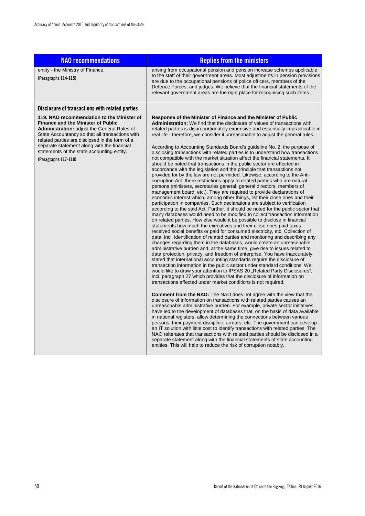| <b>NAO recommendations</b>                                                                                                                                                                                                                                                                                                                                       | <b>Replies from the ministers</b>                                                                                                                                                                                                                                                                                                                                                                                                                                                                                                                                                                                                                                                                                                                                                                                                                                                                                                                                                                                                                                                                                                                                                                                                                                                                                                                                                                                                                                                                                                                                                                                                                                                                                                                                                                                                                                                                                                                                                                                                                                                                                                                                                                                                                                                                                                                                                                                                                                                                                                                                                                                                                                                                                                                                                                                                                                                                                                                                                                                                                                                                                                              |
|------------------------------------------------------------------------------------------------------------------------------------------------------------------------------------------------------------------------------------------------------------------------------------------------------------------------------------------------------------------|------------------------------------------------------------------------------------------------------------------------------------------------------------------------------------------------------------------------------------------------------------------------------------------------------------------------------------------------------------------------------------------------------------------------------------------------------------------------------------------------------------------------------------------------------------------------------------------------------------------------------------------------------------------------------------------------------------------------------------------------------------------------------------------------------------------------------------------------------------------------------------------------------------------------------------------------------------------------------------------------------------------------------------------------------------------------------------------------------------------------------------------------------------------------------------------------------------------------------------------------------------------------------------------------------------------------------------------------------------------------------------------------------------------------------------------------------------------------------------------------------------------------------------------------------------------------------------------------------------------------------------------------------------------------------------------------------------------------------------------------------------------------------------------------------------------------------------------------------------------------------------------------------------------------------------------------------------------------------------------------------------------------------------------------------------------------------------------------------------------------------------------------------------------------------------------------------------------------------------------------------------------------------------------------------------------------------------------------------------------------------------------------------------------------------------------------------------------------------------------------------------------------------------------------------------------------------------------------------------------------------------------------------------------------------------------------------------------------------------------------------------------------------------------------------------------------------------------------------------------------------------------------------------------------------------------------------------------------------------------------------------------------------------------------------------------------------------------------------------------------------------------------|
| entity - the Ministry of Finance.<br>(Paragraphs 114-115)                                                                                                                                                                                                                                                                                                        | arising from occupational pension and pension increase schemes applicable<br>to the staff of their government areas. Most adjustments in pension provisions<br>are due to the occupational pensions of police officers, members of the<br>Defence Forces, and judges. We believe that the financial statements of the<br>relevant government areas are the right place for recognising such items.                                                                                                                                                                                                                                                                                                                                                                                                                                                                                                                                                                                                                                                                                                                                                                                                                                                                                                                                                                                                                                                                                                                                                                                                                                                                                                                                                                                                                                                                                                                                                                                                                                                                                                                                                                                                                                                                                                                                                                                                                                                                                                                                                                                                                                                                                                                                                                                                                                                                                                                                                                                                                                                                                                                                             |
| Disclosure of transactions with related parties                                                                                                                                                                                                                                                                                                                  |                                                                                                                                                                                                                                                                                                                                                                                                                                                                                                                                                                                                                                                                                                                                                                                                                                                                                                                                                                                                                                                                                                                                                                                                                                                                                                                                                                                                                                                                                                                                                                                                                                                                                                                                                                                                                                                                                                                                                                                                                                                                                                                                                                                                                                                                                                                                                                                                                                                                                                                                                                                                                                                                                                                                                                                                                                                                                                                                                                                                                                                                                                                                                |
| 119. NAO recommendation to the Minister of<br><b>Finance and the Minister of Public</b><br>Administration: adjust the General Rules of<br>State Accountancy so that all transactions with<br>related parties are disclosed in the form of a<br>separate statement along with the financial<br>statements of the state accounting entity.<br>(Paragraphs 117-118) | Response of the Minister of Finance and the Minister of Public<br>Administration: We find that the disclosure of values of transactions with<br>related parties is disproportionately expensive and essentially impracticable in<br>real life - therefore, we consider it unreasonable to adjust the general rules.<br>According to Accounting Standards Board's guideline No. 2, the purpose of<br>disclosing transactions with related parties is to understand how transactions<br>not compatible with the market situation affect the financial statements. It<br>should be noted that transactions in the public sector are effected in<br>accordance with the legislation and the principle that transactions not<br>provided for by the law are not permitted. Likewise, according to the Anti-<br>corruption Act, there restrictions apply to related parties who are natural<br>persons (ministers, secretaries general, general directors, members of<br>management board, etc.). They are required to provide declarations of<br>economic interest which, among other things, list their close ones and their<br>participation in companies. Such declarations are subject to verification<br>according to the said Act. Further, it should be noted for the public sector that<br>many databases would need to be modified to collect transaction information<br>on related parties. How else would it be possible to disclose in financial<br>statements how much the executives and their close ones paid taxes,<br>received social benefits or paid for consumed electricity, etc. Collection of<br>data, incl. identification of related parties and monitoring and describing any<br>changes regarding them in the databases, would create an unreasonable<br>administrative burden and, at the same time, give rise to issues related to<br>data protection, privacy, and freedom of enterprise. You have inaccurately<br>stated that international accounting standards require the disclosure of<br>transaction information in the public sector under standard conditions. We<br>would like to draw your attention to IPSAS 20 "Related Party Disclosures",<br>incl. paragraph 27 which provides that the disclosure of information on<br>transactions effected under market conditions is not required.<br><b>Comment from the NAO:</b> The NAO does not agree with the view that the<br>disclosure of information on transactions with related parties causes an<br>unreasonable administrative burden. For example, private sector initiatives<br>have led to the development of databases that, on the basis of data available<br>in national registers, allow determining the connections between various<br>persons, their payment discipline, arrears, etc. The government can develop<br>an IT solution with little cost to identify transactions with related parties. The<br>NAO reiterates that transactions with related parties should be disclosed in a<br>separate statement along with the financial statements of state accounting<br>entities. This will help to reduce the risk of corruption notably. |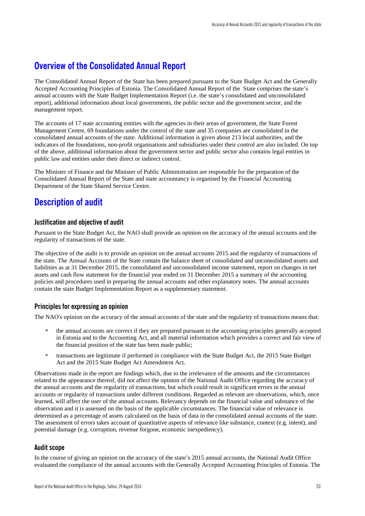## <span id="page-52-0"></span>**Overview of the Consolidated Annual Report**

The Consolidated Annual Report of the State has been prepared pursuant to the State Budget Act and the Generally Accepted Accounting Principles of Estonia. The Consolidated Annual Report of the State comprises the state's annual accounts with the State Budget Implementation Report (i.e. the state's consolidated and unconsolidated report), additional information about local governments, the public sector and the government sector, and the management report.

The accounts of 17 state accounting entities with the agencies in their areas of government, the State Forest Management Centre, 69 foundations under the control of the state and 35 companies are consolidated in the consolidated annual accounts of the state. Additional information is given about 213 local authorities, and the indicators of the foundations, non-profit organisations and subsidiaries under their control are also included. On top of the above, additional information about the government sector and public sector also contains legal entities in public law and entities under their direct or indirect control.

The Minister of Finance and the Minister of Public Administration are responsible for the preparation of the Consolidated Annual Report of the State and state accountancy is organised by the Financial Accounting Department of the State Shared Service Centre.

## <span id="page-52-1"></span>**Description of audit**

### **Justification and objective of audit**

Pursuant to the State Budget Act, the NAO shall provide an opinion on the accuracy of the annual accounts and the regularity of transactions of the state.

The objective of the audit is to provide an opinion on the annual accounts 2015 and the regularity of transactions of the state. The Annual Accounts of the State contain the balance sheet of consolidated and unconsolidated assets and liabilities as at 31 December 2015, the consolidated and unconsolidated income statement, report on changes in net assets and cash flow statement for the financial year ended on 31 December 2015 a summary of the accounting policies and procedures used in preparing the annual accounts and other explanatory notes. The annual accounts contain the state Budget Implementation Report as a supplementary statement.

### **Principles for expressing an opinion**

The NAO's opinion on the accuracy of the annual accounts of the state and the regularity of transactions means that:

- the annual accounts are correct if they are prepared pursuant to the accounting principles generally accepted in Estonia and to the Accounting Act, and all material information which provides a correct and fair view of the financial position of the state has been made public;
- transactions are legitimate if performed in compliance with the State Budget Act, the 2015 State Budget Act and the 2015 State Budget Act Amendment Act.

Observations made in the report are findings which, due to the irrelevance of the amounts and the circumstances related to the appearance thereof, did not affect the opinion of the National Audit Office regarding the accuracy of the annual accounts and the regularity of transactions, but which could result in significant errors in the annual accounts or regularity of transactions under different conditions. Regarded as relevant are observations, which, once learned, will affect the user of the annual accounts. Relevancy depends on the financial value and substance of the observation and it is assessed on the basis of the applicable circumstances. The financial value of relevance is determined as a percentage of assets calculated on the basis of data in the consolidated annual accounts of the state. The assessment of errors takes account of quantitative aspects of relevance like substance, context (e.g. intent), and potential damage (e.g. corruption, revenue forgone, economic inexpediency).

### **Audit scope**

In the course of giving an opinion on the accuracy of the state's 2015 annual accounts, the National Audit Office evaluated the compliance of the annual accounts with the Generally Accepted Accounting Principles of Estonia. The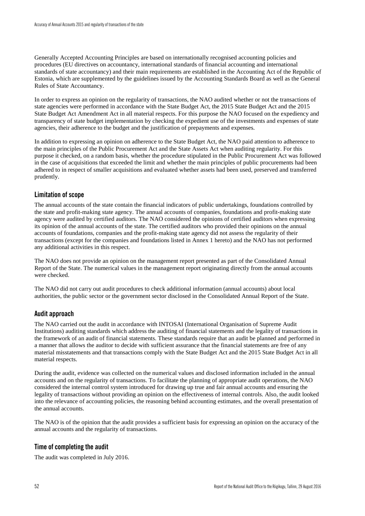Generally Accepted Accounting Principles are based on internationally recognised accounting policies and procedures (EU directives on accountancy, international standards of financial accounting and international standards of state accountancy) and their main requirements are established in the Accounting Act of the Republic of Estonia, which are supplemented by the guidelines issued by the Accounting Standards Board as well as the General Rules of State Accountancy.

In order to express an opinion on the regularity of transactions, the NAO audited whether or not the transactions of state agencies were performed in accordance with the State Budget Act, the 2015 State Budget Act and the 2015 State Budget Act Amendment Act in all material respects. For this purpose the NAO focused on the expediency and transparency of state budget implementation by checking the expedient use of the investments and expenses of state agencies, their adherence to the budget and the justification of prepayments and expenses.

In addition to expressing an opinion on adherence to the State Budget Act, the NAO paid attention to adherence to the main principles of the Public Procurement Act and the State Assets Act when auditing regularity. For this purpose it checked, on a random basis, whether the procedure stipulated in the Public Procurement Act was followed in the case of acquisitions that exceeded the limit and whether the main principles of public procurements had been adhered to in respect of smaller acquisitions and evaluated whether assets had been used, preserved and transferred prudently.

## **Limitation of scope**

The annual accounts of the state contain the financial indicators of public undertakings, foundations controlled by the state and profit-making state agency. The annual accounts of companies, foundations and profit-making state agency were audited by certified auditors. The NAO considered the opinions of certified auditors when expressing its opinion of the annual accounts of the state. The certified auditors who provided their opinions on the annual accounts of foundations, companies and the profit-making state agency did not assess the regularity of their transactions (except for the companies and foundations listed in Annex 1 hereto) and the NAO has not performed any additional activities in this respect.

The NAO does not provide an opinion on the management report presented as part of the Consolidated Annual Report of the State. The numerical values in the management report originating directly from the annual accounts were checked.

The NAO did not carry out audit procedures to check additional information (annual accounts) about local authorities, the public sector or the government sector disclosed in the Consolidated Annual Report of the State.

## **Audit approach**

The NAO carried out the audit in accordance with INTOSAI (International Organisation of Supreme Audit Institutions) auditing standards which address the auditing of financial statements and the legality of transactions in the framework of an audit of financial statements. These standards require that an audit be planned and performed in a manner that allows the auditor to decide with sufficient assurance that the financial statements are free of any material misstatements and that transactions comply with the State Budget Act and the 2015 State Budget Act in all material respects.

During the audit, evidence was collected on the numerical values and disclosed information included in the annual accounts and on the regularity of transactions. To facilitate the planning of appropriate audit operations, the NAO considered the internal control system introduced for drawing up true and fair annual accounts and ensuring the legality of transactions without providing an opinion on the effectiveness of internal controls. Also, the audit looked into the relevance of accounting policies, the reasoning behind accounting estimates, and the overall presentation of the annual accounts.

The NAO is of the opinion that the audit provides a sufficient basis for expressing an opinion on the accuracy of the annual accounts and the regularity of transactions.

## **Time of completing the audit**

The audit was completed in July 2016.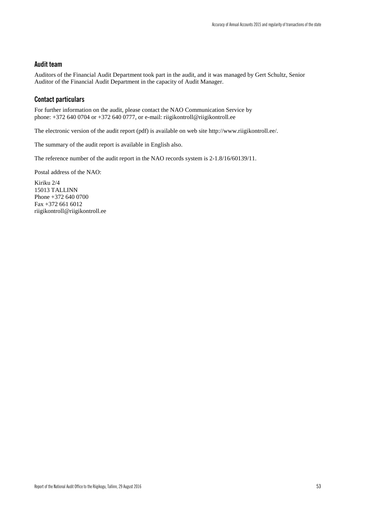## **Audit team**

Auditors of the Financial Audit Department took part in the audit, and it was managed by Gert Schultz, Senior Auditor of the Financial Audit Department in the capacity of Audit Manager.

### **Contact particulars**

For further information on the audit, please contact the NAO Communication Service by phone: +372 640 0704 or +372 640 0777, or e-mail: riigikontroll@riigikontroll.ee

The electronic version of the audit report (pdf) is available on web site [http://www.riigikontroll.ee/.](http://www.riigikontroll.ee/)

The summary of the audit report is available in English also.

The reference number of the audit report in the NAO records system is 2-1.8/16/60139/11.

Postal address of the NAO:

Kiriku 2/4 15013 TALLINN Phone +372 640 0700 Fax +372 661 6012 riigikontroll@riigikontroll.ee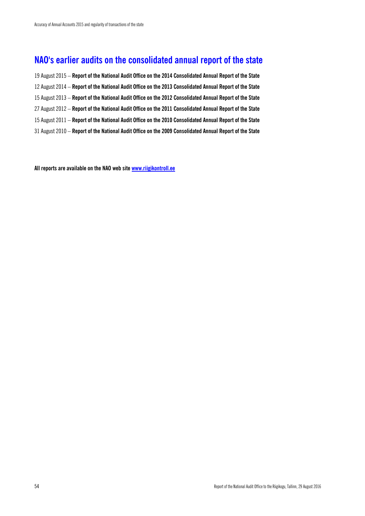## <span id="page-55-0"></span>**NAO's earlier audits on the consolidated annual report of the state**

19 August 2015 – **Report of the National Audit Office on the 2014 Consolidated Annual Report of the State** 12 August 2014 – **Report of the National Audit Office on the 2013 Consolidated Annual Report of the State** 15 August 2013 – **Report of the National Audit Office on the 2012 Consolidated Annual Report of the State** 27 August 2012 – **Report of the National Audit Office on the 2011 Consolidated Annual Report of the State** 15 August 2011 – **Report of the National Audit Office on the 2010 Consolidated Annual Report of the State** 31 August 2010 – **Report of the National Audit Office on the 2009 Consolidated Annual Report of the State** 

**All reports are available on the NAO web site [www.riigikontroll.ee](http://www.riigikontroll.ee/)**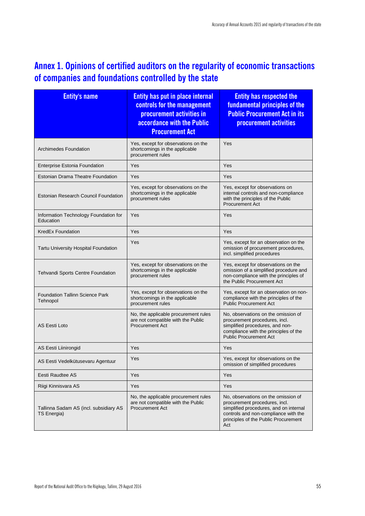## <span id="page-56-0"></span>**Annex 1. Opinions of certified auditors on the regularity of economic transactions of companies and foundations controlled by the state**

| <b>Entity's name</b>                                         | <b>Entity has put in place internal</b><br>controls for the management<br>procurement activities in<br>accordance with the Public<br><b>Procurement Act</b> | <b>Entity has respected the</b><br>fundamental principles of the<br><b>Public Procurement Act in its</b><br>procurement activities                                                                    |  |
|--------------------------------------------------------------|-------------------------------------------------------------------------------------------------------------------------------------------------------------|-------------------------------------------------------------------------------------------------------------------------------------------------------------------------------------------------------|--|
| <b>Archimedes Foundation</b>                                 | Yes, except for observations on the<br>shortcomings in the applicable<br>procurement rules                                                                  | Yes                                                                                                                                                                                                   |  |
| <b>Enterprise Estonia Foundation</b>                         | Yes                                                                                                                                                         | Yes                                                                                                                                                                                                   |  |
| <b>Estonian Drama Theatre Foundation</b>                     | Yes                                                                                                                                                         | Yes                                                                                                                                                                                                   |  |
| <b>Estonian Research Council Foundation</b>                  | Yes, except for observations on the<br>shortcomings in the applicable<br>procurement rules                                                                  | Yes, except for observations on<br>internal controls and non-compliance<br>with the principles of the Public<br><b>Procurement Act</b>                                                                |  |
| Information Technology Foundation for<br>Education           | Yes                                                                                                                                                         | Yes                                                                                                                                                                                                   |  |
| <b>KredEx Foundation</b>                                     | Yes                                                                                                                                                         | Yes                                                                                                                                                                                                   |  |
| Tartu University Hospital Foundation                         | Yes                                                                                                                                                         | Yes, except for an observation on the<br>omission of procurement procedures,<br>incl. simplified procedures                                                                                           |  |
| Tehvandi Sports Centre Foundation                            | Yes, except for observations on the<br>shortcomings in the applicable<br>procurement rules                                                                  | Yes, except for observations on the<br>omission of a simplified procedure and<br>non-compliance with the principles of<br>the Public Procurement Act                                                  |  |
| <b>Foundation Tallinn Science Park</b><br>Tehnopol           | Yes, except for observations on the<br>shortcomings in the applicable<br>procurement rules                                                                  | Yes, except for an observation on non-<br>compliance with the principles of the<br><b>Public Procurement Act</b>                                                                                      |  |
| <b>AS Eesti Loto</b>                                         | No, the applicable procurement rules<br>are not compatible with the Public<br><b>Procurement Act</b>                                                        | No, observations on the omission of<br>procurement procedures, incl.<br>simplified procedures, and non-<br>compliance with the principles of the<br><b>Public Procurement Act</b>                     |  |
| AS Eesti Liinirongid                                         | Yes                                                                                                                                                         | Yes                                                                                                                                                                                                   |  |
| AS Eesti Vedelkütusevaru Agentuur                            | Yes                                                                                                                                                         | Yes, except for observations on the<br>omission of simplified procedures                                                                                                                              |  |
| Eesti Raudtee AS                                             | Yes                                                                                                                                                         | Yes                                                                                                                                                                                                   |  |
| Riigi Kinnisvara AS                                          | Yes                                                                                                                                                         | Yes                                                                                                                                                                                                   |  |
| Tallinna Sadam AS (incl. subsidiary AS<br><b>TS Energia)</b> | No, the applicable procurement rules<br>are not compatible with the Public<br><b>Procurement Act</b>                                                        | No, observations on the omission of<br>procurement procedures, incl.<br>simplified procedures, and on internal<br>controls and non-compliance with the<br>principles of the Public Procurement<br>Act |  |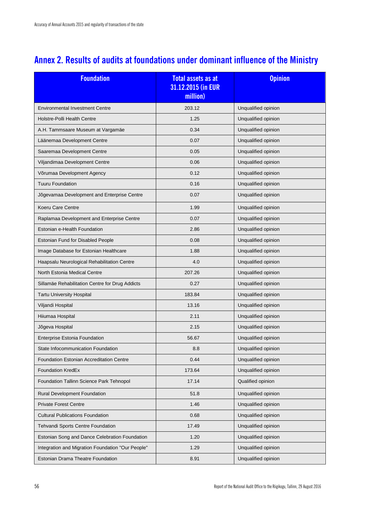## <span id="page-57-0"></span>**Annex 2. Results of audits at foundations under dominant influence of the Ministry**

| <b>Foundation</b>                                 | <b>Total assets as at</b><br>31.12.2015 (in EUR<br>million) | <b>Opinion</b>      |  |
|---------------------------------------------------|-------------------------------------------------------------|---------------------|--|
| <b>Environmental Investment Centre</b>            | 203.12                                                      | Unqualified opinion |  |
| Holstre-Polli Health Centre                       | 1.25                                                        | Unqualified opinion |  |
| A.H. Tammsaare Museum at Vargamäe                 | 0.34                                                        | Unqualified opinion |  |
| Läänemaa Development Centre                       | 0.07                                                        | Unqualified opinion |  |
| Saaremaa Development Centre                       | 0.05                                                        | Unqualified opinion |  |
| Viljandimaa Development Centre                    | 0.06                                                        | Unqualified opinion |  |
| Võrumaa Development Agency                        | 0.12                                                        | Unqualified opinion |  |
| <b>Tuuru Foundation</b>                           | 0.16                                                        | Unqualified opinion |  |
| Jõgevamaa Development and Enterprise Centre       | 0.07                                                        | Unqualified opinion |  |
| Koeru Care Centre                                 | 1.99                                                        | Unqualified opinion |  |
| Raplamaa Development and Enterprise Centre        | 0.07                                                        | Unqualified opinion |  |
| Estonian e-Health Foundation                      | 2.86                                                        | Unqualified opinion |  |
| Estonian Fund for Disabled People                 | 0.08                                                        | Unqualified opinion |  |
| Image Database for Estonian Healthcare            | 1.88                                                        | Unqualified opinion |  |
| Haapsalu Neurological Rehabilitation Centre       | 4.0                                                         | Unqualified opinion |  |
| North Estonia Medical Centre                      | 207.26                                                      | Unqualified opinion |  |
| Sillamäe Rehabilitation Centre for Drug Addicts   | 0.27                                                        | Unqualified opinion |  |
| <b>Tartu University Hospital</b>                  | 183.84                                                      | Unqualified opinion |  |
| Viljandi Hospital                                 | 13.16                                                       | Unqualified opinion |  |
| Hiiumaa Hospital                                  | 2.11                                                        | Unqualified opinion |  |
| Jõgeva Hospital                                   | 2.15                                                        | Unqualified opinion |  |
| <b>Enterprise Estonia Foundation</b>              | 56.67                                                       | Unqualified opinion |  |
| State Infocommunication Foundation                | 8.8                                                         | Unqualified opinion |  |
| Foundation Estonian Accreditation Centre          | 0.44                                                        | Unqualified opinion |  |
| <b>Foundation KredEx</b>                          | 173.64                                                      | Unqualified opinion |  |
| Foundation Tallinn Science Park Tehnopol          | 17.14                                                       | Qualified opinion   |  |
| Rural Development Foundation                      | 51.8                                                        | Unqualified opinion |  |
| <b>Private Forest Centre</b>                      | 1.46                                                        | Unqualified opinion |  |
| <b>Cultural Publications Foundation</b>           | 0.68                                                        | Unqualified opinion |  |
| Tehvandi Sports Centre Foundation                 | 17.49                                                       | Unqualified opinion |  |
| Estonian Song and Dance Celebration Foundation    | 1.20                                                        | Unqualified opinion |  |
| Integration and Migration Foundation "Our People" | 1.29                                                        | Unqualified opinion |  |
| Estonian Drama Theatre Foundation                 | 8.91                                                        | Unqualified opinion |  |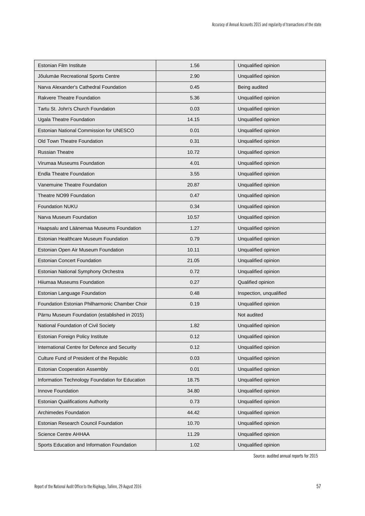| <b>Estonian Film Institute</b>                  | 1.56  | Unqualified opinion     |
|-------------------------------------------------|-------|-------------------------|
| Jõulumäe Recreational Sports Centre             | 2.90  | Unqualified opinion     |
| Narva Alexander's Cathedral Foundation          | 0.45  | Being audited           |
| <b>Rakvere Theatre Foundation</b>               | 5.36  | Unqualified opinion     |
| Tartu St. John's Church Foundation              | 0.03  | Unqualified opinion     |
| Ugala Theatre Foundation                        | 14.15 | Unqualified opinion     |
| Estonian National Commission for UNESCO         | 0.01  | Unqualified opinion     |
| Old Town Theatre Foundation                     | 0.31  | Unqualified opinion     |
| <b>Russian Theatre</b>                          | 10.72 | Unqualified opinion     |
| Virumaa Museums Foundation                      | 4.01  | Unqualified opinion     |
| <b>Endla Theatre Foundation</b>                 | 3.55  | Unqualified opinion     |
| Vanemuine Theatre Foundation                    | 20.87 | Unqualified opinion     |
| Theatre NO99 Foundation                         | 0.47  | Unqualified opinion     |
| <b>Foundation NUKU</b>                          | 0.34  | Unqualified opinion     |
| Narva Museum Foundation                         | 10.57 | Unqualified opinion     |
| Haapsalu and Läänemaa Museums Foundation        | 1.27  | Unqualified opinion     |
| Estonian Healthcare Museum Foundation           | 0.79  | Unqualified opinion     |
| Estonian Open Air Museum Foundation             | 10.11 | Unqualified opinion     |
| <b>Estonian Concert Foundation</b>              | 21.05 | Unqualified opinion     |
| Estonian National Symphony Orchestra            | 0.72  | Unqualified opinion     |
| Hiiumaa Museums Foundation                      | 0.27  | Qualified opinion       |
| Estonian Language Foundation                    | 0.48  | Inspection, unqualified |
| Foundation Estonian Philharmonic Chamber Choir  | 0.19  | Unqualified opinion     |
| Pärnu Museum Foundation (established in 2015)   |       | Not audited             |
| National Foundation of Civil Society            | 1.82  | Unqualified opinion     |
| Estonian Foreign Policy Institute               | 0.12  | Unqualified opinion     |
| International Centre for Defence and Security   | 0.12  | Unqualified opinion     |
| Culture Fund of President of the Republic       | 0.03  | Unqualified opinion     |
| <b>Estonian Cooperation Assembly</b>            | 0.01  | Unqualified opinion     |
| Information Technology Foundation for Education | 18.75 | Unqualified opinion     |
| Innove Foundation                               | 34.80 | Unqualified opinion     |
| <b>Estonian Qualifications Authority</b>        | 0.73  | Unqualified opinion     |
| Archimedes Foundation                           | 44.42 | Unqualified opinion     |
| Estonian Research Council Foundation            | 10.70 | Unqualified opinion     |
| <b>Science Centre AHHAA</b>                     | 11.29 | Unqualified opinion     |
| Sports Education and Information Foundation     | 1.02  | Unqualified opinion     |

Source: audited annual reports for 2015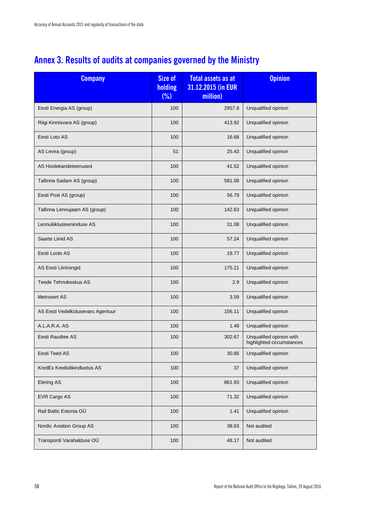## <span id="page-59-0"></span>**Annex 3. Results of audits at companies governed by the Ministry**

| <b>Company</b>                    | Size of<br>holding<br>(%) | <b>Total assets as at</b><br>31.12.2015 (in EUR<br>million) | <b>Opinion</b>                                        |
|-----------------------------------|---------------------------|-------------------------------------------------------------|-------------------------------------------------------|
| Eesti Energia AS (group)          | 100                       | 2957.8                                                      | Unqualified opinion                                   |
| Riigi Kinnisvara AS (group)       | 100                       | 413.92                                                      | Unqualified opinion                                   |
| Eesti Loto AS                     | 100                       | 16.68                                                       | Unqualified opinion                                   |
| AS Levira (group)                 | 51                        | 25.43                                                       | Unqualified opinion                                   |
| AS Hoolekandeteenused             | 100                       | 41.52                                                       | Unqualified opinion                                   |
| Tallinna Sadam AS (group)         | 100                       | 581.08                                                      | Unqualified opinion                                   |
| Eesti Post AS (group)             | 100                       | 56.79                                                       | Unqualified opinion                                   |
| Tallinna Lennujaam AS (group)     | 100                       | 142.63                                                      | Unqualified opinion                                   |
| Lennuliiklusteeninduse AS         | 100                       | 31.08                                                       | Unqualified opinion                                   |
| Saarte Liinid AS                  | 100                       | 57.24                                                       | Unqualified opinion                                   |
| Eesti Loots AS                    | 100                       | 19.77                                                       | Unqualified opinion                                   |
| AS Eesti Liinirongid              | 100                       | 175.21                                                      | Unqualified opinion                                   |
| Teede Tehnokeskus AS              | 100                       | 2.9                                                         | Unqualified opinion                                   |
| Metrosert AS                      | 100                       | 3.59                                                        | Unqualified opinion                                   |
| AS Eesti Vedelkütusevaru Agentuur | 100                       | 156.11                                                      | Unqualified opinion                                   |
| A.L.A.R.A. AS                     | 100                       | 1.49                                                        | Unqualified opinion                                   |
| Eesti Raudtee AS                  | 100                       | 302.67                                                      | Unqualified opinion with<br>highlighted circumstances |
| Eesti Teed AS                     | 100                       | 30.85                                                       | Unqualified opinion                                   |
| KredEx Krediidikindlustus AS      | 100                       | 37                                                          | Unqualified opinion                                   |
| <b>Elering AS</b>                 | 100                       | 861.93                                                      | Unqualified opinion                                   |
| EVR Cargo AS                      | 100                       | 71.32                                                       | Unqualified opinion                                   |
| Rail Baltic Estonia OÜ            | 100                       | 1.41                                                        | Unqualified opinion                                   |
| Nordic Aviation Group AS          | 100                       | 38.63                                                       | Not audited                                           |
| Transpordi Varahalduse OÜ         | 100                       | 48.17                                                       | Not audited                                           |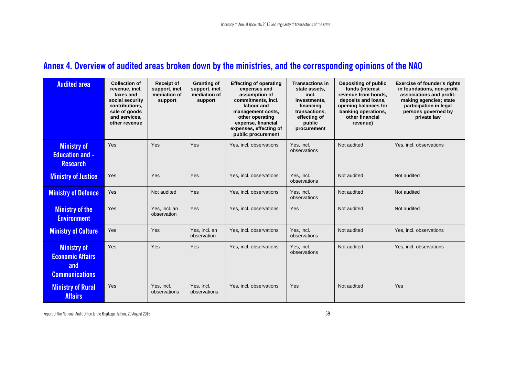## **Annex 4. Overview of audited areas broken down by the ministries, and the corresponding opinions of the NAO**

| <b>Audited area</b>                                                           | <b>Collection of</b><br>revenue, incl.<br>taxes and<br>social security<br>contributions,<br>sale of goods<br>and services,<br>other revenue | <b>Receipt of</b><br>support, incl.<br>mediation of<br>support | <b>Granting of</b><br>support, incl.<br>mediation of<br>support | <b>Effecting of operating</b><br>expenses and<br>assumption of<br>commitments, incl.<br>labour and<br>management costs,<br>other operating<br>expense, financial<br>expenses, effecting of<br>public procurement | <b>Transactions in</b><br>state assets.<br>incl.<br>investments,<br>financing<br>transactions.<br>effecting of<br>public<br>procurement | Depositing of public<br>funds (interest<br>revenue from bonds.<br>deposits and loans,<br>opening balances for<br>banking operations,<br>other financial<br>revenue) | <b>Exercise of founder's rights</b><br>in foundations, non-profit<br>associations and profit-<br>making agencies; state<br>participation in legal<br>persons governed by<br>private law |
|-------------------------------------------------------------------------------|---------------------------------------------------------------------------------------------------------------------------------------------|----------------------------------------------------------------|-----------------------------------------------------------------|------------------------------------------------------------------------------------------------------------------------------------------------------------------------------------------------------------------|-----------------------------------------------------------------------------------------------------------------------------------------|---------------------------------------------------------------------------------------------------------------------------------------------------------------------|-----------------------------------------------------------------------------------------------------------------------------------------------------------------------------------------|
| <b>Ministry of</b><br><b>Education and -</b><br><b>Research</b>               | Yes                                                                                                                                         | Yes                                                            | Yes                                                             | Yes, incl. observations                                                                                                                                                                                          | Yes. incl.<br>observations                                                                                                              | Not audited                                                                                                                                                         | Yes, incl. observations                                                                                                                                                                 |
| <b>Ministry of Justice</b>                                                    | Yes                                                                                                                                         | Yes                                                            | Yes                                                             | Yes, incl. observations                                                                                                                                                                                          | Yes, incl.<br>observations                                                                                                              | Not audited                                                                                                                                                         | Not audited                                                                                                                                                                             |
| <b>Ministry of Defence</b>                                                    | Yes                                                                                                                                         | Not audited                                                    | Yes                                                             | Yes, incl. observations                                                                                                                                                                                          | Yes, incl.<br>observations                                                                                                              | Not audited                                                                                                                                                         | Not audited                                                                                                                                                                             |
| <b>Ministry of the</b><br><b>Environment</b>                                  | Yes                                                                                                                                         | Yes, incl. an<br>observation                                   | Yes                                                             | Yes, incl. observations                                                                                                                                                                                          | Yes                                                                                                                                     | Not audited                                                                                                                                                         | Not audited                                                                                                                                                                             |
| <b>Ministry of Culture</b>                                                    | Yes                                                                                                                                         | Yes                                                            | Yes, incl. an<br>observation                                    | Yes, incl. observations                                                                                                                                                                                          | Yes. incl.<br>observations                                                                                                              | Not audited                                                                                                                                                         | Yes, incl. observations                                                                                                                                                                 |
| <b>Ministry of</b><br><b>Economic Affairs</b><br>and<br><b>Communications</b> | Yes                                                                                                                                         | Yes                                                            | Yes                                                             | Yes, incl. observations                                                                                                                                                                                          | Yes. incl.<br>observations                                                                                                              | Not audited                                                                                                                                                         | Yes, incl. observations                                                                                                                                                                 |
| <b>Ministry of Rural</b><br><b>Affairs</b>                                    | Yes                                                                                                                                         | Yes. incl.<br>observations                                     | Yes. incl.<br>observations                                      | Yes, incl. observations                                                                                                                                                                                          | Yes                                                                                                                                     | Not audited                                                                                                                                                         | Yes                                                                                                                                                                                     |

<span id="page-60-0"></span>Report of the National Audit Office to the Riigikogu, Tallinn, 29 August 2016 59